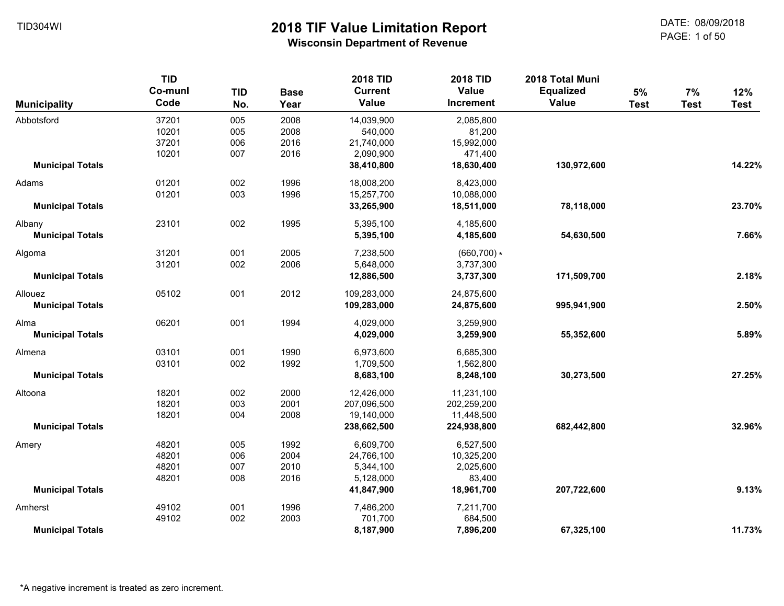**Wisconsin Department of Revenue** 

DATE: 08/09/2018 PAGE: 1 of 50

|                         | <b>TID</b><br>Co-munl<br>Code | <b>TID</b> | <b>Base</b> | <b>2018 TID</b><br><b>Current</b><br>Value | <b>2018 TID</b><br>Value<br><b>Increment</b> | 2018 Total Muni<br><b>Equalized</b><br>Value | 5%          | 7%          | 12%         |
|-------------------------|-------------------------------|------------|-------------|--------------------------------------------|----------------------------------------------|----------------------------------------------|-------------|-------------|-------------|
| <b>Municipality</b>     |                               | No.        | Year        |                                            |                                              |                                              | <b>Test</b> | <b>Test</b> | <b>Test</b> |
| Abbotsford              | 37201                         | 005        | 2008        | 14,039,900                                 | 2,085,800                                    |                                              |             |             |             |
|                         | 10201                         | 005        | 2008        | 540,000                                    | 81,200                                       |                                              |             |             |             |
|                         | 37201                         | 006        | 2016        | 21,740,000                                 | 15,992,000                                   |                                              |             |             |             |
|                         | 10201                         | 007        | 2016        | 2,090,900                                  | 471,400                                      |                                              |             |             |             |
| <b>Municipal Totals</b> |                               |            |             | 38,410,800                                 | 18,630,400                                   | 130,972,600                                  |             |             | 14.22%      |
| Adams                   | 01201                         | 002        | 1996        | 18,008,200                                 | 8,423,000                                    |                                              |             |             |             |
|                         | 01201                         | 003        | 1996        | 15,257,700                                 | 10,088,000                                   |                                              |             |             |             |
| <b>Municipal Totals</b> |                               |            |             | 33,265,900                                 | 18,511,000                                   | 78,118,000                                   |             |             | 23.70%      |
| Albany                  | 23101                         | 002        | 1995        | 5,395,100                                  | 4,185,600                                    |                                              |             |             |             |
| <b>Municipal Totals</b> |                               |            |             | 5,395,100                                  | 4,185,600                                    | 54,630,500                                   |             |             | 7.66%       |
| Algoma                  | 31201                         | 001        | 2005        | 7,238,500                                  | $(660, 700)*$                                |                                              |             |             |             |
|                         | 31201                         | 002        | 2006        | 5,648,000                                  | 3,737,300                                    |                                              |             |             |             |
| <b>Municipal Totals</b> |                               |            |             | 12,886,500                                 | 3,737,300                                    | 171,509,700                                  |             |             | 2.18%       |
| Allouez                 | 05102                         | 001        | 2012        | 109,283,000                                | 24,875,600                                   |                                              |             |             |             |
| <b>Municipal Totals</b> |                               |            |             | 109,283,000                                | 24,875,600                                   | 995,941,900                                  |             |             | 2.50%       |
| Alma                    | 06201                         | 001        | 1994        | 4,029,000                                  | 3,259,900                                    |                                              |             |             |             |
| <b>Municipal Totals</b> |                               |            |             | 4,029,000                                  | 3,259,900                                    | 55,352,600                                   |             |             | 5.89%       |
| Almena                  | 03101                         | 001        | 1990        | 6,973,600                                  | 6,685,300                                    |                                              |             |             |             |
|                         | 03101                         | 002        | 1992        | 1,709,500                                  | 1,562,800                                    |                                              |             |             |             |
| <b>Municipal Totals</b> |                               |            |             | 8,683,100                                  | 8,248,100                                    | 30,273,500                                   |             |             | 27.25%      |
| Altoona                 | 18201                         | 002        | 2000        | 12,426,000                                 | 11,231,100                                   |                                              |             |             |             |
|                         | 18201                         | 003        | 2001        | 207,096,500                                | 202,259,200                                  |                                              |             |             |             |
|                         | 18201                         | 004        | 2008        | 19,140,000                                 | 11,448,500                                   |                                              |             |             |             |
| <b>Municipal Totals</b> |                               |            |             | 238,662,500                                | 224,938,800                                  | 682,442,800                                  |             |             | 32.96%      |
| Amery                   | 48201                         | 005        | 1992        | 6,609,700                                  | 6,527,500                                    |                                              |             |             |             |
|                         | 48201                         | 006        | 2004        | 24,766,100                                 | 10,325,200                                   |                                              |             |             |             |
|                         | 48201                         | 007        | 2010        | 5,344,100                                  | 2,025,600                                    |                                              |             |             |             |
|                         | 48201                         | 008        | 2016        | 5,128,000                                  | 83,400                                       |                                              |             |             |             |
| <b>Municipal Totals</b> |                               |            |             | 41,847,900                                 | 18,961,700                                   | 207,722,600                                  |             |             | 9.13%       |
| Amherst                 | 49102                         | 001        | 1996        | 7,486,200                                  | 7,211,700                                    |                                              |             |             |             |
|                         | 49102                         | 002        | 2003        | 701,700                                    | 684,500                                      |                                              |             |             |             |
| <b>Municipal Totals</b> |                               |            |             | 8,187,900                                  | 7,896,200                                    | 67,325,100                                   |             |             | 11.73%      |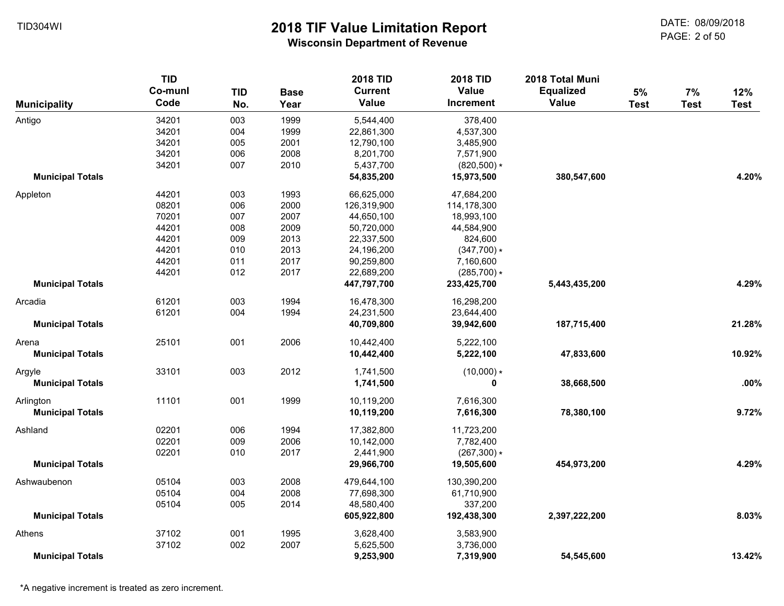**Wisconsin Department of Revenue** 

DATE: 08/09/2018 PAGE: 2 of 50

|                         | <b>TID</b>      |                   |                     | <b>2018 TID</b>         | <b>2018 TID</b>           | 2018 Total Muni           |                   |                   |                    |
|-------------------------|-----------------|-------------------|---------------------|-------------------------|---------------------------|---------------------------|-------------------|-------------------|--------------------|
| <b>Municipality</b>     | Co-munl<br>Code | <b>TID</b><br>No. | <b>Base</b><br>Year | <b>Current</b><br>Value | Value<br><b>Increment</b> | <b>Equalized</b><br>Value | 5%<br><b>Test</b> | 7%<br><b>Test</b> | 12%<br><b>Test</b> |
|                         |                 |                   |                     |                         |                           |                           |                   |                   |                    |
| Antigo                  | 34201           | 003               | 1999                | 5,544,400               | 378,400                   |                           |                   |                   |                    |
|                         | 34201           | 004               | 1999                | 22,861,300              | 4,537,300                 |                           |                   |                   |                    |
|                         | 34201           | 005               | 2001                | 12,790,100              | 3,485,900                 |                           |                   |                   |                    |
|                         | 34201           | 006               | 2008                | 8,201,700               | 7,571,900                 |                           |                   |                   |                    |
|                         | 34201           | 007               | 2010                | 5,437,700               | $(820, 500)*$             |                           |                   |                   |                    |
| <b>Municipal Totals</b> |                 |                   |                     | 54,835,200              | 15,973,500                | 380,547,600               |                   |                   | 4.20%              |
| Appleton                | 44201           | 003               | 1993                | 66,625,000              | 47,684,200                |                           |                   |                   |                    |
|                         | 08201           | 006               | 2000                | 126,319,900             | 114,178,300               |                           |                   |                   |                    |
|                         | 70201           | 007               | 2007                | 44,650,100              | 18,993,100                |                           |                   |                   |                    |
|                         | 44201           | 008               | 2009                | 50,720,000              | 44,584,900                |                           |                   |                   |                    |
|                         | 44201           | 009               | 2013                | 22,337,500              | 824,600                   |                           |                   |                   |                    |
|                         | 44201           | 010               | 2013                | 24,196,200              | $(347,700)*$              |                           |                   |                   |                    |
|                         | 44201           | 011               | 2017                | 90,259,800              | 7,160,600                 |                           |                   |                   |                    |
|                         | 44201           | 012               | 2017                | 22,689,200              | $(285,700)*$              |                           |                   |                   |                    |
| <b>Municipal Totals</b> |                 |                   |                     | 447,797,700             | 233,425,700               | 5,443,435,200             |                   |                   | 4.29%              |
| Arcadia                 | 61201           | 003               | 1994                | 16,478,300              | 16,298,200                |                           |                   |                   |                    |
|                         | 61201           | 004               | 1994                | 24,231,500              | 23,644,400                |                           |                   |                   |                    |
| <b>Municipal Totals</b> |                 |                   |                     | 40,709,800              | 39,942,600                | 187,715,400               |                   |                   | 21.28%             |
| Arena                   | 25101           | 001               | 2006                | 10,442,400              | 5,222,100                 |                           |                   |                   |                    |
| <b>Municipal Totals</b> |                 |                   |                     | 10,442,400              | 5,222,100                 | 47,833,600                |                   |                   | 10.92%             |
| Argyle                  | 33101           | 003               | 2012                | 1,741,500               | $(10,000)*$               |                           |                   |                   |                    |
| <b>Municipal Totals</b> |                 |                   |                     | 1,741,500               | 0                         | 38,668,500                |                   |                   | .00%               |
| Arlington               | 11101           | 001               | 1999                | 10,119,200              | 7,616,300                 |                           |                   |                   |                    |
| <b>Municipal Totals</b> |                 |                   |                     | 10,119,200              | 7,616,300                 | 78,380,100                |                   |                   | 9.72%              |
| Ashland                 | 02201           | 006               | 1994                | 17,382,800              | 11,723,200                |                           |                   |                   |                    |
|                         | 02201           | 009               | 2006                | 10,142,000              | 7,782,400                 |                           |                   |                   |                    |
|                         | 02201           | 010               | 2017                | 2,441,900               | $(267, 300)*$             |                           |                   |                   |                    |
| <b>Municipal Totals</b> |                 |                   |                     | 29,966,700              | 19,505,600                | 454,973,200               |                   |                   | 4.29%              |
| Ashwaubenon             | 05104           | 003               | 2008                | 479,644,100             | 130,390,200               |                           |                   |                   |                    |
|                         | 05104           | 004               | 2008                | 77,698,300              | 61,710,900                |                           |                   |                   |                    |
|                         | 05104           | 005               | 2014                | 48,580,400              | 337,200                   |                           |                   |                   |                    |
| <b>Municipal Totals</b> |                 |                   |                     | 605,922,800             | 192,438,300               | 2,397,222,200             |                   |                   | 8.03%              |
| Athens                  | 37102           | 001               | 1995                | 3,628,400               | 3,583,900                 |                           |                   |                   |                    |
|                         | 37102           | 002               | 2007                | 5,625,500               | 3,736,000                 |                           |                   |                   |                    |
| <b>Municipal Totals</b> |                 |                   |                     | 9,253,900               | 7,319,900                 | 54,545,600                |                   |                   | 13.42%             |
|                         |                 |                   |                     |                         |                           |                           |                   |                   |                    |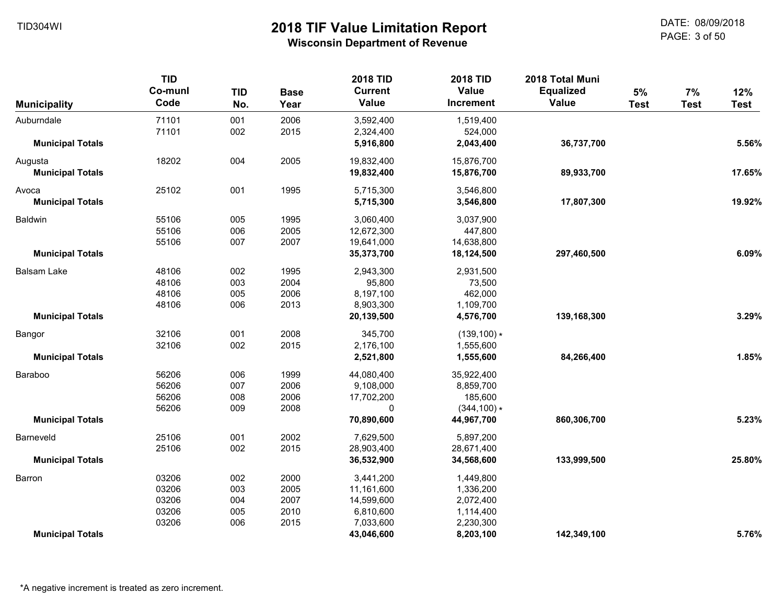**Wisconsin Department of Revenue** 

DATE: 08/09/2018 PAGE: 3 of 50

| <b>Municipality</b>                | TID<br>Co-munl<br>Code                    | <b>TID</b><br>No.               | <b>Base</b><br>Year                  | <b>2018 TID</b><br><b>Current</b><br>Value                      | <b>2018 TID</b><br>Value<br>Increment                         | 2018 Total Muni<br><b>Equalized</b><br>Value | 5%<br><b>Test</b> | 7%<br><b>Test</b> | 12%<br><b>Test</b> |
|------------------------------------|-------------------------------------------|---------------------------------|--------------------------------------|-----------------------------------------------------------------|---------------------------------------------------------------|----------------------------------------------|-------------------|-------------------|--------------------|
| Auburndale                         | 71101<br>71101                            | 001<br>002                      | 2006<br>2015                         | 3,592,400<br>2,324,400                                          | 1,519,400<br>524,000                                          |                                              |                   |                   |                    |
| <b>Municipal Totals</b>            |                                           |                                 |                                      | 5,916,800                                                       | 2,043,400                                                     | 36,737,700                                   |                   |                   | 5.56%              |
| Augusta<br><b>Municipal Totals</b> | 18202                                     | 004                             | 2005                                 | 19,832,400<br>19,832,400                                        | 15,876,700<br>15,876,700                                      | 89,933,700                                   |                   |                   | 17.65%             |
| Avoca<br><b>Municipal Totals</b>   | 25102                                     | 001                             | 1995                                 | 5,715,300<br>5,715,300                                          | 3,546,800<br>3,546,800                                        | 17,807,300                                   |                   |                   | 19.92%             |
| Baldwin                            | 55106<br>55106<br>55106                   | 005<br>006<br>007               | 1995<br>2005<br>2007                 | 3,060,400<br>12,672,300<br>19,641,000                           | 3,037,900<br>447,800<br>14,638,800                            |                                              |                   |                   |                    |
| <b>Municipal Totals</b>            |                                           |                                 |                                      | 35,373,700                                                      | 18,124,500                                                    | 297,460,500                                  |                   |                   | 6.09%              |
| <b>Balsam Lake</b>                 | 48106<br>48106<br>48106<br>48106          | 002<br>003<br>005<br>006        | 1995<br>2004<br>2006<br>2013         | 2,943,300<br>95,800<br>8,197,100<br>8,903,300                   | 2,931,500<br>73,500<br>462,000<br>1,109,700                   |                                              |                   |                   |                    |
| <b>Municipal Totals</b>            |                                           |                                 |                                      | 20,139,500                                                      | 4,576,700                                                     | 139,168,300                                  |                   |                   | 3.29%              |
| Bangor                             | 32106<br>32106                            | 001<br>002                      | 2008<br>2015                         | 345,700<br>2,176,100                                            | $(139, 100)*$<br>1,555,600                                    |                                              |                   |                   |                    |
| <b>Municipal Totals</b>            |                                           |                                 |                                      | 2,521,800                                                       | 1,555,600                                                     | 84,266,400                                   |                   |                   | 1.85%              |
| Baraboo                            | 56206<br>56206<br>56206<br>56206          | 006<br>007<br>008<br>009        | 1999<br>2006<br>2006<br>2008         | 44,080,400<br>9,108,000<br>17,702,200<br>$\Omega$               | 35,922,400<br>8,859,700<br>185,600<br>$(344, 100)*$           |                                              |                   |                   |                    |
| <b>Municipal Totals</b>            |                                           |                                 |                                      | 70,890,600                                                      | 44,967,700                                                    | 860,306,700                                  |                   |                   | 5.23%              |
| Barneveld                          | 25106<br>25106                            | 001<br>002                      | 2002<br>2015                         | 7,629,500<br>28,903,400                                         | 5,897,200<br>28,671,400                                       |                                              |                   |                   |                    |
| <b>Municipal Totals</b>            |                                           |                                 |                                      | 36,532,900                                                      | 34,568,600                                                    | 133,999,500                                  |                   |                   | 25.80%             |
| Barron                             | 03206<br>03206<br>03206<br>03206<br>03206 | 002<br>003<br>004<br>005<br>006 | 2000<br>2005<br>2007<br>2010<br>2015 | 3,441,200<br>11,161,600<br>14,599,600<br>6,810,600<br>7,033,600 | 1,449,800<br>1,336,200<br>2,072,400<br>1,114,400<br>2,230,300 |                                              |                   |                   |                    |
| <b>Municipal Totals</b>            |                                           |                                 |                                      | 43,046,600                                                      | 8,203,100                                                     | 142,349,100                                  |                   |                   | 5.76%              |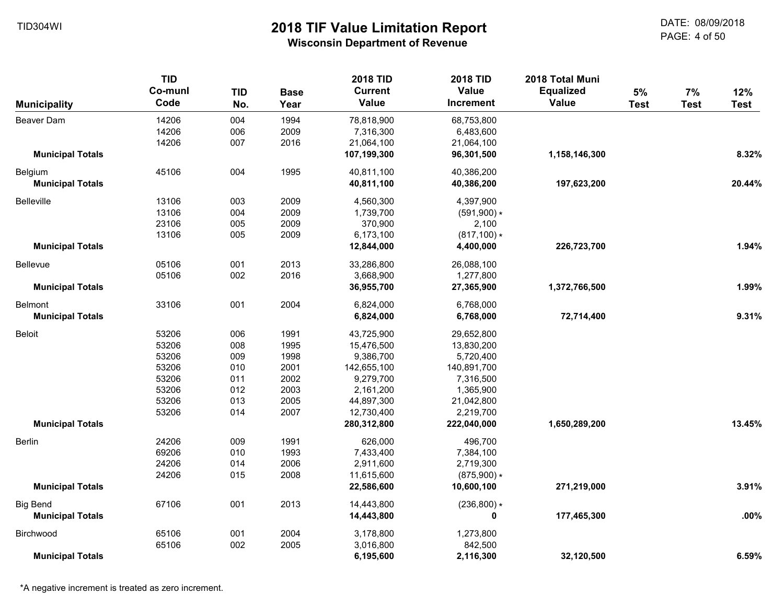**Wisconsin Department of Revenue** 

DATE: 08/09/2018 PAGE: 4 of 50

|                         | <b>TID</b> |            |             | <b>2018 TID</b> | <b>2018 TID</b>  | 2018 Total Muni  |             |             |             |
|-------------------------|------------|------------|-------------|-----------------|------------------|------------------|-------------|-------------|-------------|
|                         | Co-munl    | <b>TID</b> | <b>Base</b> | <b>Current</b>  | Value            | <b>Equalized</b> | 5%          | 7%          | 12%         |
| <b>Municipality</b>     | Code       | No.        | Year        | Value           | <b>Increment</b> | Value            | <b>Test</b> | <b>Test</b> | <b>Test</b> |
| Beaver Dam              | 14206      | 004        | 1994        | 78,818,900      | 68,753,800       |                  |             |             |             |
|                         | 14206      | 006        | 2009        | 7,316,300       | 6,483,600        |                  |             |             |             |
|                         | 14206      | 007        | 2016        | 21,064,100      | 21,064,100       |                  |             |             |             |
| <b>Municipal Totals</b> |            |            |             | 107,199,300     | 96,301,500       | 1,158,146,300    |             |             | 8.32%       |
| Belgium                 | 45106      | 004        | 1995        | 40,811,100      | 40,386,200       |                  |             |             |             |
| <b>Municipal Totals</b> |            |            |             | 40,811,100      | 40,386,200       | 197,623,200      |             |             | 20.44%      |
| <b>Belleville</b>       | 13106      | 003        | 2009        | 4,560,300       | 4,397,900        |                  |             |             |             |
|                         | 13106      | 004        | 2009        | 1,739,700       | $(591,900)*$     |                  |             |             |             |
|                         | 23106      | 005        | 2009        | 370,900         | 2,100            |                  |             |             |             |
|                         | 13106      | 005        | 2009        | 6,173,100       | $(817, 100)*$    |                  |             |             |             |
| <b>Municipal Totals</b> |            |            |             | 12,844,000      | 4,400,000        | 226,723,700      |             |             | 1.94%       |
| <b>Bellevue</b>         | 05106      | 001        | 2013        | 33,286,800      | 26,088,100       |                  |             |             |             |
|                         | 05106      | 002        | 2016        | 3,668,900       | 1,277,800        |                  |             |             |             |
| <b>Municipal Totals</b> |            |            |             | 36,955,700      | 27,365,900       | 1,372,766,500    |             |             | 1.99%       |
| <b>Belmont</b>          | 33106      | 001        | 2004        | 6,824,000       | 6,768,000        |                  |             |             |             |
| <b>Municipal Totals</b> |            |            |             | 6,824,000       | 6,768,000        | 72,714,400       |             |             | 9.31%       |
| Beloit                  | 53206      | 006        | 1991        | 43,725,900      | 29,652,800       |                  |             |             |             |
|                         | 53206      | 008        | 1995        | 15,476,500      | 13,830,200       |                  |             |             |             |
|                         | 53206      | 009        | 1998        | 9,386,700       | 5,720,400        |                  |             |             |             |
|                         | 53206      | 010        | 2001        | 142,655,100     | 140,891,700      |                  |             |             |             |
|                         | 53206      | 011        | 2002        | 9,279,700       | 7,316,500        |                  |             |             |             |
|                         | 53206      | 012        | 2003        | 2,161,200       | 1,365,900        |                  |             |             |             |
|                         | 53206      | 013        | 2005        | 44,897,300      | 21,042,800       |                  |             |             |             |
|                         | 53206      | 014        | 2007        | 12,730,400      | 2,219,700        |                  |             |             |             |
| <b>Municipal Totals</b> |            |            |             | 280,312,800     | 222,040,000      | 1,650,289,200    |             |             | 13.45%      |
| Berlin                  | 24206      | 009        | 1991        | 626,000         | 496,700          |                  |             |             |             |
|                         | 69206      | 010        | 1993        | 7,433,400       | 7,384,100        |                  |             |             |             |
|                         | 24206      | 014        | 2006        | 2,911,600       | 2,719,300        |                  |             |             |             |
|                         | 24206      | 015        | 2008        | 11,615,600      | $(875,900)*$     |                  |             |             |             |
| <b>Municipal Totals</b> |            |            |             | 22,586,600      | 10,600,100       | 271,219,000      |             |             | 3.91%       |
| <b>Big Bend</b>         | 67106      | 001        | 2013        | 14,443,800      | $(236, 800)*$    |                  |             |             |             |
| <b>Municipal Totals</b> |            |            |             | 14,443,800      | 0                | 177,465,300      |             |             | .00%        |
| Birchwood               | 65106      | 001        | 2004        | 3,178,800       | 1,273,800        |                  |             |             |             |
|                         | 65106      | 002        | 2005        | 3,016,800       | 842,500          |                  |             |             |             |
| <b>Municipal Totals</b> |            |            |             | 6,195,600       | 2,116,300        | 32,120,500       |             |             | 6.59%       |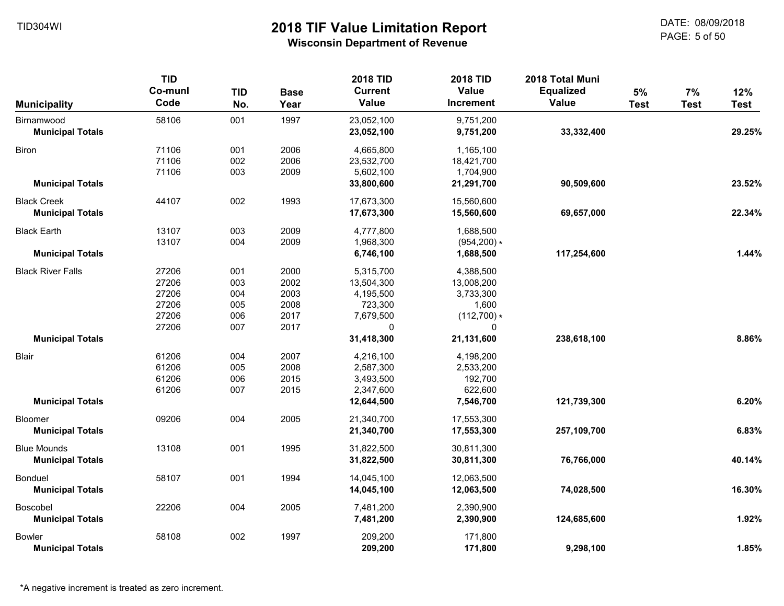**Wisconsin Department of Revenue** 

DATE: 08/09/2018 PAGE: 5 of 50

|                          | <b>TID</b> |            |             | <b>2018 TID</b> | <b>2018 TID</b>  | 2018 Total Muni  |             |             |             |
|--------------------------|------------|------------|-------------|-----------------|------------------|------------------|-------------|-------------|-------------|
|                          | Co-munl    | <b>TID</b> | <b>Base</b> | <b>Current</b>  | Value            | <b>Equalized</b> | 5%          | 7%          | 12%         |
| <b>Municipality</b>      | Code       | No.        | Year        | Value           | <b>Increment</b> | Value            | <b>Test</b> | <b>Test</b> | <b>Test</b> |
| Birnamwood               | 58106      | 001        | 1997        | 23,052,100      | 9,751,200        |                  |             |             |             |
| <b>Municipal Totals</b>  |            |            |             | 23,052,100      | 9,751,200        | 33,332,400       |             |             | 29.25%      |
| Biron                    | 71106      | 001        | 2006        | 4,665,800       | 1,165,100        |                  |             |             |             |
|                          | 71106      | 002        | 2006        | 23,532,700      | 18,421,700       |                  |             |             |             |
|                          | 71106      | 003        | 2009        | 5,602,100       | 1,704,900        |                  |             |             |             |
| <b>Municipal Totals</b>  |            |            |             | 33,800,600      | 21,291,700       | 90,509,600       |             |             | 23.52%      |
| <b>Black Creek</b>       | 44107      | 002        | 1993        | 17,673,300      | 15,560,600       |                  |             |             |             |
| <b>Municipal Totals</b>  |            |            |             | 17,673,300      | 15,560,600       | 69,657,000       |             |             | 22.34%      |
| <b>Black Earth</b>       | 13107      | 003        | 2009        | 4,777,800       | 1,688,500        |                  |             |             |             |
|                          | 13107      | 004        | 2009        | 1,968,300       | $(954, 200)*$    |                  |             |             |             |
| <b>Municipal Totals</b>  |            |            |             | 6,746,100       | 1,688,500        | 117,254,600      |             |             | 1.44%       |
| <b>Black River Falls</b> | 27206      | 001        | 2000        | 5,315,700       | 4,388,500        |                  |             |             |             |
|                          | 27206      | 003        | 2002        | 13,504,300      | 13,008,200       |                  |             |             |             |
|                          | 27206      | 004        | 2003        | 4,195,500       | 3,733,300        |                  |             |             |             |
|                          | 27206      | 005        | 2008        | 723,300         | 1,600            |                  |             |             |             |
|                          | 27206      | 006        | 2017        | 7,679,500       | $(112,700)*$     |                  |             |             |             |
|                          | 27206      | 007        | 2017        | $\Omega$        | U                |                  |             |             |             |
| <b>Municipal Totals</b>  |            |            |             | 31,418,300      | 21,131,600       | 238,618,100      |             |             | 8.86%       |
| Blair                    | 61206      | 004        | 2007        | 4,216,100       | 4,198,200        |                  |             |             |             |
|                          | 61206      | 005        | 2008        | 2,587,300       | 2,533,200        |                  |             |             |             |
|                          | 61206      | 006        | 2015        | 3,493,500       | 192,700          |                  |             |             |             |
|                          | 61206      | 007        | 2015        | 2,347,600       | 622,600          |                  |             |             |             |
| <b>Municipal Totals</b>  |            |            |             | 12,644,500      | 7,546,700        | 121,739,300      |             |             | 6.20%       |
| <b>Bloomer</b>           | 09206      | 004        | 2005        | 21,340,700      | 17,553,300       |                  |             |             |             |
| <b>Municipal Totals</b>  |            |            |             | 21,340,700      | 17,553,300       | 257,109,700      |             |             | 6.83%       |
| <b>Blue Mounds</b>       | 13108      | 001        | 1995        | 31,822,500      | 30,811,300       |                  |             |             |             |
| <b>Municipal Totals</b>  |            |            |             | 31,822,500      | 30,811,300       | 76,766,000       |             |             | 40.14%      |
| <b>Bonduel</b>           | 58107      | 001        | 1994        | 14,045,100      | 12,063,500       |                  |             |             |             |
| <b>Municipal Totals</b>  |            |            |             | 14,045,100      | 12,063,500       | 74,028,500       |             |             | 16.30%      |
| Boscobel                 | 22206      | 004        | 2005        | 7,481,200       | 2,390,900        |                  |             |             |             |
| <b>Municipal Totals</b>  |            |            |             | 7,481,200       | 2,390,900        | 124,685,600      |             |             | 1.92%       |
| <b>Bowler</b>            | 58108      | 002        | 1997        | 209,200         | 171,800          |                  |             |             |             |
| <b>Municipal Totals</b>  |            |            |             | 209,200         | 171,800          | 9,298,100        |             |             | 1.85%       |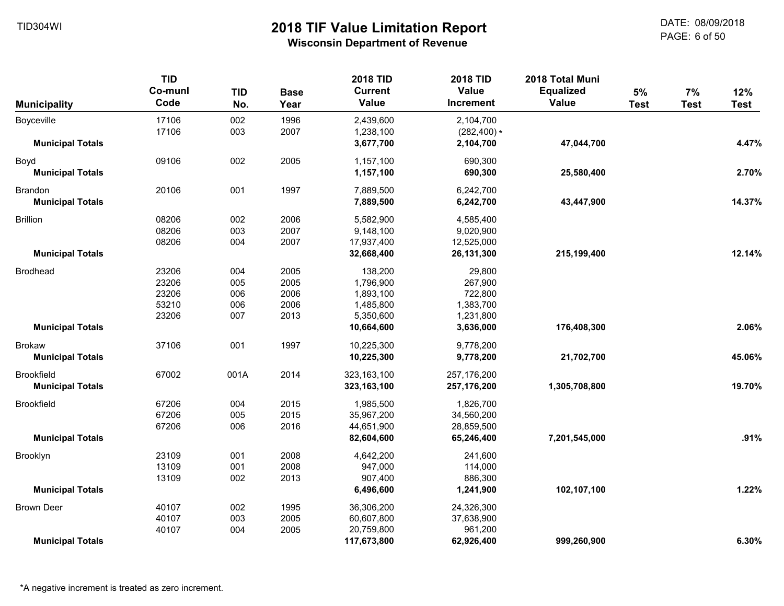**Wisconsin Department of Revenue** 

DATE: 08/09/2018 PAGE: 6 of 50

|                         | <b>TID</b> |            |             | <b>2018 TID</b> | <b>2018 TID</b> | 2018 Total Muni  |             |             |             |
|-------------------------|------------|------------|-------------|-----------------|-----------------|------------------|-------------|-------------|-------------|
|                         | Co-munl    | <b>TID</b> | <b>Base</b> | <b>Current</b>  | Value           | <b>Equalized</b> | 5%          | 7%          | 12%         |
| <b>Municipality</b>     | Code       | No.        | Year        | Value           | Increment       | Value            | <b>Test</b> | <b>Test</b> | <b>Test</b> |
| Boyceville              | 17106      | 002        | 1996        | 2,439,600       | 2,104,700       |                  |             |             |             |
|                         | 17106      | 003        | 2007        | 1,238,100       | $(282, 400)*$   |                  |             |             |             |
| <b>Municipal Totals</b> |            |            |             | 3,677,700       | 2,104,700       | 47,044,700       |             |             | 4.47%       |
| Boyd                    | 09106      | 002        | 2005        | 1,157,100       | 690,300         |                  |             |             |             |
| <b>Municipal Totals</b> |            |            |             | 1,157,100       | 690,300         | 25,580,400       |             |             | 2.70%       |
| <b>Brandon</b>          | 20106      | 001        | 1997        | 7,889,500       | 6,242,700       |                  |             |             |             |
| <b>Municipal Totals</b> |            |            |             | 7,889,500       | 6,242,700       | 43,447,900       |             |             | 14.37%      |
| <b>Brillion</b>         | 08206      | 002        | 2006        | 5,582,900       | 4,585,400       |                  |             |             |             |
|                         | 08206      | 003        | 2007        | 9,148,100       | 9,020,900       |                  |             |             |             |
|                         | 08206      | 004        | 2007        | 17,937,400      | 12,525,000      |                  |             |             |             |
| <b>Municipal Totals</b> |            |            |             | 32,668,400      | 26,131,300      | 215,199,400      |             |             | 12.14%      |
| <b>Brodhead</b>         | 23206      | 004        | 2005        | 138,200         | 29,800          |                  |             |             |             |
|                         | 23206      | 005        | 2005        | 1,796,900       | 267,900         |                  |             |             |             |
|                         | 23206      | 006        | 2006        | 1,893,100       | 722,800         |                  |             |             |             |
|                         | 53210      | 006        | 2006        | 1,485,800       | 1,383,700       |                  |             |             |             |
|                         | 23206      | 007        | 2013        | 5,350,600       | 1,231,800       |                  |             |             |             |
| <b>Municipal Totals</b> |            |            |             | 10,664,600      | 3,636,000       | 176,408,300      |             |             | 2.06%       |
| <b>Brokaw</b>           | 37106      | 001        | 1997        | 10,225,300      | 9,778,200       |                  |             |             |             |
| <b>Municipal Totals</b> |            |            |             | 10,225,300      | 9,778,200       | 21,702,700       |             |             | 45.06%      |
| <b>Brookfield</b>       | 67002      | 001A       | 2014        | 323,163,100     | 257,176,200     |                  |             |             |             |
| <b>Municipal Totals</b> |            |            |             | 323,163,100     | 257, 176, 200   | 1,305,708,800    |             |             | 19.70%      |
| <b>Brookfield</b>       | 67206      | 004        | 2015        | 1,985,500       | 1,826,700       |                  |             |             |             |
|                         | 67206      | 005        | 2015        | 35,967,200      | 34,560,200      |                  |             |             |             |
|                         | 67206      | 006        | 2016        | 44,651,900      | 28,859,500      |                  |             |             |             |
| <b>Municipal Totals</b> |            |            |             | 82,604,600      | 65,246,400      | 7,201,545,000    |             |             | .91%        |
| Brooklyn                | 23109      | 001        | 2008        | 4,642,200       | 241,600         |                  |             |             |             |
|                         | 13109      | 001        | 2008        | 947,000         | 114,000         |                  |             |             |             |
|                         | 13109      | 002        | 2013        | 907,400         | 886,300         |                  |             |             |             |
| <b>Municipal Totals</b> |            |            |             | 6,496,600       | 1,241,900       | 102,107,100      |             |             | 1.22%       |
| <b>Brown Deer</b>       | 40107      | 002        | 1995        | 36,306,200      | 24,326,300      |                  |             |             |             |
|                         | 40107      | 003        | 2005        | 60,607,800      | 37,638,900      |                  |             |             |             |
|                         | 40107      | 004        | 2005        | 20,759,800      | 961,200         |                  |             |             |             |
| <b>Municipal Totals</b> |            |            |             | 117,673,800     | 62,926,400      | 999,260,900      |             |             | 6.30%       |
|                         |            |            |             |                 |                 |                  |             |             |             |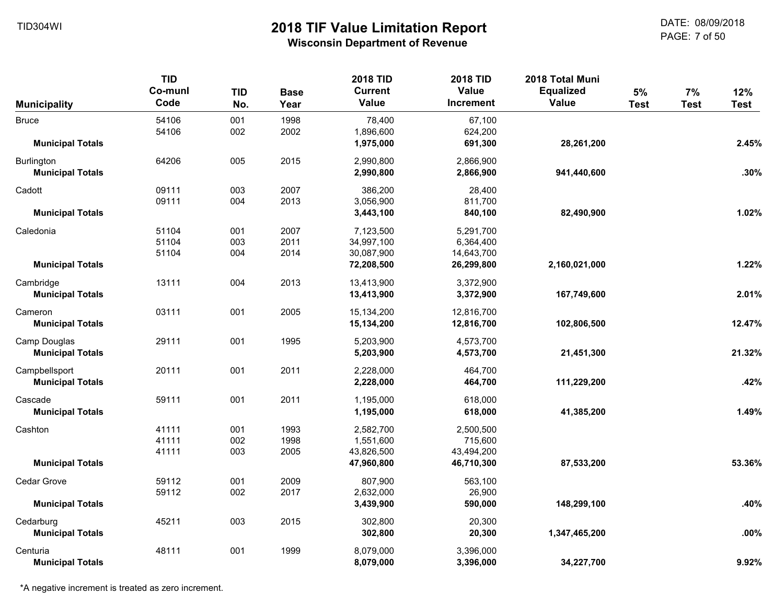### **2018 TIF Value Limitation Report**  TID304WI DATE: 08/09/2018

**Wisconsin Department of Revenue** 

PAGE: 7 of 50

|                                       | <b>TID</b><br>Co-munl | <b>TID</b> | <b>Base</b>  | <b>2018 TID</b><br><b>Current</b> | <b>2018 TID</b><br>Value | 2018 Total Muni<br><b>Equalized</b> | 5%          | 7%          | 12%         |
|---------------------------------------|-----------------------|------------|--------------|-----------------------------------|--------------------------|-------------------------------------|-------------|-------------|-------------|
| <b>Municipality</b>                   | Code                  | No.        | Year         | Value                             | <b>Increment</b>         | Value                               | <b>Test</b> | <b>Test</b> | <b>Test</b> |
| <b>Bruce</b>                          | 54106<br>54106        | 001<br>002 | 1998<br>2002 | 78,400<br>1,896,600               | 67,100<br>624,200        |                                     |             |             |             |
| <b>Municipal Totals</b>               |                       |            |              | 1,975,000                         | 691,300                  | 28,261,200                          |             |             | 2.45%       |
| Burlington<br><b>Municipal Totals</b> | 64206                 | 005        | 2015         | 2,990,800<br>2,990,800            | 2,866,900<br>2,866,900   | 941,440,600                         |             |             | .30%        |
| Cadott                                | 09111                 | 003        | 2007         | 386,200                           | 28,400                   |                                     |             |             |             |
|                                       | 09111                 | 004        | 2013         | 3,056,900                         | 811,700                  |                                     |             |             |             |
| <b>Municipal Totals</b>               |                       |            |              | 3,443,100                         | 840,100                  | 82,490,900                          |             |             | 1.02%       |
| Caledonia                             | 51104                 | 001        | 2007         | 7,123,500                         | 5,291,700                |                                     |             |             |             |
|                                       | 51104<br>51104        | 003<br>004 | 2011<br>2014 | 34,997,100<br>30,087,900          | 6,364,400<br>14,643,700  |                                     |             |             |             |
| <b>Municipal Totals</b>               |                       |            |              | 72,208,500                        | 26,299,800               | 2,160,021,000                       |             |             | 1.22%       |
| Cambridge                             | 13111                 | 004        | 2013         | 13,413,900                        | 3,372,900                |                                     |             |             |             |
| <b>Municipal Totals</b>               |                       |            |              | 13,413,900                        | 3,372,900                | 167,749,600                         |             |             | 2.01%       |
| Cameron                               | 03111                 | 001        | 2005         | 15,134,200                        | 12,816,700               |                                     |             |             |             |
| <b>Municipal Totals</b>               |                       |            |              | 15,134,200                        | 12,816,700               | 102,806,500                         |             |             | 12.47%      |
| Camp Douglas                          | 29111                 | 001        | 1995         | 5,203,900                         | 4,573,700                |                                     |             |             |             |
| <b>Municipal Totals</b>               |                       |            |              | 5,203,900                         | 4,573,700                | 21,451,300                          |             |             | 21.32%      |
| Campbellsport                         | 20111                 | 001        | 2011         | 2,228,000                         | 464,700                  |                                     |             |             |             |
| <b>Municipal Totals</b>               |                       |            |              | 2,228,000                         | 464,700                  | 111,229,200                         |             |             | .42%        |
| Cascade                               | 59111                 | 001        | 2011         | 1,195,000                         | 618,000                  |                                     |             |             |             |
| <b>Municipal Totals</b>               |                       |            |              | 1,195,000                         | 618,000                  | 41,385,200                          |             |             | 1.49%       |
| Cashton                               | 41111                 | 001        | 1993         | 2,582,700                         | 2,500,500                |                                     |             |             |             |
|                                       | 41111                 | 002        | 1998         | 1,551,600                         | 715,600                  |                                     |             |             |             |
|                                       | 41111                 | 003        | 2005         | 43,826,500                        | 43,494,200               |                                     |             |             |             |
| <b>Municipal Totals</b>               |                       |            |              | 47,960,800                        | 46,710,300               | 87,533,200                          |             |             | 53.36%      |
| Cedar Grove                           | 59112                 | 001        | 2009         | 807,900                           | 563,100                  |                                     |             |             |             |
|                                       | 59112                 | 002        | 2017         | 2,632,000                         | 26,900                   |                                     |             |             | .40%        |
| <b>Municipal Totals</b>               |                       |            |              | 3,439,900                         | 590,000                  | 148,299,100                         |             |             |             |
| Cedarburg                             | 45211                 | 003        | 2015         | 302,800                           | 20,300                   |                                     |             |             |             |
| <b>Municipal Totals</b>               |                       |            |              | 302,800                           | 20,300                   | 1,347,465,200                       |             |             | .00%        |
| Centuria                              | 48111                 | 001        | 1999         | 8,079,000                         | 3,396,000                |                                     |             |             |             |
| <b>Municipal Totals</b>               |                       |            |              | 8,079,000                         | 3,396,000                | 34,227,700                          |             |             | 9.92%       |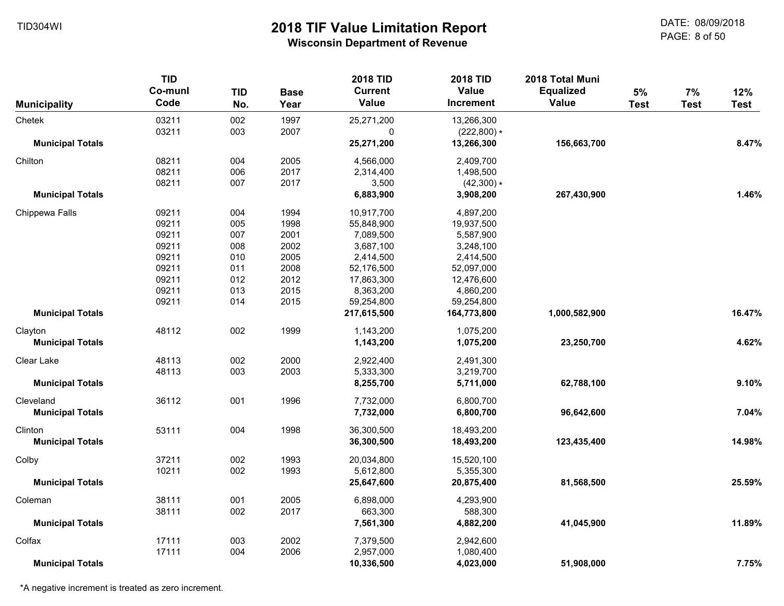**Wisconsin Department of Revenue** 

DATE: 08/09/2018 PAGE: 8 of 50

| <b>Municipality</b>     | <b>TID</b><br>Co-munl<br>Code | <b>TID</b><br>No. | <b>Base</b><br>Year | <b>2018 TID</b><br><b>Current</b><br><b>Value</b> | <b>2018 TID</b><br>Value<br>Increment | 2018 Total Muni<br><b>Equalized</b><br><b>Value</b> | 5%<br><b>Test</b> | 7%<br><b>Test</b> | 12%<br><b>Test</b> |
|-------------------------|-------------------------------|-------------------|---------------------|---------------------------------------------------|---------------------------------------|-----------------------------------------------------|-------------------|-------------------|--------------------|
|                         |                               |                   |                     |                                                   |                                       |                                                     |                   |                   |                    |
| Chetek                  | 03211                         | 002               | 1997<br>2007        | 25,271,200<br>$\Omega$                            | 13,266,300                            |                                                     |                   |                   |                    |
|                         | 03211                         | 003               |                     |                                                   | $(222, 800)*$                         |                                                     |                   |                   |                    |
| <b>Municipal Totals</b> |                               |                   |                     | 25,271,200                                        | 13,266,300                            | 156,663,700                                         |                   |                   | 8.47%              |
| Chilton                 | 08211                         | 004               | 2005                | 4,566,000                                         | 2,409,700                             |                                                     |                   |                   |                    |
|                         | 08211                         | 006               | 2017                | 2,314,400                                         | 1,498,500                             |                                                     |                   |                   |                    |
|                         | 08211                         | 007               | 2017                | 3,500                                             | $(42,300)*$                           |                                                     |                   |                   |                    |
| <b>Municipal Totals</b> |                               |                   |                     | 6,883,900                                         | 3,908,200                             | 267,430,900                                         |                   |                   | 1.46%              |
| Chippewa Falls          | 09211                         | 004               | 1994                | 10,917,700                                        | 4,897,200                             |                                                     |                   |                   |                    |
|                         | 09211                         | 005               | 1998                | 55,848,900                                        | 19,937,500                            |                                                     |                   |                   |                    |
|                         | 09211                         | 007               | 2001                | 7,089,500                                         | 5,587,900                             |                                                     |                   |                   |                    |
|                         | 09211                         | 008               | 2002                | 3,687,100                                         | 3,248,100                             |                                                     |                   |                   |                    |
|                         | 09211                         | 010               | 2005                | 2,414,500                                         | 2,414,500                             |                                                     |                   |                   |                    |
|                         | 09211                         | 011               | 2008                | 52,176,500                                        | 52,097,000                            |                                                     |                   |                   |                    |
|                         | 09211                         | 012               | 2012                | 17,863,300                                        | 12,476,600                            |                                                     |                   |                   |                    |
|                         | 09211                         | 013               | 2015                | 8,363,200                                         | 4,860,200                             |                                                     |                   |                   |                    |
|                         | 09211                         | 014               | 2015                | 59,254,800                                        | 59,254,800                            |                                                     |                   |                   |                    |
| <b>Municipal Totals</b> |                               |                   |                     | 217,615,500                                       | 164,773,800                           | 1,000,582,900                                       |                   |                   | 16.47%             |
| Clayton                 | 48112                         | 002               | 1999                | 1,143,200                                         | 1,075,200                             |                                                     |                   |                   |                    |
| <b>Municipal Totals</b> |                               |                   |                     | 1,143,200                                         | 1,075,200                             | 23,250,700                                          |                   |                   | 4.62%              |
| Clear Lake              | 48113                         | 002               | 2000                | 2,922,400                                         | 2,491,300                             |                                                     |                   |                   |                    |
|                         | 48113                         | 003               | 2003                | 5,333,300                                         | 3,219,700                             |                                                     |                   |                   |                    |
| <b>Municipal Totals</b> |                               |                   |                     | 8,255,700                                         | 5,711,000                             | 62,788,100                                          |                   |                   | 9.10%              |
| Cleveland               | 36112                         | 001               | 1996                | 7,732,000                                         | 6,800,700                             |                                                     |                   |                   |                    |
| <b>Municipal Totals</b> |                               |                   |                     | 7,732,000                                         | 6,800,700                             | 96,642,600                                          |                   |                   | 7.04%              |
| Clinton                 | 53111                         | 004               | 1998                | 36,300,500                                        | 18,493,200                            |                                                     |                   |                   |                    |
| <b>Municipal Totals</b> |                               |                   |                     | 36,300,500                                        | 18,493,200                            | 123,435,400                                         |                   |                   | 14.98%             |
| Colby                   | 37211                         | 002               | 1993                | 20,034,800                                        | 15,520,100                            |                                                     |                   |                   |                    |
|                         | 10211                         | 002               | 1993                | 5,612,800                                         | 5,355,300                             |                                                     |                   |                   |                    |
| <b>Municipal Totals</b> |                               |                   |                     | 25,647,600                                        | 20,875,400                            | 81,568,500                                          |                   |                   | 25.59%             |
| Coleman                 | 38111                         | 001               | 2005                | 6,898,000                                         | 4,293,900                             |                                                     |                   |                   |                    |
|                         | 38111                         | 002               | 2017                | 663,300                                           | 588,300                               |                                                     |                   |                   |                    |
| <b>Municipal Totals</b> |                               |                   |                     | 7,561,300                                         | 4,882,200                             | 41,045,900                                          |                   |                   | 11.89%             |
| Colfax                  | 17111                         | 003               | 2002                | 7,379,500                                         | 2,942,600                             |                                                     |                   |                   |                    |
|                         | 17111                         | 004               | 2006                | 2,957,000                                         | 1,080,400                             |                                                     |                   |                   |                    |
| <b>Municipal Totals</b> |                               |                   |                     | 10,336,500                                        | 4,023,000                             | 51,908,000                                          |                   |                   | 7.75%              |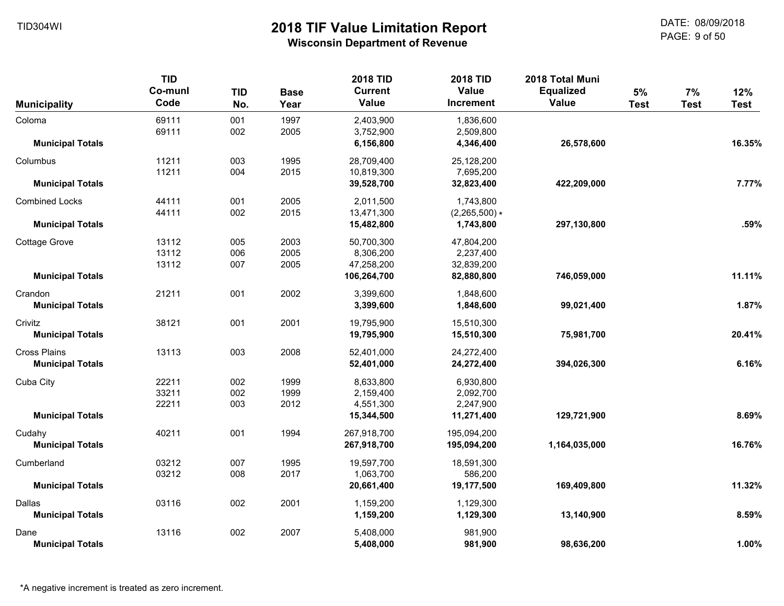**Wisconsin Department of Revenue** 

DATE: 08/09/2018 PAGE: 9 of 50

|                         | <b>TID</b><br>Co-munl<br>Code | <b>TID</b><br>No. | <b>Base</b><br>Year | <b>2018 TID</b><br><b>Current</b><br><b>Value</b> | <b>2018 TID</b><br>Value<br><b>Increment</b> | 2018 Total Muni<br><b>Equalized</b><br>Value | 5%<br><b>Test</b> | 7%<br><b>Test</b> | 12%<br><b>Test</b> |
|-------------------------|-------------------------------|-------------------|---------------------|---------------------------------------------------|----------------------------------------------|----------------------------------------------|-------------------|-------------------|--------------------|
| <b>Municipality</b>     |                               |                   |                     |                                                   |                                              |                                              |                   |                   |                    |
| Coloma                  | 69111<br>69111                | 001<br>002        | 1997<br>2005        | 2,403,900<br>3,752,900                            | 1,836,600<br>2,509,800                       |                                              |                   |                   |                    |
| <b>Municipal Totals</b> |                               |                   |                     | 6,156,800                                         | 4,346,400                                    | 26,578,600                                   |                   |                   | 16.35%             |
| Columbus                | 11211                         | 003               | 1995                | 28,709,400                                        | 25,128,200                                   |                                              |                   |                   |                    |
|                         | 11211                         | 004               | 2015                | 10,819,300                                        | 7,695,200                                    |                                              |                   |                   |                    |
| <b>Municipal Totals</b> |                               |                   |                     | 39,528,700                                        | 32,823,400                                   | 422,209,000                                  |                   |                   | 7.77%              |
| <b>Combined Locks</b>   | 44111                         | 001               | 2005                | 2,011,500                                         | 1,743,800                                    |                                              |                   |                   |                    |
|                         | 44111                         | 002               | 2015                | 13,471,300                                        | $(2,265,500)*$                               |                                              |                   |                   |                    |
| <b>Municipal Totals</b> |                               |                   |                     | 15,482,800                                        | 1,743,800                                    | 297,130,800                                  |                   |                   | .59%               |
| Cottage Grove           | 13112                         | 005               | 2003                | 50.700.300                                        | 47,804,200                                   |                                              |                   |                   |                    |
|                         | 13112                         | 006               | 2005                | 8,306,200                                         | 2,237,400                                    |                                              |                   |                   |                    |
|                         | 13112                         | 007               | 2005                | 47,258,200                                        | 32,839,200                                   |                                              |                   |                   |                    |
| <b>Municipal Totals</b> |                               |                   |                     | 106,264,700                                       | 82,880,800                                   | 746,059,000                                  |                   |                   | 11.11%             |
| Crandon                 | 21211                         | 001               | 2002                | 3,399,600                                         | 1.848.600                                    |                                              |                   |                   |                    |
| <b>Municipal Totals</b> |                               |                   |                     | 3,399,600                                         | 1,848,600                                    | 99,021,400                                   |                   |                   | 1.87%              |
| Crivitz                 | 38121                         | 001               | 2001                | 19,795,900                                        | 15,510,300                                   |                                              |                   |                   |                    |
| <b>Municipal Totals</b> |                               |                   |                     | 19,795,900                                        | 15,510,300                                   | 75,981,700                                   |                   |                   | 20.41%             |
| <b>Cross Plains</b>     | 13113                         | 003               | 2008                | 52,401,000                                        | 24,272,400                                   |                                              |                   |                   |                    |
| <b>Municipal Totals</b> |                               |                   |                     | 52,401,000                                        | 24,272,400                                   | 394,026,300                                  |                   |                   | 6.16%              |
| Cuba City               | 22211                         | 002               | 1999                | 8,633,800                                         | 6,930,800                                    |                                              |                   |                   |                    |
|                         | 33211                         | 002               | 1999                | 2,159,400                                         | 2,092,700                                    |                                              |                   |                   |                    |
|                         | 22211                         | 003               | 2012                | 4,551,300                                         | 2,247,900                                    |                                              |                   |                   |                    |
| <b>Municipal Totals</b> |                               |                   |                     | 15,344,500                                        | 11,271,400                                   | 129,721,900                                  |                   |                   | 8.69%              |
| Cudahy                  | 40211                         | 001               | 1994                | 267,918,700                                       | 195,094,200                                  |                                              |                   |                   |                    |
| <b>Municipal Totals</b> |                               |                   |                     | 267,918,700                                       | 195,094,200                                  | 1,164,035,000                                |                   |                   | 16.76%             |
| Cumberland              | 03212                         | 007               | 1995                | 19,597,700                                        | 18,591,300                                   |                                              |                   |                   |                    |
|                         | 03212                         | 008               | 2017                | 1,063,700                                         | 586,200                                      |                                              |                   |                   |                    |
| <b>Municipal Totals</b> |                               |                   |                     | 20,661,400                                        | 19,177,500                                   | 169,409,800                                  |                   |                   | 11.32%             |
| Dallas                  | 03116                         | 002               | 2001                | 1,159,200                                         | 1,129,300                                    |                                              |                   |                   |                    |
| <b>Municipal Totals</b> |                               |                   |                     | 1,159,200                                         | 1,129,300                                    | 13,140,900                                   |                   |                   | 8.59%              |
| Dane                    | 13116                         | 002               | 2007                | 5,408,000                                         | 981,900                                      |                                              |                   |                   |                    |
| <b>Municipal Totals</b> |                               |                   |                     | 5,408,000                                         | 981,900                                      | 98,636,200                                   |                   |                   | 1.00%              |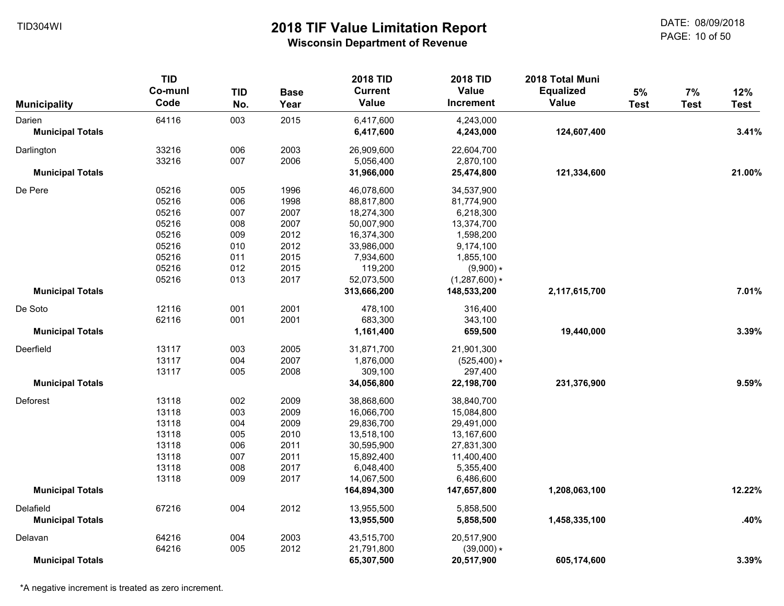**Wisconsin Department of Revenue** 

DATE: 08/09/2018 PAGE: 10 of 50

|                         | <b>TID</b><br>Co-munl<br>Code | <b>TID</b> | <b>Base</b> | <b>2018 TID</b><br><b>Current</b><br>Value | <b>2018 TID</b><br>Value<br><b>Increment</b> | 2018 Total Muni<br><b>Equalized</b><br>Value | 5%          | 7%          | 12%         |
|-------------------------|-------------------------------|------------|-------------|--------------------------------------------|----------------------------------------------|----------------------------------------------|-------------|-------------|-------------|
| <b>Municipality</b>     |                               | No.        | Year        |                                            |                                              |                                              | <b>Test</b> | <b>Test</b> | <b>Test</b> |
| Darien                  | 64116                         | 003        | 2015        | 6,417,600                                  | 4,243,000                                    |                                              |             |             |             |
| <b>Municipal Totals</b> |                               |            |             | 6,417,600                                  | 4,243,000                                    | 124,607,400                                  |             |             | 3.41%       |
| Darlington              | 33216                         | 006        | 2003        | 26,909,600                                 | 22,604,700                                   |                                              |             |             |             |
|                         | 33216                         | 007        | 2006        | 5,056,400                                  | 2,870,100                                    |                                              |             |             |             |
| <b>Municipal Totals</b> |                               |            |             | 31,966,000                                 | 25,474,800                                   | 121,334,600                                  |             |             | 21.00%      |
| De Pere                 | 05216                         | 005        | 1996        | 46,078,600                                 | 34,537,900                                   |                                              |             |             |             |
|                         | 05216                         | 006        | 1998        | 88,817,800                                 | 81,774,900                                   |                                              |             |             |             |
|                         | 05216                         | 007        | 2007        | 18,274,300                                 | 6,218,300                                    |                                              |             |             |             |
|                         | 05216                         | 008        | 2007        | 50,007,900                                 | 13,374,700                                   |                                              |             |             |             |
|                         | 05216                         | 009        | 2012        | 16,374,300                                 | 1,598,200                                    |                                              |             |             |             |
|                         | 05216                         | 010        | 2012        | 33,986,000                                 | 9,174,100                                    |                                              |             |             |             |
|                         | 05216                         | 011        | 2015        | 7,934,600                                  | 1,855,100                                    |                                              |             |             |             |
|                         | 05216                         | 012        | 2015        | 119,200                                    | $(9,900)*$                                   |                                              |             |             |             |
|                         | 05216                         | 013        | 2017        | 52,073,500                                 | $(1,287,600)*$                               |                                              |             |             |             |
| <b>Municipal Totals</b> |                               |            |             | 313,666,200                                | 148,533,200                                  | 2,117,615,700                                |             |             | 7.01%       |
| De Soto                 | 12116                         | 001        | 2001        | 478,100                                    | 316,400                                      |                                              |             |             |             |
|                         | 62116                         | 001        | 2001        | 683,300                                    | 343,100                                      |                                              |             |             |             |
| <b>Municipal Totals</b> |                               |            |             | 1,161,400                                  | 659,500                                      | 19,440,000                                   |             |             | 3.39%       |
| Deerfield               | 13117                         | 003        | 2005        | 31,871,700                                 | 21,901,300                                   |                                              |             |             |             |
|                         | 13117                         | 004        | 2007        | 1,876,000                                  | $(525, 400)*$                                |                                              |             |             |             |
|                         | 13117                         | 005        | 2008        | 309,100                                    | 297,400                                      |                                              |             |             |             |
| <b>Municipal Totals</b> |                               |            |             | 34,056,800                                 | 22,198,700                                   | 231,376,900                                  |             |             | 9.59%       |
| Deforest                | 13118                         | 002        | 2009        | 38,868,600                                 | 38,840,700                                   |                                              |             |             |             |
|                         | 13118                         | 003        | 2009        | 16,066,700                                 | 15,084,800                                   |                                              |             |             |             |
|                         | 13118                         | 004        | 2009        | 29,836,700                                 | 29,491,000                                   |                                              |             |             |             |
|                         | 13118                         | 005        | 2010        | 13,518,100                                 | 13,167,600                                   |                                              |             |             |             |
|                         | 13118                         | 006        | 2011        | 30,595,900                                 | 27,831,300                                   |                                              |             |             |             |
|                         | 13118                         | 007        | 2011        | 15,892,400                                 | 11,400,400                                   |                                              |             |             |             |
|                         | 13118                         | 008        | 2017        | 6,048,400                                  | 5,355,400                                    |                                              |             |             |             |
|                         | 13118                         | 009        | 2017        | 14,067,500                                 | 6,486,600                                    |                                              |             |             |             |
| <b>Municipal Totals</b> |                               |            |             | 164,894,300                                | 147,657,800                                  | 1,208,063,100                                |             |             | 12.22%      |
| Delafield               | 67216                         | 004        | 2012        | 13,955,500                                 | 5,858,500                                    |                                              |             |             |             |
| <b>Municipal Totals</b> |                               |            |             | 13,955,500                                 | 5,858,500                                    | 1,458,335,100                                |             |             | .40%        |
| Delavan                 | 64216                         | 004        | 2003        | 43,515,700                                 | 20,517,900                                   |                                              |             |             |             |
|                         | 64216                         | 005        | 2012        | 21,791,800                                 | $(39,000)*$                                  |                                              |             |             |             |
| <b>Municipal Totals</b> |                               |            |             | 65,307,500                                 | 20,517,900                                   | 605,174,600                                  |             |             | 3.39%       |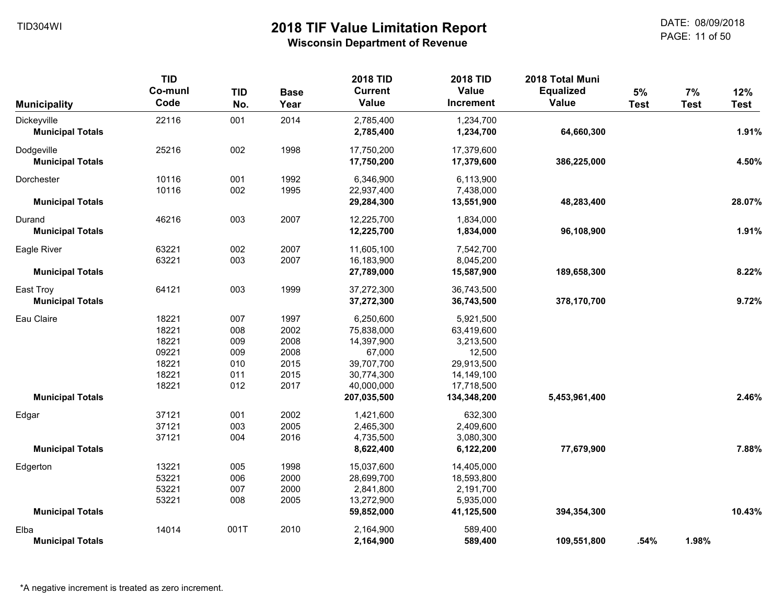### **2018 TIF Value Limitation Report**  TID304WI DATE: 08/09/2018

**Wisconsin Department of Revenue** 

PAGE: 11 of 50

|                                        | <b>TID</b><br>Co-munl<br>Code                               | <b>TID</b>                                    | <b>Base</b>                                          | <b>2018 TID</b><br><b>Current</b><br>Value                                                | <b>2018 TID</b><br>Value                                                                 | 2018 Total Muni<br><b>Equalized</b><br>Value | $5%$        | 7%          | 12%         |
|----------------------------------------|-------------------------------------------------------------|-----------------------------------------------|------------------------------------------------------|-------------------------------------------------------------------------------------------|------------------------------------------------------------------------------------------|----------------------------------------------|-------------|-------------|-------------|
| <b>Municipality</b>                    |                                                             | No.                                           | Year                                                 |                                                                                           | Increment                                                                                |                                              | <b>Test</b> | <b>Test</b> | <b>Test</b> |
| Dickeyville<br><b>Municipal Totals</b> | 22116                                                       | 001                                           | 2014                                                 | 2,785,400<br>2,785,400                                                                    | 1,234,700<br>1,234,700                                                                   | 64,660,300                                   |             |             | 1.91%       |
| Dodgeville<br><b>Municipal Totals</b>  | 25216                                                       | 002                                           | 1998                                                 | 17,750,200<br>17,750,200                                                                  | 17,379,600<br>17,379,600                                                                 | 386,225,000                                  |             |             | 4.50%       |
| Dorchester                             | 10116<br>10116                                              | 001<br>002                                    | 1992<br>1995                                         | 6,346,900<br>22,937,400                                                                   | 6,113,900<br>7,438,000                                                                   |                                              |             |             |             |
| <b>Municipal Totals</b>                |                                                             |                                               |                                                      | 29,284,300                                                                                | 13,551,900                                                                               | 48,283,400                                   |             |             | 28.07%      |
| Durand<br><b>Municipal Totals</b>      | 46216                                                       | 003                                           | 2007                                                 | 12,225,700<br>12,225,700                                                                  | 1,834,000<br>1,834,000                                                                   | 96,108,900                                   |             |             | 1.91%       |
| Eagle River                            | 63221<br>63221                                              | 002<br>003                                    | 2007<br>2007                                         | 11,605,100<br>16,183,900                                                                  | 7,542,700<br>8,045,200                                                                   |                                              |             |             |             |
| <b>Municipal Totals</b>                |                                                             |                                               |                                                      | 27,789,000                                                                                | 15,587,900                                                                               | 189,658,300                                  |             |             | 8.22%       |
| East Troy<br><b>Municipal Totals</b>   | 64121                                                       | 003                                           | 1999                                                 | 37,272,300<br>37,272,300                                                                  | 36,743,500<br>36,743,500                                                                 | 378,170,700                                  |             |             | 9.72%       |
| Eau Claire                             | 18221<br>18221<br>18221<br>09221<br>18221<br>18221<br>18221 | 007<br>008<br>009<br>009<br>010<br>011<br>012 | 1997<br>2002<br>2008<br>2008<br>2015<br>2015<br>2017 | 6,250,600<br>75,838,000<br>14,397,900<br>67,000<br>39,707,700<br>30,774,300<br>40,000,000 | 5,921,500<br>63,419,600<br>3,213,500<br>12,500<br>29,913,500<br>14,149,100<br>17,718,500 |                                              |             |             |             |
| <b>Municipal Totals</b>                |                                                             |                                               |                                                      | 207,035,500                                                                               | 134,348,200                                                                              | 5,453,961,400                                |             |             | 2.46%       |
| Edgar                                  | 37121<br>37121<br>37121                                     | 001<br>003<br>004                             | 2002<br>2005<br>2016                                 | 1,421,600<br>2,465,300<br>4,735,500                                                       | 632,300<br>2,409,600<br>3,080,300                                                        |                                              |             |             |             |
| <b>Municipal Totals</b>                |                                                             |                                               |                                                      | 8,622,400                                                                                 | 6,122,200                                                                                | 77,679,900                                   |             |             | 7.88%       |
| Edgerton<br><b>Municipal Totals</b>    | 13221<br>53221<br>53221<br>53221                            | 005<br>006<br>007<br>008                      | 1998<br>2000<br>2000<br>2005                         | 15,037,600<br>28,699,700<br>2,841,800<br>13,272,900<br>59,852,000                         | 14,405,000<br>18,593,800<br>2,191,700<br>5,935,000<br>41,125,500                         | 394,354,300                                  |             |             | 10.43%      |
|                                        |                                                             |                                               |                                                      |                                                                                           |                                                                                          |                                              |             |             |             |
| Elba<br><b>Municipal Totals</b>        | 14014                                                       | 001T                                          | 2010                                                 | 2,164,900<br>2,164,900                                                                    | 589,400<br>589,400                                                                       | 109,551,800                                  | .54%        | 1.98%       |             |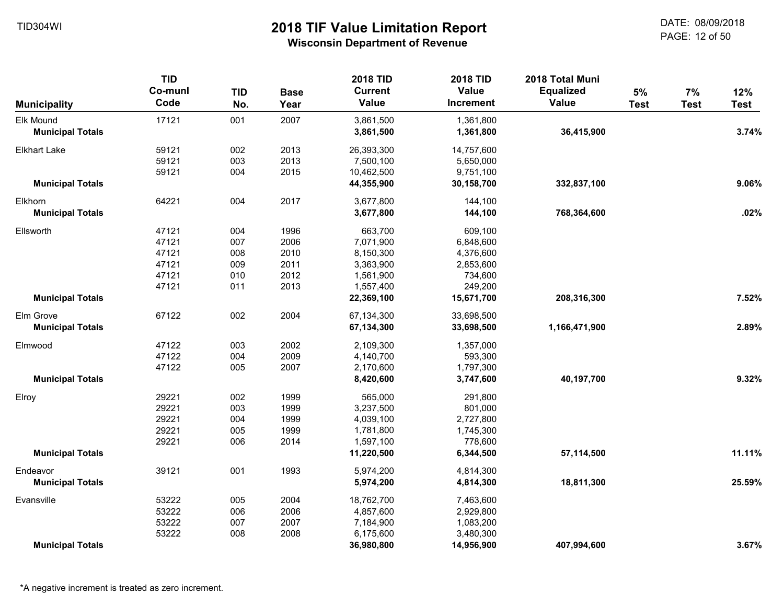#### **2018 TIF Value Limitation Report**  TID304WI DATE: 08/09/2018

**Wisconsin Department of Revenue** 

PAGE: 12 of 50

| <b>Municipality</b>                  | TID<br>Co-munl<br>Code                             | <b>TID</b><br>No.                      | <b>Base</b><br>Year                          | <b>2018 TID</b><br><b>Current</b><br>Value                               | <b>2018 TID</b><br>Value<br><b>Increment</b>                         | 2018 Total Muni<br><b>Equalized</b><br><b>Value</b> | 5%<br><b>Test</b> | 7%<br><b>Test</b> | 12%<br><b>Test</b> |
|--------------------------------------|----------------------------------------------------|----------------------------------------|----------------------------------------------|--------------------------------------------------------------------------|----------------------------------------------------------------------|-----------------------------------------------------|-------------------|-------------------|--------------------|
| Elk Mound<br><b>Municipal Totals</b> | 17121                                              | 001                                    | 2007                                         | 3,861,500<br>3,861,500                                                   | 1,361,800<br>1,361,800                                               | 36,415,900                                          |                   |                   | 3.74%              |
| <b>Elkhart Lake</b>                  | 59121<br>59121<br>59121                            | 002<br>003<br>004                      | 2013<br>2013<br>2015                         | 26,393,300<br>7,500,100<br>10,462,500                                    | 14,757,600<br>5,650,000<br>9,751,100                                 |                                                     |                   |                   |                    |
| <b>Municipal Totals</b>              |                                                    |                                        |                                              | 44,355,900                                                               | 30,158,700                                                           | 332,837,100                                         |                   |                   | 9.06%              |
| Elkhorn<br><b>Municipal Totals</b>   | 64221                                              | 004                                    | 2017                                         | 3,677,800<br>3,677,800                                                   | 144,100<br>144,100                                                   | 768,364,600                                         |                   |                   | .02%               |
| Ellsworth                            | 47121<br>47121<br>47121<br>47121<br>47121<br>47121 | 004<br>007<br>008<br>009<br>010<br>011 | 1996<br>2006<br>2010<br>2011<br>2012<br>2013 | 663,700<br>7,071,900<br>8,150,300<br>3,363,900<br>1,561,900<br>1,557,400 | 609,100<br>6,848,600<br>4,376,600<br>2,853,600<br>734,600<br>249,200 |                                                     |                   |                   |                    |
| <b>Municipal Totals</b>              |                                                    |                                        |                                              | 22,369,100                                                               | 15,671,700                                                           | 208,316,300                                         |                   |                   | 7.52%              |
| Elm Grove<br><b>Municipal Totals</b> | 67122                                              | 002                                    | 2004                                         | 67,134,300<br>67,134,300                                                 | 33,698,500<br>33,698,500                                             | 1,166,471,900                                       |                   |                   | 2.89%              |
| Elmwood<br><b>Municipal Totals</b>   | 47122<br>47122<br>47122                            | 003<br>004<br>005                      | 2002<br>2009<br>2007                         | 2,109,300<br>4,140,700<br>2,170,600<br>8,420,600                         | 1,357,000<br>593,300<br>1,797,300<br>3,747,600                       | 40,197,700                                          |                   |                   | 9.32%              |
|                                      |                                                    |                                        |                                              |                                                                          |                                                                      |                                                     |                   |                   |                    |
| Elroy                                | 29221<br>29221<br>29221<br>29221<br>29221          | 002<br>003<br>004<br>005<br>006        | 1999<br>1999<br>1999<br>1999<br>2014         | 565,000<br>3,237,500<br>4,039,100<br>1,781,800<br>1,597,100              | 291,800<br>801,000<br>2,727,800<br>1,745,300<br>778,600              |                                                     |                   |                   |                    |
| <b>Municipal Totals</b>              |                                                    |                                        |                                              | 11,220,500                                                               | 6,344,500                                                            | 57,114,500                                          |                   |                   | 11.11%             |
| Endeavor<br><b>Municipal Totals</b>  | 39121                                              | 001                                    | 1993                                         | 5,974,200<br>5,974,200                                                   | 4,814,300<br>4,814,300                                               | 18,811,300                                          |                   |                   | 25.59%             |
| Evansville                           | 53222<br>53222<br>53222<br>53222                   | 005<br>006<br>007<br>008               | 2004<br>2006<br>2007<br>2008                 | 18,762,700<br>4,857,600<br>7,184,900<br>6,175,600                        | 7,463,600<br>2,929,800<br>1,083,200<br>3,480,300                     |                                                     |                   |                   |                    |
| <b>Municipal Totals</b>              |                                                    |                                        |                                              | 36,980,800                                                               | 14,956,900                                                           | 407,994,600                                         |                   |                   | 3.67%              |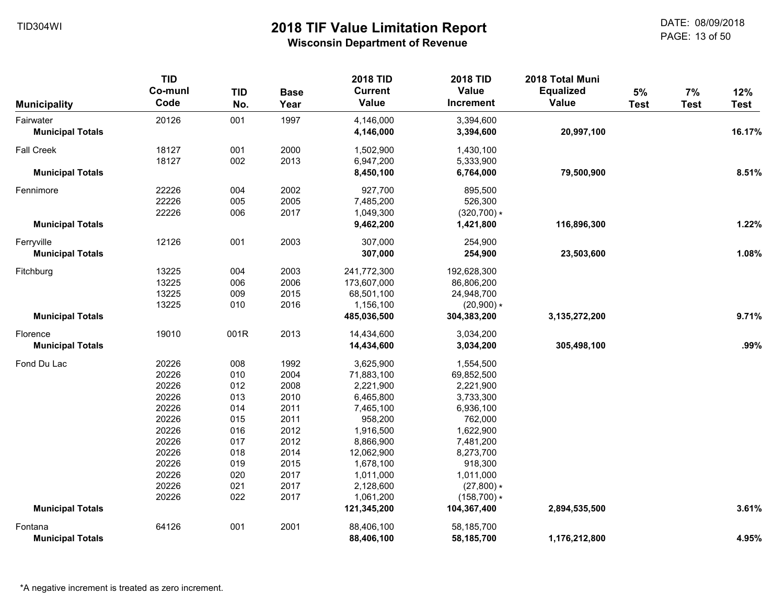**Wisconsin Department of Revenue** 

DATE: 08/09/2018 PAGE: 13 of 50

|                                      | <b>TID</b><br>Co-munl<br>Code | <b>TID</b> | <b>Base</b> | <b>2018 TID</b><br><b>Current</b><br><b>Value</b> | <b>2018 TID</b><br>Value<br>Increment | 2018 Total Muni<br><b>Equalized</b><br><b>Value</b> | $5%$        | 7%          | 12%         |
|--------------------------------------|-------------------------------|------------|-------------|---------------------------------------------------|---------------------------------------|-----------------------------------------------------|-------------|-------------|-------------|
| <b>Municipality</b>                  |                               | No.        | Year        |                                                   |                                       |                                                     | <b>Test</b> | <b>Test</b> | <b>Test</b> |
| Fairwater<br><b>Municipal Totals</b> | 20126                         | 001        | 1997        | 4,146,000<br>4,146,000                            | 3,394,600<br>3,394,600                | 20,997,100                                          |             |             | 16.17%      |
| <b>Fall Creek</b>                    | 18127                         | 001        | 2000        | 1,502,900                                         | 1,430,100                             |                                                     |             |             |             |
|                                      | 18127                         | 002        | 2013        | 6,947,200                                         | 5,333,900                             |                                                     |             |             |             |
| <b>Municipal Totals</b>              |                               |            |             | 8,450,100                                         | 6,764,000                             | 79,500,900                                          |             |             | 8.51%       |
| Fennimore                            | 22226                         | 004        | 2002        | 927,700                                           | 895,500                               |                                                     |             |             |             |
|                                      | 22226                         | 005        | 2005        | 7,485,200                                         | 526,300                               |                                                     |             |             |             |
|                                      | 22226                         | 006        | 2017        | 1,049,300                                         | $(320, 700)*$                         |                                                     |             |             |             |
| <b>Municipal Totals</b>              |                               |            |             | 9,462,200                                         | 1,421,800                             | 116,896,300                                         |             |             | 1.22%       |
| Ferryville                           | 12126                         | 001        | 2003        | 307,000                                           | 254,900                               |                                                     |             |             |             |
| <b>Municipal Totals</b>              |                               |            |             | 307,000                                           | 254,900                               | 23,503,600                                          |             |             | 1.08%       |
| Fitchburg                            | 13225                         | 004        | 2003        | 241,772,300                                       | 192,628,300                           |                                                     |             |             |             |
|                                      | 13225                         | 006        | 2006        | 173,607,000                                       | 86,806,200                            |                                                     |             |             |             |
|                                      | 13225                         | 009        | 2015        | 68,501,100                                        | 24,948,700                            |                                                     |             |             |             |
|                                      | 13225                         | 010        | 2016        | 1,156,100                                         | $(20,900)*$                           |                                                     |             |             |             |
| <b>Municipal Totals</b>              |                               |            |             | 485,036,500                                       | 304,383,200                           | 3,135,272,200                                       |             |             | 9.71%       |
| Florence                             | 19010                         | 001R       | 2013        | 14,434,600                                        | 3,034,200                             |                                                     |             |             |             |
| <b>Municipal Totals</b>              |                               |            |             | 14,434,600                                        | 3,034,200                             | 305,498,100                                         |             |             | .99%        |
| Fond Du Lac                          | 20226                         | 008        | 1992        | 3,625,900                                         | 1,554,500                             |                                                     |             |             |             |
|                                      | 20226                         | 010        | 2004        | 71,883,100                                        | 69,852,500                            |                                                     |             |             |             |
|                                      | 20226                         | 012        | 2008        | 2,221,900                                         | 2,221,900                             |                                                     |             |             |             |
|                                      | 20226                         | 013        | 2010        | 6,465,800                                         | 3,733,300                             |                                                     |             |             |             |
|                                      | 20226                         | 014        | 2011        | 7,465,100                                         | 6,936,100                             |                                                     |             |             |             |
|                                      | 20226                         | 015        | 2011        | 958,200                                           | 762,000                               |                                                     |             |             |             |
|                                      | 20226                         | 016        | 2012        | 1,916,500                                         | 1,622,900                             |                                                     |             |             |             |
|                                      | 20226                         | 017        | 2012        | 8,866,900                                         | 7,481,200                             |                                                     |             |             |             |
|                                      | 20226                         | 018        | 2014        | 12,062,900                                        | 8,273,700                             |                                                     |             |             |             |
|                                      | 20226                         | 019        | 2015        | 1,678,100                                         | 918,300                               |                                                     |             |             |             |
|                                      | 20226                         | 020        | 2017        | 1,011,000                                         | 1,011,000                             |                                                     |             |             |             |
|                                      | 20226                         | 021        | 2017        | 2,128,600                                         | $(27,800)*$                           |                                                     |             |             |             |
|                                      | 20226                         | 022        | 2017        | 1,061,200                                         | $(158, 700)*$                         |                                                     |             |             |             |
| <b>Municipal Totals</b>              |                               |            |             | 121,345,200                                       | 104,367,400                           | 2,894,535,500                                       |             |             | 3.61%       |
| Fontana                              | 64126                         | 001        | 2001        | 88,406,100                                        | 58,185,700                            |                                                     |             |             |             |
| <b>Municipal Totals</b>              |                               |            |             | 88,406,100                                        | 58,185,700                            | 1,176,212,800                                       |             |             | 4.95%       |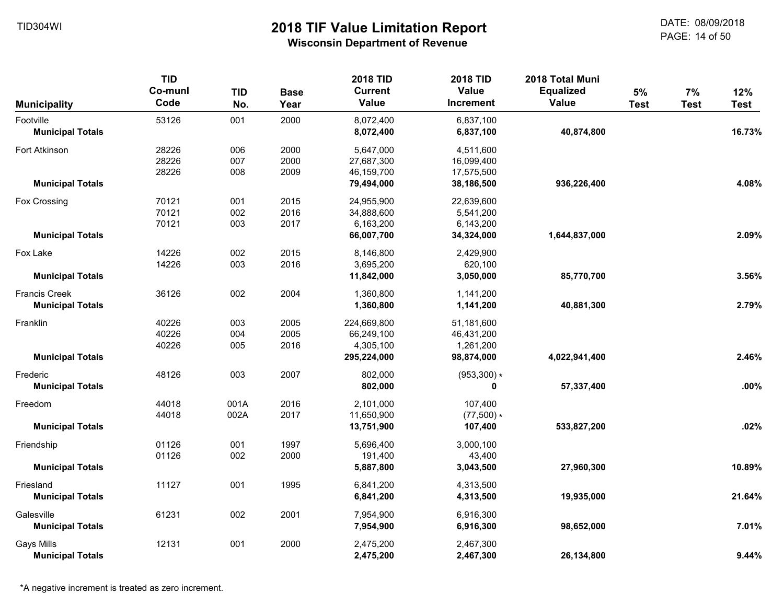**Wisconsin Department of Revenue** 

DATE: 08/09/2018 PAGE: 14 of 50

| <b>Municipality</b>                  | <b>TID</b><br>Co-munl<br>Code | <b>TID</b><br>No. | <b>Base</b><br>Year | <b>2018 TID</b><br><b>Current</b><br>Value | <b>2018 TID</b><br>Value<br><b>Increment</b> | 2018 Total Muni<br><b>Equalized</b><br>Value | 5%<br><b>Test</b> | 7%<br><b>Test</b> | 12%<br><b>Test</b> |
|--------------------------------------|-------------------------------|-------------------|---------------------|--------------------------------------------|----------------------------------------------|----------------------------------------------|-------------------|-------------------|--------------------|
|                                      |                               |                   |                     |                                            |                                              |                                              |                   |                   |                    |
| Footville<br><b>Municipal Totals</b> | 53126                         | 001               | 2000                | 8,072,400<br>8,072,400                     | 6,837,100<br>6,837,100                       | 40,874,800                                   |                   |                   | 16.73%             |
| Fort Atkinson                        | 28226                         | 006               | 2000                | 5,647,000                                  | 4,511,600                                    |                                              |                   |                   |                    |
|                                      | 28226                         | 007               | 2000                | 27,687,300                                 | 16,099,400                                   |                                              |                   |                   |                    |
|                                      | 28226                         | 008               | 2009                | 46,159,700                                 | 17,575,500                                   |                                              |                   |                   |                    |
| <b>Municipal Totals</b>              |                               |                   |                     | 79,494,000                                 | 38,186,500                                   | 936,226,400                                  |                   |                   | 4.08%              |
| Fox Crossing                         | 70121                         | 001               | 2015                | 24,955,900                                 | 22,639,600                                   |                                              |                   |                   |                    |
|                                      | 70121                         | 002               | 2016                | 34,888,600                                 | 5,541,200                                    |                                              |                   |                   |                    |
|                                      | 70121                         | 003               | 2017                | 6,163,200                                  | 6,143,200                                    |                                              |                   |                   |                    |
| <b>Municipal Totals</b>              |                               |                   |                     | 66,007,700                                 | 34,324,000                                   | 1,644,837,000                                |                   |                   | 2.09%              |
| Fox Lake                             | 14226                         | 002               | 2015                | 8,146,800                                  | 2,429,900                                    |                                              |                   |                   |                    |
|                                      | 14226                         | 003               | 2016                | 3,695,200                                  | 620,100                                      |                                              |                   |                   |                    |
| <b>Municipal Totals</b>              |                               |                   |                     | 11,842,000                                 | 3,050,000                                    | 85,770,700                                   |                   |                   | 3.56%              |
| <b>Francis Creek</b>                 | 36126                         | 002               | 2004                | 1,360,800                                  | 1,141,200                                    |                                              |                   |                   |                    |
| <b>Municipal Totals</b>              |                               |                   |                     | 1,360,800                                  | 1,141,200                                    | 40,881,300                                   |                   |                   | 2.79%              |
| Franklin                             | 40226                         | 003               | 2005                | 224,669,800                                | 51,181,600                                   |                                              |                   |                   |                    |
|                                      | 40226                         | 004               | 2005                | 66,249,100                                 | 46,431,200                                   |                                              |                   |                   |                    |
|                                      | 40226                         | 005               | 2016                | 4,305,100                                  | 1,261,200                                    |                                              |                   |                   |                    |
| <b>Municipal Totals</b>              |                               |                   |                     | 295,224,000                                | 98,874,000                                   | 4,022,941,400                                |                   |                   | 2.46%              |
| Frederic                             | 48126                         | 003               | 2007                | 802,000                                    | $(953, 300)*$                                |                                              |                   |                   |                    |
| <b>Municipal Totals</b>              |                               |                   |                     | 802,000                                    | 0                                            | 57,337,400                                   |                   |                   | .00%               |
| Freedom                              | 44018                         | 001A              | 2016                | 2,101,000                                  | 107,400                                      |                                              |                   |                   |                    |
|                                      | 44018                         | 002A              | 2017                | 11,650,900                                 | $(77,500)*$                                  |                                              |                   |                   |                    |
| <b>Municipal Totals</b>              |                               |                   |                     | 13,751,900                                 | 107,400                                      | 533,827,200                                  |                   |                   | .02%               |
| Friendship                           | 01126                         | 001               | 1997                | 5,696,400                                  | 3,000,100                                    |                                              |                   |                   |                    |
|                                      | 01126                         | 002               | 2000                | 191,400                                    | 43,400                                       |                                              |                   |                   |                    |
| <b>Municipal Totals</b>              |                               |                   |                     | 5,887,800                                  | 3,043,500                                    | 27,960,300                                   |                   |                   | 10.89%             |
| Friesland                            | 11127                         | 001               | 1995                | 6,841,200                                  | 4,313,500                                    |                                              |                   |                   |                    |
| <b>Municipal Totals</b>              |                               |                   |                     | 6,841,200                                  | 4,313,500                                    | 19,935,000                                   |                   |                   | 21.64%             |
| Galesville                           | 61231                         | 002               | 2001                | 7,954,900                                  | 6,916,300                                    |                                              |                   |                   |                    |
| <b>Municipal Totals</b>              |                               |                   |                     | 7,954,900                                  | 6,916,300                                    | 98,652,000                                   |                   |                   | 7.01%              |
| <b>Gays Mills</b>                    | 12131                         | 001               | 2000                | 2,475,200                                  | 2,467,300                                    |                                              |                   |                   |                    |
| <b>Municipal Totals</b>              |                               |                   |                     | 2,475,200                                  | 2,467,300                                    | 26,134,800                                   |                   |                   | 9.44%              |
|                                      |                               |                   |                     |                                            |                                              |                                              |                   |                   |                    |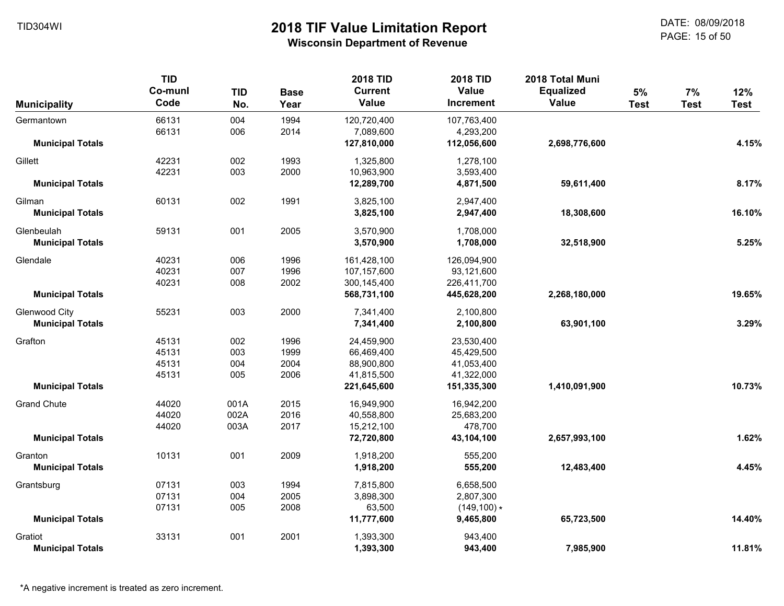**Wisconsin Department of Revenue** 

DATE: 08/09/2018 PAGE: 15 of 50

|                         | <b>TID</b> |            |             | <b>2018 TID</b> | <b>2018 TID</b>  | 2018 Total Muni  |             |             |             |
|-------------------------|------------|------------|-------------|-----------------|------------------|------------------|-------------|-------------|-------------|
|                         | Co-munl    | <b>TID</b> | <b>Base</b> | <b>Current</b>  | Value            | <b>Equalized</b> | $5%$        | 7%          | 12%         |
| <b>Municipality</b>     | Code       | No.        | Year        | Value           | <b>Increment</b> | Value            | <b>Test</b> | <b>Test</b> | <b>Test</b> |
| Germantown              | 66131      | 004        | 1994        | 120,720,400     | 107,763,400      |                  |             |             |             |
|                         | 66131      | 006        | 2014        | 7,089,600       | 4,293,200        |                  |             |             |             |
| <b>Municipal Totals</b> |            |            |             | 127,810,000     | 112,056,600      | 2,698,776,600    |             |             | 4.15%       |
| Gillett                 | 42231      | 002        | 1993        | 1,325,800       | 1,278,100        |                  |             |             |             |
|                         | 42231      | 003        | 2000        | 10,963,900      | 3,593,400        |                  |             |             |             |
| <b>Municipal Totals</b> |            |            |             | 12,289,700      | 4,871,500        | 59,611,400       |             |             | 8.17%       |
| Gilman                  | 60131      | 002        | 1991        | 3,825,100       | 2,947,400        |                  |             |             |             |
| <b>Municipal Totals</b> |            |            |             | 3,825,100       | 2,947,400        | 18,308,600       |             |             | 16.10%      |
| Glenbeulah              | 59131      | 001        | 2005        | 3,570,900       | 1,708,000        |                  |             |             |             |
| <b>Municipal Totals</b> |            |            |             | 3,570,900       | 1,708,000        | 32,518,900       |             |             | 5.25%       |
| Glendale                | 40231      | 006        | 1996        | 161,428,100     | 126,094,900      |                  |             |             |             |
|                         | 40231      | 007        | 1996        | 107,157,600     | 93,121,600       |                  |             |             |             |
|                         | 40231      | 008        | 2002        | 300,145,400     | 226,411,700      |                  |             |             |             |
| <b>Municipal Totals</b> |            |            |             | 568,731,100     | 445,628,200      | 2,268,180,000    |             |             | 19.65%      |
| Glenwood City           | 55231      | 003        | 2000        | 7,341,400       | 2,100,800        |                  |             |             |             |
| <b>Municipal Totals</b> |            |            |             | 7,341,400       | 2,100,800        | 63,901,100       |             |             | 3.29%       |
| Grafton                 | 45131      | 002        | 1996        | 24,459,900      | 23,530,400       |                  |             |             |             |
|                         | 45131      | 003        | 1999        | 66,469,400      | 45,429,500       |                  |             |             |             |
|                         | 45131      | 004        | 2004        | 88,900,800      | 41,053,400       |                  |             |             |             |
|                         | 45131      | 005        | 2006        | 41,815,500      | 41,322,000       |                  |             |             |             |
| <b>Municipal Totals</b> |            |            |             | 221,645,600     | 151,335,300      | 1,410,091,900    |             |             | 10.73%      |
| <b>Grand Chute</b>      | 44020      | 001A       | 2015        | 16,949,900      | 16,942,200       |                  |             |             |             |
|                         | 44020      | 002A       | 2016        | 40,558,800      | 25,683,200       |                  |             |             |             |
|                         | 44020      | 003A       | 2017        | 15,212,100      | 478,700          |                  |             |             |             |
| <b>Municipal Totals</b> |            |            |             | 72,720,800      | 43,104,100       | 2,657,993,100    |             |             | 1.62%       |
| Granton                 | 10131      | 001        | 2009        | 1,918,200       | 555,200          |                  |             |             |             |
| <b>Municipal Totals</b> |            |            |             | 1,918,200       | 555,200          | 12,483,400       |             |             | 4.45%       |
| Grantsburg              | 07131      | 003        | 1994        | 7,815,800       | 6,658,500        |                  |             |             |             |
|                         | 07131      | 004        | 2005        | 3,898,300       | 2,807,300        |                  |             |             |             |
|                         | 07131      | 005        | 2008        | 63,500          | $(149, 100)*$    |                  |             |             |             |
| <b>Municipal Totals</b> |            |            |             | 11,777,600      | 9,465,800        | 65,723,500       |             |             | 14.40%      |
| Gratiot                 | 33131      | 001        | 2001        | 1,393,300       | 943,400          |                  |             |             |             |
| <b>Municipal Totals</b> |            |            |             | 1,393,300       | 943,400          | 7,985,900        |             |             | 11.81%      |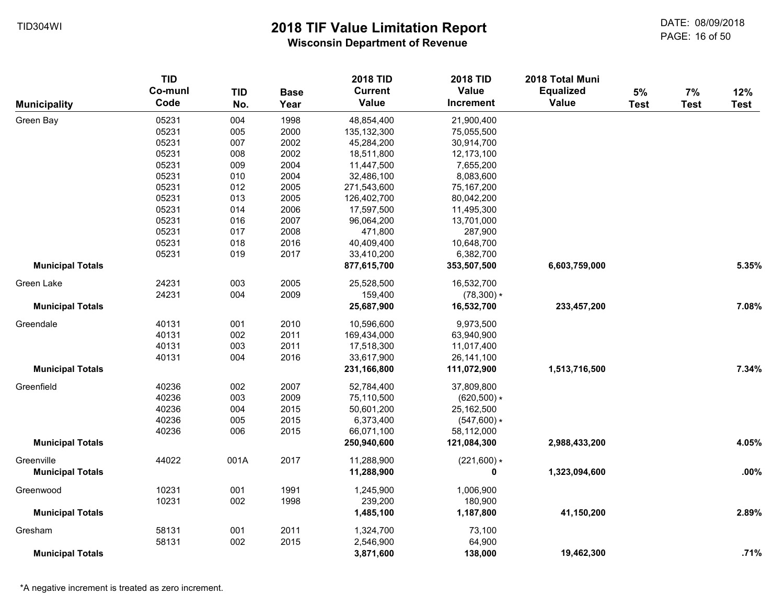**Wisconsin Department of Revenue** 

DATE: 08/09/2018 PAGE: 16 of 50

|                         | <b>TID</b><br>Co-munl | <b>TID</b> | <b>Base</b> | <b>2018 TID</b><br><b>Current</b> | <b>2018 TID</b><br>Value | 2018 Total Muni<br><b>Equalized</b> | 5%          | 7%          | 12%         |
|-------------------------|-----------------------|------------|-------------|-----------------------------------|--------------------------|-------------------------------------|-------------|-------------|-------------|
| <b>Municipality</b>     | Code                  | No.        | Year        | Value                             | <b>Increment</b>         | <b>Value</b>                        | <b>Test</b> | <b>Test</b> | <b>Test</b> |
| Green Bay               | 05231                 | 004        | 1998        | 48,854,400                        | 21,900,400               |                                     |             |             |             |
|                         | 05231                 | 005        | 2000        | 135,132,300                       | 75,055,500               |                                     |             |             |             |
|                         | 05231                 | 007        | 2002        | 45,284,200                        | 30,914,700               |                                     |             |             |             |
|                         | 05231                 | 008        | 2002        | 18,511,800                        | 12,173,100               |                                     |             |             |             |
|                         | 05231                 | 009        | 2004        | 11,447,500                        | 7,655,200                |                                     |             |             |             |
|                         | 05231                 | 010        | 2004        | 32,486,100                        | 8,083,600                |                                     |             |             |             |
|                         | 05231                 | 012        | 2005        | 271,543,600                       | 75,167,200               |                                     |             |             |             |
|                         | 05231                 | 013        | 2005        | 126,402,700                       | 80,042,200               |                                     |             |             |             |
|                         | 05231                 | 014        | 2006        | 17,597,500                        | 11,495,300               |                                     |             |             |             |
|                         | 05231                 | 016        | 2007        | 96,064,200                        | 13,701,000               |                                     |             |             |             |
|                         | 05231                 | 017        | 2008        | 471,800                           | 287,900                  |                                     |             |             |             |
|                         | 05231                 | 018        | 2016        | 40,409,400                        | 10,648,700               |                                     |             |             |             |
|                         | 05231                 | 019        | 2017        | 33,410,200                        | 6,382,700                |                                     |             |             |             |
| <b>Municipal Totals</b> |                       |            |             | 877,615,700                       | 353,507,500              | 6,603,759,000                       |             |             | 5.35%       |
| Green Lake              | 24231                 | 003        | 2005        | 25,528,500                        | 16,532,700               |                                     |             |             |             |
|                         | 24231                 | 004        | 2009        | 159,400                           | $(78,300)*$              |                                     |             |             |             |
| <b>Municipal Totals</b> |                       |            |             | 25,687,900                        | 16,532,700               | 233,457,200                         |             |             | 7.08%       |
| Greendale               | 40131                 | 001        | 2010        | 10,596,600                        | 9,973,500                |                                     |             |             |             |
|                         | 40131                 | 002        | 2011        | 169,434,000                       | 63,940,900               |                                     |             |             |             |
|                         | 40131                 | 003        | 2011        | 17,518,300                        | 11,017,400               |                                     |             |             |             |
|                         | 40131                 | 004        | 2016        | 33,617,900                        | 26, 141, 100             |                                     |             |             |             |
| <b>Municipal Totals</b> |                       |            |             | 231,166,800                       | 111,072,900              | 1,513,716,500                       |             |             | 7.34%       |
| Greenfield              | 40236                 | 002        | 2007        | 52,784,400                        | 37,809,800               |                                     |             |             |             |
|                         | 40236                 | 003        | 2009        | 75,110,500                        | $(620, 500)*$            |                                     |             |             |             |
|                         | 40236                 | 004        | 2015        | 50,601,200                        | 25,162,500               |                                     |             |             |             |
|                         | 40236                 | 005        | 2015        | 6,373,400                         | $(547,600)*$             |                                     |             |             |             |
|                         | 40236                 | 006        | 2015        | 66,071,100                        | 58,112,000               |                                     |             |             |             |
| <b>Municipal Totals</b> |                       |            |             | 250,940,600                       | 121,084,300              | 2,988,433,200                       |             |             | 4.05%       |
| Greenville              | 44022                 | 001A       | 2017        | 11,288,900                        | $(221,600)*$             |                                     |             |             |             |
| <b>Municipal Totals</b> |                       |            |             | 11,288,900                        | 0                        | 1,323,094,600                       |             |             | .00%        |
| Greenwood               | 10231                 | 001        | 1991        | 1,245,900                         | 1,006,900                |                                     |             |             |             |
|                         | 10231                 | 002        | 1998        | 239,200                           | 180,900                  |                                     |             |             |             |
| <b>Municipal Totals</b> |                       |            |             | 1,485,100                         | 1,187,800                | 41,150,200                          |             |             | 2.89%       |
| Gresham                 | 58131                 | 001        | 2011        | 1,324,700                         | 73,100                   |                                     |             |             |             |
|                         | 58131                 | 002        | 2015        | 2,546,900                         | 64,900                   |                                     |             |             |             |
| <b>Municipal Totals</b> |                       |            |             | 3,871,600                         | 138,000                  | 19,462,300                          |             |             | .71%        |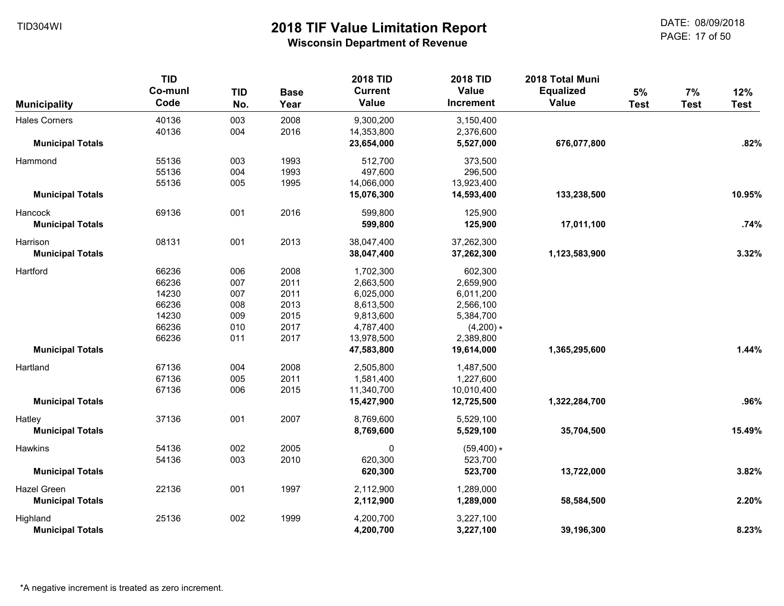**Wisconsin Department of Revenue** 

DATE: 08/09/2018 PAGE: 17 of 50

|                         | <b>TID</b><br>Co-munl | <b>TID</b> | <b>Base</b> | <b>2018 TID</b><br><b>Current</b> | <b>2018 TID</b><br>Value | 2018 Total Muni<br><b>Equalized</b> | 5%          | 7%          | 12%         |
|-------------------------|-----------------------|------------|-------------|-----------------------------------|--------------------------|-------------------------------------|-------------|-------------|-------------|
| <b>Municipality</b>     | Code                  | No.        | Year        | Value                             | <b>Increment</b>         | Value                               | <b>Test</b> | <b>Test</b> | <b>Test</b> |
| <b>Hales Corners</b>    | 40136                 | 003        | 2008        | 9,300,200                         | 3,150,400                |                                     |             |             |             |
|                         | 40136                 | 004        | 2016        | 14,353,800                        | 2,376,600                |                                     |             |             |             |
| <b>Municipal Totals</b> |                       |            |             | 23,654,000                        | 5,527,000                | 676,077,800                         |             |             | .82%        |
| Hammond                 | 55136                 | 003        | 1993        | 512,700                           | 373,500                  |                                     |             |             |             |
|                         | 55136                 | 004        | 1993        | 497,600                           | 296,500                  |                                     |             |             |             |
|                         | 55136                 | 005        | 1995        | 14,066,000                        | 13,923,400               |                                     |             |             |             |
| <b>Municipal Totals</b> |                       |            |             | 15,076,300                        | 14,593,400               | 133,238,500                         |             |             | 10.95%      |
| Hancock                 | 69136                 | 001        | 2016        | 599,800                           | 125,900                  |                                     |             |             |             |
| <b>Municipal Totals</b> |                       |            |             | 599,800                           | 125,900                  | 17,011,100                          |             |             | .74%        |
| Harrison                | 08131                 | 001        | 2013        | 38,047,400                        | 37,262,300               |                                     |             |             |             |
| <b>Municipal Totals</b> |                       |            |             | 38,047,400                        | 37,262,300               | 1,123,583,900                       |             |             | 3.32%       |
| Hartford                | 66236                 | 006        | 2008        | 1,702,300                         | 602,300                  |                                     |             |             |             |
|                         | 66236                 | 007        | 2011        | 2,663,500                         | 2,659,900                |                                     |             |             |             |
|                         | 14230                 | 007        | 2011        | 6,025,000                         | 6,011,200                |                                     |             |             |             |
|                         | 66236                 | 008        | 2013        | 8,613,500                         | 2,566,100                |                                     |             |             |             |
|                         | 14230                 | 009        | 2015        | 9,813,600                         | 5,384,700                |                                     |             |             |             |
|                         | 66236                 | 010        | 2017        | 4,787,400                         | $(4,200)*$               |                                     |             |             |             |
|                         | 66236                 | 011        | 2017        | 13,978,500                        | 2,389,800                |                                     |             |             |             |
| <b>Municipal Totals</b> |                       |            |             | 47,583,800                        | 19,614,000               | 1,365,295,600                       |             |             | 1.44%       |
| Hartland                | 67136                 | 004        | 2008        | 2,505,800                         | 1,487,500                |                                     |             |             |             |
|                         | 67136                 | 005        | 2011        | 1,581,400                         | 1,227,600                |                                     |             |             |             |
|                         | 67136                 | 006        | 2015        | 11,340,700                        | 10,010,400               |                                     |             |             |             |
| <b>Municipal Totals</b> |                       |            |             | 15,427,900                        | 12,725,500               | 1,322,284,700                       |             |             | .96%        |
| Hatley                  | 37136                 | 001        | 2007        | 8,769,600                         | 5,529,100                |                                     |             |             |             |
| <b>Municipal Totals</b> |                       |            |             | 8,769,600                         | 5,529,100                | 35,704,500                          |             |             | 15.49%      |
| Hawkins                 | 54136                 | 002        | 2005        | 0                                 | $(59,400)*$              |                                     |             |             |             |
|                         | 54136                 | 003        | 2010        | 620,300                           | 523,700                  |                                     |             |             |             |
| <b>Municipal Totals</b> |                       |            |             | 620,300                           | 523,700                  | 13,722,000                          |             |             | 3.82%       |
| <b>Hazel Green</b>      | 22136                 | 001        | 1997        | 2,112,900                         | 1,289,000                |                                     |             |             |             |
| <b>Municipal Totals</b> |                       |            |             | 2,112,900                         | 1,289,000                | 58,584,500                          |             |             | 2.20%       |
| Highland                | 25136                 | 002        | 1999        | 4,200,700                         | 3,227,100                |                                     |             |             |             |
| <b>Municipal Totals</b> |                       |            |             | 4,200,700                         | 3,227,100                | 39,196,300                          |             |             | 8.23%       |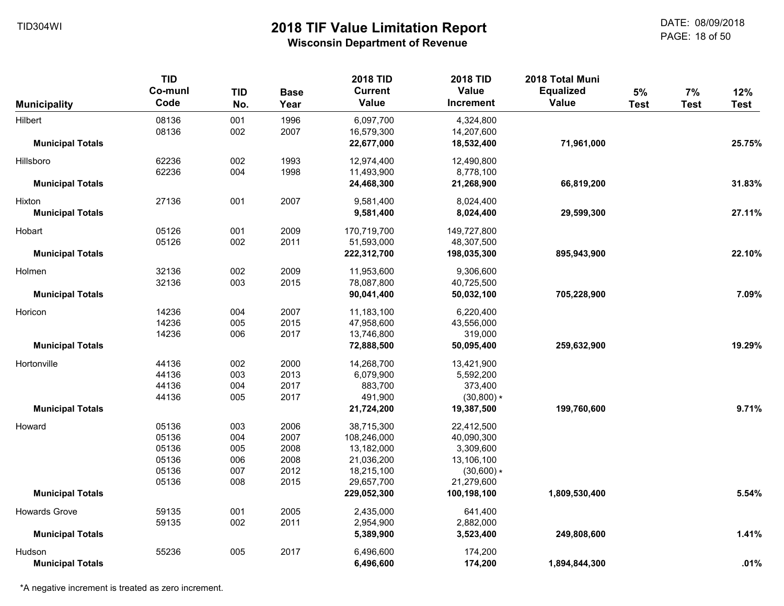**Wisconsin Department of Revenue** 

DATE: 08/09/2018 PAGE: 18 of 50

|                         | <b>TID</b><br>Co-munl | <b>TID</b> | <b>Base</b> | <b>2018 TID</b><br><b>Current</b> | <b>2018 TID</b><br>Value | 2018 Total Muni<br><b>Equalized</b> | 5%          | 7%          | 12%         |
|-------------------------|-----------------------|------------|-------------|-----------------------------------|--------------------------|-------------------------------------|-------------|-------------|-------------|
| <b>Municipality</b>     | Code                  | No.        | Year        | Value                             | <b>Increment</b>         | Value                               | <b>Test</b> | <b>Test</b> | <b>Test</b> |
| Hilbert                 | 08136                 | 001        | 1996        | 6,097,700                         | 4,324,800                |                                     |             |             |             |
|                         | 08136                 | 002        | 2007        | 16,579,300                        | 14,207,600               |                                     |             |             |             |
| <b>Municipal Totals</b> |                       |            |             | 22,677,000                        | 18,532,400               | 71,961,000                          |             |             | 25.75%      |
| Hillsboro               | 62236                 | 002        | 1993        | 12,974,400                        | 12,490,800               |                                     |             |             |             |
|                         | 62236                 | 004        | 1998        | 11,493,900                        | 8,778,100                |                                     |             |             |             |
| <b>Municipal Totals</b> |                       |            |             | 24,468,300                        | 21,268,900               | 66,819,200                          |             |             | 31.83%      |
| Hixton                  | 27136                 | 001        | 2007        | 9,581,400                         | 8,024,400                |                                     |             |             |             |
| <b>Municipal Totals</b> |                       |            |             | 9,581,400                         | 8,024,400                | 29,599,300                          |             |             | 27.11%      |
| Hobart                  | 05126                 | 001        | 2009        | 170,719,700                       | 149,727,800              |                                     |             |             |             |
|                         | 05126                 | 002        | 2011        | 51,593,000                        | 48,307,500               |                                     |             |             |             |
| <b>Municipal Totals</b> |                       |            |             | 222,312,700                       | 198,035,300              | 895,943,900                         |             |             | 22.10%      |
| Holmen                  | 32136                 | 002        | 2009        | 11,953,600                        | 9,306,600                |                                     |             |             |             |
|                         | 32136                 | 003        | 2015        | 78,087,800                        | 40,725,500               |                                     |             |             |             |
| <b>Municipal Totals</b> |                       |            |             | 90,041,400                        | 50,032,100               | 705,228,900                         |             |             | 7.09%       |
| Horicon                 | 14236                 | 004        | 2007        | 11,183,100                        | 6,220,400                |                                     |             |             |             |
|                         | 14236                 | 005        | 2015        | 47,958,600                        | 43,556,000               |                                     |             |             |             |
|                         | 14236                 | 006        | 2017        | 13,746,800                        | 319,000                  |                                     |             |             |             |
| <b>Municipal Totals</b> |                       |            |             | 72,888,500                        | 50,095,400               | 259,632,900                         |             |             | 19.29%      |
| Hortonville             | 44136                 | 002        | 2000        | 14,268,700                        | 13,421,900               |                                     |             |             |             |
|                         | 44136                 | 003        | 2013        | 6,079,900                         | 5,592,200                |                                     |             |             |             |
|                         | 44136                 | 004        | 2017        | 883,700                           | 373,400                  |                                     |             |             |             |
|                         | 44136                 | 005        | 2017        | 491,900                           | $(30, 800)*$             |                                     |             |             |             |
| <b>Municipal Totals</b> |                       |            |             | 21,724,200                        | 19,387,500               | 199,760,600                         |             |             | 9.71%       |
| Howard                  | 05136                 | 003        | 2006        | 38,715,300                        | 22,412,500               |                                     |             |             |             |
|                         | 05136                 | 004        | 2007        | 108,246,000                       | 40,090,300               |                                     |             |             |             |
|                         | 05136                 | 005        | 2008        | 13,182,000                        | 3,309,600                |                                     |             |             |             |
|                         | 05136                 | 006        | 2008        | 21,036,200                        | 13,106,100               |                                     |             |             |             |
|                         | 05136                 | 007        | 2012        | 18,215,100                        | $(30,600)*$              |                                     |             |             |             |
|                         | 05136                 | 008        | 2015        | 29,657,700                        | 21,279,600               |                                     |             |             |             |
| <b>Municipal Totals</b> |                       |            |             | 229,052,300                       | 100,198,100              | 1,809,530,400                       |             |             | 5.54%       |
| <b>Howards Grove</b>    | 59135                 | 001        | 2005        | 2,435,000                         | 641,400                  |                                     |             |             |             |
|                         | 59135                 | 002        | 2011        | 2,954,900                         | 2,882,000                |                                     |             |             |             |
| <b>Municipal Totals</b> |                       |            |             | 5,389,900                         | 3,523,400                | 249,808,600                         |             |             | 1.41%       |
| Hudson                  | 55236                 | 005        | 2017        | 6,496,600                         | 174,200                  |                                     |             |             |             |
| <b>Municipal Totals</b> |                       |            |             | 6,496,600                         | 174,200                  | 1,894,844,300                       |             |             | .01%        |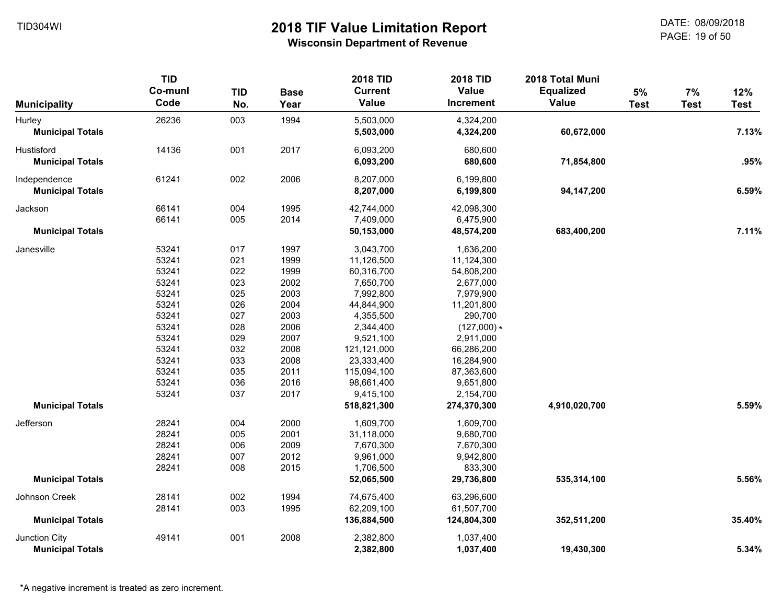**Wisconsin Department of Revenue** 

DATE: 08/09/2018 PAGE: 19 of 50

| <b>Municipality</b>                     | <b>TID</b><br>Co-munl<br>Code | TID<br>No. | <b>Base</b><br>Year | <b>2018 TID</b><br><b>Current</b><br>Value | <b>2018 TID</b><br>Value<br><b>Increment</b> | 2018 Total Muni<br><b>Equalized</b><br>Value | 5%<br><b>Test</b> | 7%<br><b>Test</b> | 12%<br><b>Test</b> |
|-----------------------------------------|-------------------------------|------------|---------------------|--------------------------------------------|----------------------------------------------|----------------------------------------------|-------------------|-------------------|--------------------|
| Hurley<br><b>Municipal Totals</b>       | 26236                         | 003        | 1994                | 5,503,000<br>5,503,000                     | 4,324,200<br>4,324,200                       | 60,672,000                                   |                   |                   | 7.13%              |
| Hustisford<br><b>Municipal Totals</b>   | 14136                         | 001        | 2017                | 6,093,200<br>6,093,200                     | 680,600<br>680,600                           | 71,854,800                                   |                   |                   | .95%               |
| Independence<br><b>Municipal Totals</b> | 61241                         | 002        | 2006                | 8,207,000<br>8,207,000                     | 6,199,800<br>6,199,800                       | 94,147,200                                   |                   |                   | 6.59%              |
| Jackson                                 | 66141                         | 004        | 1995                | 42,744,000                                 | 42,098,300                                   |                                              |                   |                   |                    |
| <b>Municipal Totals</b>                 | 66141                         | 005        | 2014                | 7,409,000<br>50,153,000                    | 6,475,900<br>48,574,200                      | 683,400,200                                  |                   |                   | 7.11%              |
| Janesville                              | 53241                         | 017        | 1997                | 3,043,700                                  | 1,636,200                                    |                                              |                   |                   |                    |
|                                         | 53241                         | 021        | 1999                | 11,126,500                                 | 11,124,300                                   |                                              |                   |                   |                    |
|                                         | 53241                         | 022        | 1999                | 60,316,700                                 | 54,808,200                                   |                                              |                   |                   |                    |
|                                         | 53241                         | 023        | 2002                | 7,650,700                                  | 2,677,000                                    |                                              |                   |                   |                    |
|                                         | 53241                         | 025        | 2003                | 7,992,800                                  | 7,979,900                                    |                                              |                   |                   |                    |
|                                         | 53241                         | 026        | 2004                | 44,844,900                                 | 11,201,800                                   |                                              |                   |                   |                    |
|                                         | 53241                         | 027        | 2003                | 4,355,500                                  | 290,700                                      |                                              |                   |                   |                    |
|                                         | 53241                         | 028        | 2006                | 2,344,400                                  | $(127,000)*$                                 |                                              |                   |                   |                    |
|                                         | 53241                         | 029        | 2007                | 9,521,100                                  | 2,911,000                                    |                                              |                   |                   |                    |
|                                         | 53241                         | 032        | 2008                | 121,121,000                                | 66,286,200                                   |                                              |                   |                   |                    |
|                                         | 53241                         | 033        | 2008                | 23,333,400                                 | 16,284,900                                   |                                              |                   |                   |                    |
|                                         | 53241                         | 035        | 2011                | 115,094,100                                | 87,363,600                                   |                                              |                   |                   |                    |
|                                         | 53241                         | 036        | 2016                | 98,661,400                                 | 9,651,800                                    |                                              |                   |                   |                    |
|                                         | 53241                         | 037        | 2017                | 9,415,100                                  | 2,154,700                                    |                                              |                   |                   |                    |
| <b>Municipal Totals</b>                 |                               |            |                     | 518,821,300                                | 274,370,300                                  | 4,910,020,700                                |                   |                   | 5.59%              |
| Jefferson                               | 28241                         | 004        | 2000                | 1,609,700                                  | 1,609,700                                    |                                              |                   |                   |                    |
|                                         | 28241                         | 005        | 2001                | 31,118,000                                 | 9,680,700                                    |                                              |                   |                   |                    |
|                                         | 28241                         | 006        | 2009                | 7,670,300                                  | 7,670,300                                    |                                              |                   |                   |                    |
|                                         | 28241                         | 007        | 2012                | 9,961,000                                  | 9,942,800                                    |                                              |                   |                   |                    |
|                                         | 28241                         | 008        | 2015                | 1,706,500                                  | 833,300                                      |                                              |                   |                   |                    |
| <b>Municipal Totals</b>                 |                               |            |                     | 52,065,500                                 | 29,736,800                                   | 535,314,100                                  |                   |                   | 5.56%              |
| Johnson Creek                           | 28141                         | 002        | 1994                | 74,675,400                                 | 63,296,600                                   |                                              |                   |                   |                    |
|                                         | 28141                         | 003        | 1995                | 62,209,100                                 | 61,507,700                                   |                                              |                   |                   |                    |
| <b>Municipal Totals</b>                 |                               |            |                     | 136,884,500                                | 124,804,300                                  | 352,511,200                                  |                   |                   | 35.40%             |
| Junction City                           | 49141                         | 001        | 2008                | 2,382,800                                  | 1,037,400                                    |                                              |                   |                   |                    |
| <b>Municipal Totals</b>                 |                               |            |                     | 2,382,800                                  | 1,037,400                                    | 19,430,300                                   |                   |                   | 5.34%              |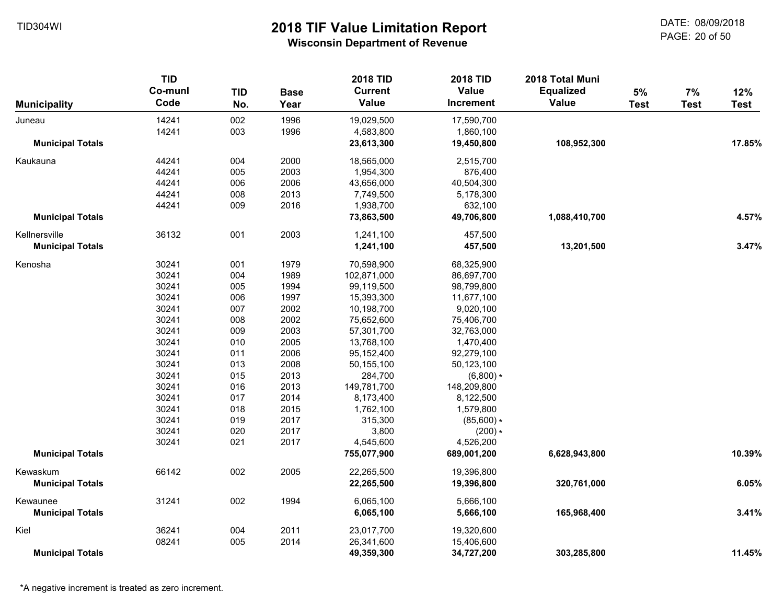**Wisconsin Department of Revenue** 

DATE: 08/09/2018 PAGE: 20 of 50

|                         | <b>TID</b> |            |             | <b>2018 TID</b> | <b>2018 TID</b> | 2018 Total Muni  |             |             |             |
|-------------------------|------------|------------|-------------|-----------------|-----------------|------------------|-------------|-------------|-------------|
|                         | Co-munl    | <b>TID</b> | <b>Base</b> | <b>Current</b>  | <b>Value</b>    | <b>Equalized</b> | 5%          | 7%          | 12%         |
| <b>Municipality</b>     | Code       | No.        | Year        | Value           | Increment       | Value            | <b>Test</b> | <b>Test</b> | <b>Test</b> |
| Juneau                  | 14241      | 002        | 1996        | 19,029,500      | 17,590,700      |                  |             |             |             |
|                         | 14241      | 003        | 1996        | 4,583,800       | 1,860,100       |                  |             |             |             |
| <b>Municipal Totals</b> |            |            |             | 23,613,300      | 19,450,800      | 108,952,300      |             |             | 17.85%      |
| Kaukauna                | 44241      | 004        | 2000        | 18,565,000      | 2,515,700       |                  |             |             |             |
|                         | 44241      | 005        | 2003        | 1,954,300       | 876,400         |                  |             |             |             |
|                         | 44241      | 006        | 2006        | 43,656,000      | 40,504,300      |                  |             |             |             |
|                         | 44241      | 008        | 2013        | 7,749,500       | 5,178,300       |                  |             |             |             |
|                         | 44241      | 009        | 2016        | 1,938,700       | 632,100         |                  |             |             |             |
| <b>Municipal Totals</b> |            |            |             | 73,863,500      | 49,706,800      | 1,088,410,700    |             |             | 4.57%       |
| Kellnersville           | 36132      | 001        | 2003        | 1,241,100       | 457,500         |                  |             |             |             |
| <b>Municipal Totals</b> |            |            |             | 1,241,100       | 457,500         | 13,201,500       |             |             | 3.47%       |
| Kenosha                 | 30241      | 001        | 1979        | 70,598,900      | 68,325,900      |                  |             |             |             |
|                         | 30241      | 004        | 1989        | 102,871,000     | 86,697,700      |                  |             |             |             |
|                         | 30241      | 005        | 1994        | 99,119,500      | 98,799,800      |                  |             |             |             |
|                         | 30241      | 006        | 1997        | 15,393,300      | 11,677,100      |                  |             |             |             |
|                         | 30241      | 007        | 2002        | 10,198,700      | 9,020,100       |                  |             |             |             |
|                         | 30241      | 008        | 2002        | 75,652,600      | 75,406,700      |                  |             |             |             |
|                         | 30241      | 009        | 2003        | 57,301,700      | 32,763,000      |                  |             |             |             |
|                         | 30241      | 010        | 2005        | 13,768,100      | 1,470,400       |                  |             |             |             |
|                         | 30241      | 011        | 2006        | 95,152,400      | 92,279,100      |                  |             |             |             |
|                         | 30241      | 013        | 2008        | 50,155,100      | 50,123,100      |                  |             |             |             |
|                         | 30241      | 015        | 2013        | 284,700         | $(6,800)*$      |                  |             |             |             |
|                         | 30241      | 016        | 2013        | 149,781,700     | 148,209,800     |                  |             |             |             |
|                         | 30241      | 017        | 2014        | 8,173,400       | 8,122,500       |                  |             |             |             |
|                         | 30241      | 018        | 2015        | 1,762,100       | 1,579,800       |                  |             |             |             |
|                         | 30241      | 019        | 2017        | 315,300         | $(85,600)*$     |                  |             |             |             |
|                         | 30241      | 020        | 2017        | 3,800           | $(200)*$        |                  |             |             |             |
|                         | 30241      | 021        | 2017        | 4,545,600       | 4,526,200       |                  |             |             |             |
| <b>Municipal Totals</b> |            |            |             | 755,077,900     | 689,001,200     | 6,628,943,800    |             |             | 10.39%      |
| Kewaskum                | 66142      | 002        | 2005        | 22,265,500      | 19,396,800      |                  |             |             |             |
| <b>Municipal Totals</b> |            |            |             | 22,265,500      | 19,396,800      | 320,761,000      |             |             | 6.05%       |
| Kewaunee                | 31241      | 002        | 1994        | 6,065,100       | 5,666,100       |                  |             |             |             |
| <b>Municipal Totals</b> |            |            |             | 6,065,100       | 5,666,100       | 165,968,400      |             |             | 3.41%       |
| Kiel                    | 36241      | 004        | 2011        | 23,017,700      | 19,320,600      |                  |             |             |             |
|                         | 08241      | 005        | 2014        | 26,341,600      | 15,406,600      |                  |             |             |             |
| <b>Municipal Totals</b> |            |            |             | 49,359,300      | 34,727,200      | 303,285,800      |             |             | 11.45%      |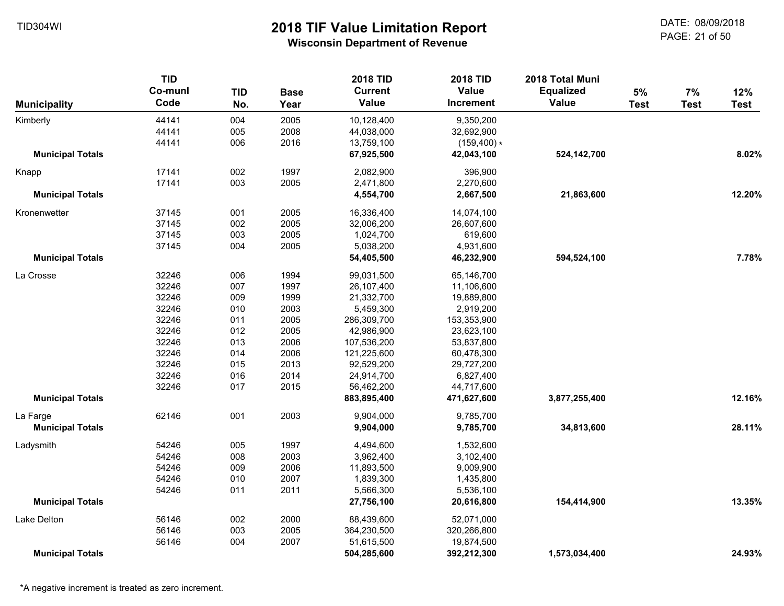**Wisconsin Department of Revenue** 

DATE: 08/09/2018 PAGE: 21 of 50

|                         | <b>TID</b><br>Co-munl | <b>TID</b> | <b>Base</b> | <b>2018 TID</b><br><b>Current</b> | <b>2018 TID</b><br>Value | 2018 Total Muni<br><b>Equalized</b> | $5%$        | 7%          | 12%         |
|-------------------------|-----------------------|------------|-------------|-----------------------------------|--------------------------|-------------------------------------|-------------|-------------|-------------|
| <b>Municipality</b>     | Code                  | No.        | Year        | Value                             | <b>Increment</b>         | Value                               | <b>Test</b> | <b>Test</b> | <b>Test</b> |
| Kimberly                | 44141                 | 004        | 2005        | 10,128,400                        | 9,350,200                |                                     |             |             |             |
|                         | 44141                 | 005        | 2008        | 44,038,000                        | 32,692,900               |                                     |             |             |             |
|                         | 44141                 | 006        | 2016        | 13,759,100                        | $(159, 400)*$            |                                     |             |             |             |
| <b>Municipal Totals</b> |                       |            |             | 67,925,500                        | 42,043,100               | 524,142,700                         |             |             | 8.02%       |
| Knapp                   | 17141                 | 002        | 1997        | 2,082,900                         | 396,900                  |                                     |             |             |             |
|                         | 17141                 | 003        | 2005        | 2,471,800                         | 2,270,600                |                                     |             |             |             |
| <b>Municipal Totals</b> |                       |            |             | 4,554,700                         | 2,667,500                | 21,863,600                          |             |             | 12.20%      |
| Kronenwetter            | 37145                 | 001        | 2005        | 16,336,400                        | 14,074,100               |                                     |             |             |             |
|                         | 37145                 | 002        | 2005        | 32,006,200                        | 26,607,600               |                                     |             |             |             |
|                         | 37145                 | 003        | 2005        | 1,024,700                         | 619,600                  |                                     |             |             |             |
|                         | 37145                 | 004        | 2005        | 5,038,200                         | 4,931,600                |                                     |             |             |             |
| <b>Municipal Totals</b> |                       |            |             | 54,405,500                        | 46,232,900               | 594,524,100                         |             |             | 7.78%       |
| La Crosse               | 32246                 | 006        | 1994        | 99,031,500                        | 65,146,700               |                                     |             |             |             |
|                         | 32246                 | 007        | 1997        | 26,107,400                        | 11,106,600               |                                     |             |             |             |
|                         | 32246                 | 009        | 1999        | 21,332,700                        | 19,889,800               |                                     |             |             |             |
|                         | 32246                 | 010        | 2003        | 5,459,300                         | 2,919,200                |                                     |             |             |             |
|                         | 32246                 | 011        | 2005        | 286,309,700                       | 153,353,900              |                                     |             |             |             |
|                         | 32246                 | 012        | 2005        | 42,986,900                        | 23,623,100               |                                     |             |             |             |
|                         | 32246                 | 013        | 2006        | 107,536,200                       | 53,837,800               |                                     |             |             |             |
|                         | 32246                 | 014        | 2006        | 121,225,600                       | 60,478,300               |                                     |             |             |             |
|                         | 32246                 | 015        | 2013        | 92,529,200                        | 29,727,200               |                                     |             |             |             |
|                         | 32246                 | 016        | 2014        | 24,914,700                        | 6,827,400                |                                     |             |             |             |
|                         | 32246                 | 017        | 2015        | 56,462,200                        | 44,717,600               |                                     |             |             |             |
| <b>Municipal Totals</b> |                       |            |             | 883,895,400                       | 471,627,600              | 3,877,255,400                       |             |             | 12.16%      |
| La Farge                | 62146                 | 001        | 2003        | 9,904,000                         | 9,785,700                |                                     |             |             |             |
| <b>Municipal Totals</b> |                       |            |             | 9,904,000                         | 9,785,700                | 34,813,600                          |             |             | 28.11%      |
| Ladysmith               | 54246                 | 005        | 1997        | 4,494,600                         | 1,532,600                |                                     |             |             |             |
|                         | 54246                 | 008        | 2003        | 3,962,400                         | 3,102,400                |                                     |             |             |             |
|                         | 54246                 | 009        | 2006        | 11,893,500                        | 9,009,900                |                                     |             |             |             |
|                         | 54246                 | 010        | 2007        | 1,839,300                         | 1,435,800                |                                     |             |             |             |
|                         | 54246                 | 011        | 2011        | 5,566,300                         | 5,536,100                |                                     |             |             |             |
| <b>Municipal Totals</b> |                       |            |             | 27,756,100                        | 20,616,800               | 154,414,900                         |             |             | 13.35%      |
| Lake Delton             | 56146                 | 002        | 2000        | 88,439,600                        | 52,071,000               |                                     |             |             |             |
|                         | 56146                 | 003        | 2005        | 364,230,500                       | 320,266,800              |                                     |             |             |             |
|                         | 56146                 | 004        | 2007        | 51,615,500                        | 19,874,500               |                                     |             |             |             |
| <b>Municipal Totals</b> |                       |            |             | 504,285,600                       | 392,212,300              | 1,573,034,400                       |             |             | 24.93%      |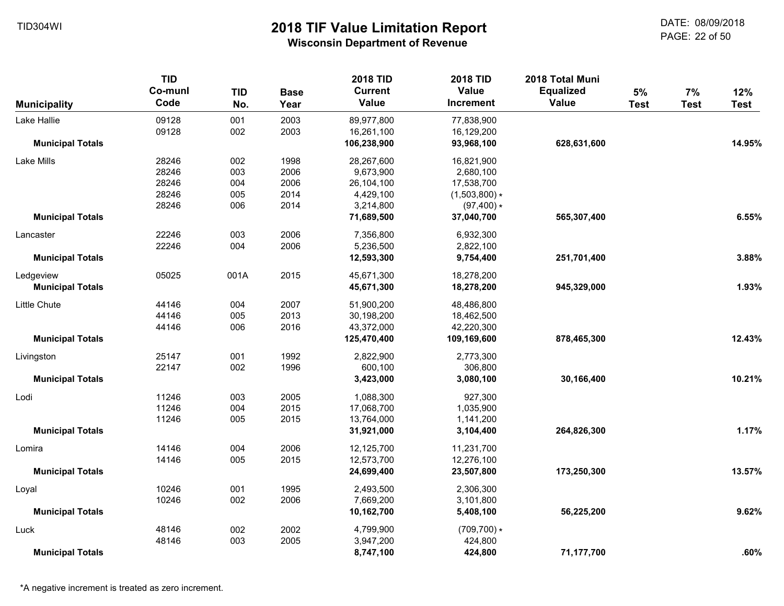**Wisconsin Department of Revenue** 

DATE: 08/09/2018 PAGE: 22 of 50

|                         | <b>TID</b> |            |             | <b>2018 TID</b> | <b>2018 TID</b>  | 2018 Total Muni  |             |             |             |
|-------------------------|------------|------------|-------------|-----------------|------------------|------------------|-------------|-------------|-------------|
|                         | Co-munl    | <b>TID</b> | <b>Base</b> | <b>Current</b>  | Value            | <b>Equalized</b> | 5%          | 7%          | 12%         |
| <b>Municipality</b>     | Code       | No.        | Year        | Value           | <b>Increment</b> | Value            | <b>Test</b> | <b>Test</b> | <b>Test</b> |
| Lake Hallie             | 09128      | 001        | 2003        | 89,977,800      | 77,838,900       |                  |             |             |             |
|                         | 09128      | 002        | 2003        | 16,261,100      | 16,129,200       |                  |             |             |             |
| <b>Municipal Totals</b> |            |            |             | 106,238,900     | 93,968,100       | 628,631,600      |             |             | 14.95%      |
| Lake Mills              | 28246      | 002        | 1998        | 28,267,600      | 16,821,900       |                  |             |             |             |
|                         | 28246      | 003        | 2006        | 9,673,900       | 2,680,100        |                  |             |             |             |
|                         | 28246      | 004        | 2006        | 26,104,100      | 17,538,700       |                  |             |             |             |
|                         | 28246      | 005        | 2014        | 4,429,100       | $(1,503,800)*$   |                  |             |             |             |
|                         | 28246      | 006        | 2014        | 3,214,800       | $(97, 400)*$     |                  |             |             |             |
| <b>Municipal Totals</b> |            |            |             | 71,689,500      | 37,040,700       | 565,307,400      |             |             | 6.55%       |
| Lancaster               | 22246      | 003        | 2006        | 7,356,800       | 6,932,300        |                  |             |             |             |
|                         | 22246      | 004        | 2006        | 5,236,500       | 2,822,100        |                  |             |             |             |
| <b>Municipal Totals</b> |            |            |             | 12,593,300      | 9,754,400        | 251,701,400      |             |             | 3.88%       |
| Ledgeview               | 05025      | 001A       | 2015        | 45,671,300      | 18,278,200       |                  |             |             |             |
| <b>Municipal Totals</b> |            |            |             | 45,671,300      | 18,278,200       | 945,329,000      |             |             | 1.93%       |
| Little Chute            | 44146      | 004        | 2007        | 51,900,200      | 48,486,800       |                  |             |             |             |
|                         | 44146      | 005        | 2013        | 30,198,200      | 18,462,500       |                  |             |             |             |
|                         | 44146      | 006        | 2016        | 43,372,000      | 42,220,300       |                  |             |             |             |
| <b>Municipal Totals</b> |            |            |             | 125,470,400     | 109,169,600      | 878,465,300      |             |             | 12.43%      |
| Livingston              | 25147      | 001        | 1992        | 2,822,900       | 2,773,300        |                  |             |             |             |
|                         | 22147      | 002        | 1996        | 600,100         | 306,800          |                  |             |             |             |
| <b>Municipal Totals</b> |            |            |             | 3,423,000       | 3,080,100        | 30,166,400       |             |             | 10.21%      |
| Lodi                    | 11246      | 003        | 2005        | 1,088,300       | 927,300          |                  |             |             |             |
|                         | 11246      | 004        | 2015        | 17,068,700      | 1,035,900        |                  |             |             |             |
|                         | 11246      | 005        | 2015        | 13,764,000      | 1,141,200        |                  |             |             |             |
| <b>Municipal Totals</b> |            |            |             | 31,921,000      | 3,104,400        | 264,826,300      |             |             | 1.17%       |
| Lomira                  | 14146      | 004        | 2006        | 12,125,700      | 11,231,700       |                  |             |             |             |
|                         | 14146      | 005        | 2015        | 12,573,700      | 12,276,100       |                  |             |             |             |
| <b>Municipal Totals</b> |            |            |             | 24,699,400      | 23,507,800       | 173,250,300      |             |             | 13.57%      |
| Loyal                   | 10246      | 001        | 1995        | 2,493,500       | 2,306,300        |                  |             |             |             |
|                         | 10246      | 002        | 2006        | 7,669,200       | 3,101,800        |                  |             |             |             |
| <b>Municipal Totals</b> |            |            |             | 10,162,700      | 5,408,100        | 56,225,200       |             |             | 9.62%       |
| Luck                    | 48146      | 002        | 2002        | 4,799,900       | $(709, 700)*$    |                  |             |             |             |
|                         | 48146      | 003        | 2005        | 3,947,200       | 424,800          |                  |             |             |             |
| <b>Municipal Totals</b> |            |            |             | 8,747,100       | 424,800          | 71,177,700       |             |             | .60%        |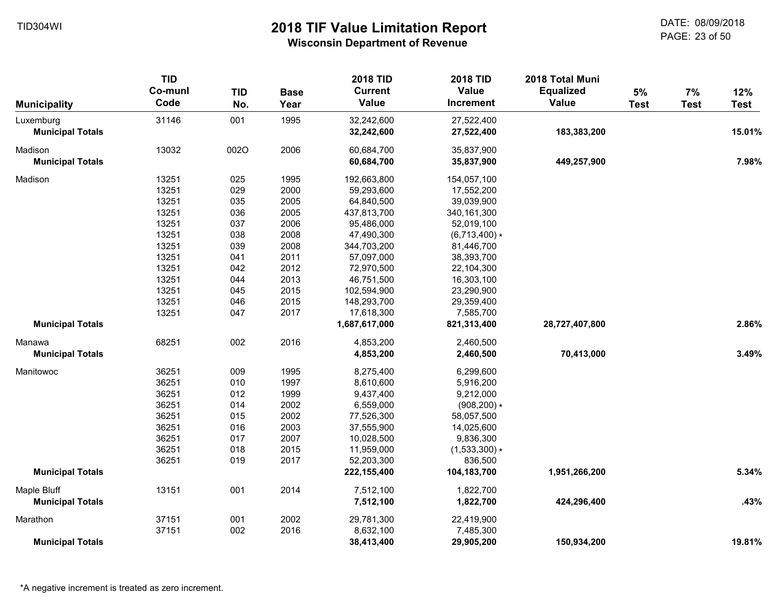**Wisconsin Department of Revenue** 

DATE: 08/09/2018 PAGE: 23 of 50

| <b>Municipality</b>                    | <b>TID</b><br>Co-munl<br>Code                                                                            | <b>TID</b><br>No.                                                                | <b>Base</b><br>Year                                                                          | <b>2018 TID</b><br><b>Current</b><br>Value                                                                                                                                | <b>2018 TID</b><br>Value<br><b>Increment</b>                                                                                                                               | 2018 Total Muni<br><b>Equalized</b><br>Value | $5%$<br><b>Test</b> | 7%<br><b>Test</b> | 12%<br><b>Test</b> |
|----------------------------------------|----------------------------------------------------------------------------------------------------------|----------------------------------------------------------------------------------|----------------------------------------------------------------------------------------------|---------------------------------------------------------------------------------------------------------------------------------------------------------------------------|----------------------------------------------------------------------------------------------------------------------------------------------------------------------------|----------------------------------------------|---------------------|-------------------|--------------------|
| Luxemburg<br><b>Municipal Totals</b>   | 31146                                                                                                    | 001                                                                              | 1995                                                                                         | 32,242,600<br>32,242,600                                                                                                                                                  | 27,522,400<br>27,522,400                                                                                                                                                   | 183,383,200                                  |                     |                   | 15.01%             |
| Madison<br><b>Municipal Totals</b>     | 13032                                                                                                    | 002O                                                                             | 2006                                                                                         | 60,684,700<br>60,684,700                                                                                                                                                  | 35,837,900<br>35,837,900                                                                                                                                                   | 449,257,900                                  |                     |                   | 7.98%              |
| Madison                                | 13251<br>13251<br>13251<br>13251<br>13251<br>13251<br>13251<br>13251<br>13251<br>13251<br>13251<br>13251 | 025<br>029<br>035<br>036<br>037<br>038<br>039<br>041<br>042<br>044<br>045<br>046 | 1995<br>2000<br>2005<br>2005<br>2006<br>2008<br>2008<br>2011<br>2012<br>2013<br>2015<br>2015 | 192,663,800<br>59,293,600<br>64,840,500<br>437,813,700<br>95,486,000<br>47,490,300<br>344,703,200<br>57,097,000<br>72,970,500<br>46,751,500<br>102,594,900<br>148,293,700 | 154,057,100<br>17,552,200<br>39,039,900<br>340,161,300<br>52,019,100<br>$(6,713,400)*$<br>81,446,700<br>38,393,700<br>22,104,300<br>16,303,100<br>23,290,900<br>29,359,400 |                                              |                     |                   |                    |
| <b>Municipal Totals</b>                | 13251                                                                                                    | 047                                                                              | 2017                                                                                         | 17,618,300<br>1,687,617,000                                                                                                                                               | 7,585,700<br>821,313,400                                                                                                                                                   | 28,727,407,800                               |                     |                   | 2.86%              |
| Manawa<br><b>Municipal Totals</b>      | 68251                                                                                                    | 002                                                                              | 2016                                                                                         | 4,853,200<br>4,853,200                                                                                                                                                    | 2,460,500<br>2,460,500                                                                                                                                                     | 70,413,000                                   |                     |                   | 3.49%              |
| Manitowoc                              | 36251<br>36251<br>36251<br>36251<br>36251<br>36251<br>36251<br>36251<br>36251                            | 009<br>010<br>012<br>014<br>015<br>016<br>017<br>018<br>019                      | 1995<br>1997<br>1999<br>2002<br>2002<br>2003<br>2007<br>2015<br>2017                         | 8,275,400<br>8,610,600<br>9,437,400<br>6,559,000<br>77,526,300<br>37,555,900<br>10,028,500<br>11,959,000<br>52,203,300                                                    | 6,299,600<br>5,916,200<br>9,212,000<br>$(908, 200)*$<br>58,057,500<br>14,025,600<br>9,836,300<br>$(1,533,300)*$<br>836,500                                                 |                                              |                     |                   |                    |
| <b>Municipal Totals</b>                |                                                                                                          |                                                                                  |                                                                                              | 222,155,400                                                                                                                                                               | 104,183,700                                                                                                                                                                | 1,951,266,200                                |                     |                   | 5.34%              |
| Maple Bluff<br><b>Municipal Totals</b> | 13151                                                                                                    | 001                                                                              | 2014                                                                                         | 7,512,100<br>7,512,100                                                                                                                                                    | 1,822,700<br>1,822,700                                                                                                                                                     | 424,296,400                                  |                     |                   | .43%               |
| Marathon<br><b>Municipal Totals</b>    | 37151<br>37151                                                                                           | 001<br>002                                                                       | 2002<br>2016                                                                                 | 29,781,300<br>8,632,100<br>38,413,400                                                                                                                                     | 22,419,900<br>7,485,300<br>29,905,200                                                                                                                                      | 150,934,200                                  |                     |                   | 19.81%             |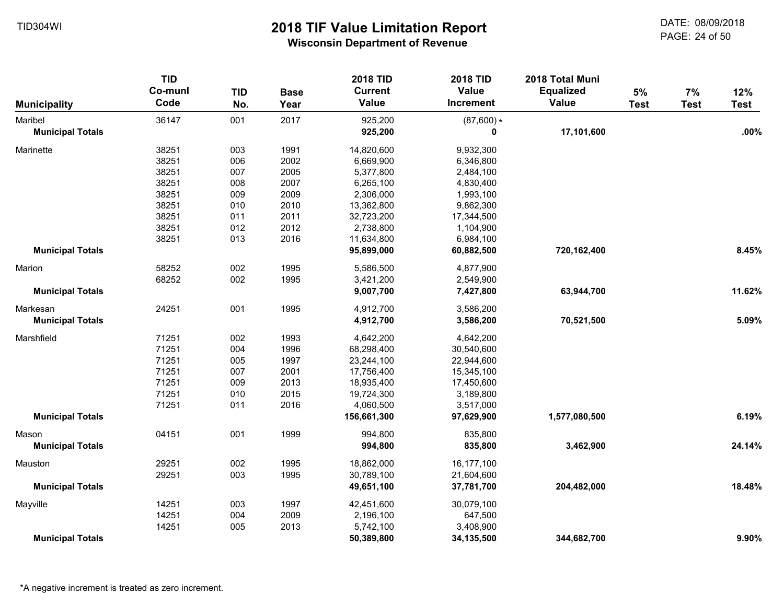**Wisconsin Department of Revenue** 

DATE: 08/09/2018 PAGE: 24 of 50

|                         | <b>TID</b> |            |             | <b>2018 TID</b> | <b>2018 TID</b> | 2018 Total Muni  |             |             |             |
|-------------------------|------------|------------|-------------|-----------------|-----------------|------------------|-------------|-------------|-------------|
|                         | Co-munl    | <b>TID</b> | <b>Base</b> | <b>Current</b>  | Value           | <b>Equalized</b> | 5%          | 7%          | 12%         |
| <b>Municipality</b>     | Code       | No.        | Year        | Value           | Increment       | Value            | <b>Test</b> | <b>Test</b> | <b>Test</b> |
| Maribel                 | 36147      | 001        | 2017        | 925,200         | $(87,600)*$     |                  |             |             |             |
| <b>Municipal Totals</b> |            |            |             | 925,200         | 0               | 17,101,600       |             |             | .00%        |
| Marinette               | 38251      | 003        | 1991        | 14,820,600      | 9,932,300       |                  |             |             |             |
|                         | 38251      | 006        | 2002        | 6,669,900       | 6,346,800       |                  |             |             |             |
|                         | 38251      | 007        | 2005        | 5,377,800       | 2,484,100       |                  |             |             |             |
|                         | 38251      | 008        | 2007        | 6,265,100       | 4,830,400       |                  |             |             |             |
|                         | 38251      | 009        | 2009        | 2,306,000       | 1,993,100       |                  |             |             |             |
|                         | 38251      | 010        | 2010        | 13,362,800      | 9,862,300       |                  |             |             |             |
|                         | 38251      | 011        | 2011        | 32,723,200      | 17,344,500      |                  |             |             |             |
|                         | 38251      | 012        | 2012        | 2,738,800       | 1,104,900       |                  |             |             |             |
|                         | 38251      | 013        | 2016        | 11,634,800      | 6,984,100       |                  |             |             |             |
| <b>Municipal Totals</b> |            |            |             | 95,899,000      | 60,882,500      | 720,162,400      |             |             | 8.45%       |
| Marion                  | 58252      | 002        | 1995        | 5,586,500       | 4,877,900       |                  |             |             |             |
|                         | 68252      | 002        | 1995        | 3,421,200       | 2,549,900       |                  |             |             |             |
| <b>Municipal Totals</b> |            |            |             | 9,007,700       | 7,427,800       | 63,944,700       |             |             | 11.62%      |
| Markesan                | 24251      | 001        | 1995        | 4,912,700       | 3,586,200       |                  |             |             |             |
| <b>Municipal Totals</b> |            |            |             | 4,912,700       | 3,586,200       | 70,521,500       |             |             | 5.09%       |
| Marshfield              | 71251      | 002        | 1993        | 4,642,200       | 4,642,200       |                  |             |             |             |
|                         | 71251      | 004        | 1996        | 68,298,400      | 30,540,600      |                  |             |             |             |
|                         | 71251      | 005        | 1997        | 23,244,100      | 22,944,600      |                  |             |             |             |
|                         | 71251      | 007        | 2001        | 17,756,400      | 15,345,100      |                  |             |             |             |
|                         | 71251      | 009        | 2013        | 18,935,400      | 17,450,600      |                  |             |             |             |
|                         | 71251      | 010        | 2015        | 19,724,300      | 3,189,800       |                  |             |             |             |
|                         | 71251      | 011        | 2016        | 4,060,500       | 3,517,000       |                  |             |             |             |
| <b>Municipal Totals</b> |            |            |             | 156,661,300     | 97,629,900      | 1,577,080,500    |             |             | 6.19%       |
| Mason                   | 04151      | 001        | 1999        | 994.800         | 835,800         |                  |             |             |             |
| <b>Municipal Totals</b> |            |            |             | 994,800         | 835,800         | 3,462,900        |             |             | 24.14%      |
| Mauston                 | 29251      | 002        | 1995        | 18,862,000      | 16,177,100      |                  |             |             |             |
|                         | 29251      | 003        | 1995        | 30,789,100      | 21,604,600      |                  |             |             |             |
| <b>Municipal Totals</b> |            |            |             | 49,651,100      | 37,781,700      | 204,482,000      |             |             | 18.48%      |
| Mayville                | 14251      | 003        | 1997        | 42,451,600      | 30,079,100      |                  |             |             |             |
|                         | 14251      | 004        | 2009        | 2,196,100       | 647,500         |                  |             |             |             |
|                         | 14251      | 005        | 2013        | 5,742,100       | 3,408,900       |                  |             |             |             |
| <b>Municipal Totals</b> |            |            |             | 50,389,800      | 34, 135, 500    | 344,682,700      |             |             | 9.90%       |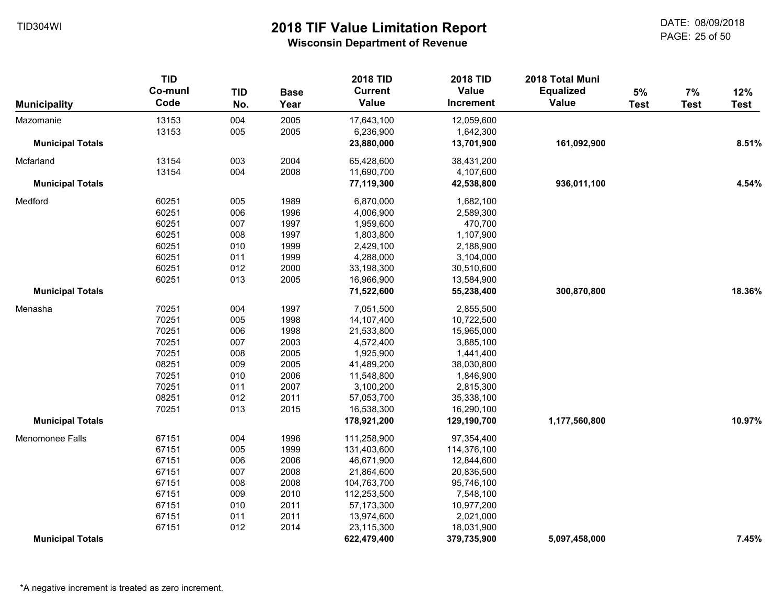#### **2018 TIF Value Limitation Report**  TID304WI DATE: 08/09/2018

**Wisconsin Department of Revenue** 

PAGE: 25 of 50

| <b>Municipality</b>     | <b>TID</b><br>Co-munl<br>Code | <b>TID</b><br>No. | <b>Base</b><br>Year | <b>2018 TID</b><br><b>Current</b><br><b>Value</b> | <b>2018 TID</b><br>Value<br><b>Increment</b> | 2018 Total Muni<br><b>Equalized</b><br>Value | 5%<br><b>Test</b> | 7%<br><b>Test</b> | 12%<br><b>Test</b> |
|-------------------------|-------------------------------|-------------------|---------------------|---------------------------------------------------|----------------------------------------------|----------------------------------------------|-------------------|-------------------|--------------------|
| Mazomanie               | 13153                         | 004               | 2005                | 17,643,100                                        | 12,059,600                                   |                                              |                   |                   |                    |
|                         | 13153                         | 005               | 2005                | 6,236,900                                         | 1,642,300                                    |                                              |                   |                   |                    |
| <b>Municipal Totals</b> |                               |                   |                     | 23,880,000                                        | 13,701,900                                   | 161,092,900                                  |                   |                   | 8.51%              |
| Mcfarland               | 13154                         | 003               | 2004                | 65,428,600                                        | 38,431,200                                   |                                              |                   |                   |                    |
|                         | 13154                         | 004               | 2008                | 11,690,700                                        | 4,107,600                                    |                                              |                   |                   |                    |
| <b>Municipal Totals</b> |                               |                   |                     | 77,119,300                                        | 42,538,800                                   | 936,011,100                                  |                   |                   | 4.54%              |
| Medford                 | 60251                         | 005               | 1989                | 6,870,000                                         | 1,682,100                                    |                                              |                   |                   |                    |
|                         | 60251                         | 006               | 1996                | 4,006,900                                         | 2,589,300                                    |                                              |                   |                   |                    |
|                         | 60251                         | 007               | 1997                | 1,959,600                                         | 470,700                                      |                                              |                   |                   |                    |
|                         | 60251                         | 008               | 1997                | 1,803,800                                         | 1,107,900                                    |                                              |                   |                   |                    |
|                         | 60251                         | 010               | 1999                | 2,429,100                                         | 2,188,900                                    |                                              |                   |                   |                    |
|                         | 60251                         | 011               | 1999                | 4,288,000                                         | 3,104,000                                    |                                              |                   |                   |                    |
|                         | 60251                         | 012               | 2000                | 33,198,300                                        | 30,510,600                                   |                                              |                   |                   |                    |
|                         | 60251                         | 013               | 2005                | 16,966,900                                        | 13,584,900                                   |                                              |                   |                   |                    |
| <b>Municipal Totals</b> |                               |                   |                     | 71,522,600                                        | 55,238,400                                   | 300,870,800                                  |                   |                   | 18.36%             |
| Menasha                 | 70251                         | 004               | 1997                | 7,051,500                                         | 2,855,500                                    |                                              |                   |                   |                    |
|                         | 70251                         | 005               | 1998                | 14,107,400                                        | 10,722,500                                   |                                              |                   |                   |                    |
|                         | 70251                         | 006               | 1998                | 21,533,800                                        | 15,965,000                                   |                                              |                   |                   |                    |
|                         | 70251                         | 007               | 2003                | 4,572,400                                         | 3,885,100                                    |                                              |                   |                   |                    |
|                         | 70251                         | 008               | 2005                | 1,925,900                                         | 1,441,400                                    |                                              |                   |                   |                    |
|                         | 08251                         | 009               | 2005                | 41,489,200                                        | 38,030,800                                   |                                              |                   |                   |                    |
|                         | 70251                         | 010               | 2006                | 11,548,800                                        | 1,846,900                                    |                                              |                   |                   |                    |
|                         | 70251                         | 011               | 2007                | 3,100,200                                         | 2,815,300                                    |                                              |                   |                   |                    |
|                         | 08251                         | 012               | 2011                | 57,053,700                                        | 35,338,100                                   |                                              |                   |                   |                    |
|                         | 70251                         | 013               | 2015                | 16,538,300                                        | 16,290,100                                   |                                              |                   |                   |                    |
| <b>Municipal Totals</b> |                               |                   |                     | 178,921,200                                       | 129,190,700                                  | 1,177,560,800                                |                   |                   | 10.97%             |
| <b>Menomonee Falls</b>  | 67151                         | 004               | 1996                | 111,258,900                                       | 97,354,400                                   |                                              |                   |                   |                    |
|                         | 67151                         | 005               | 1999                | 131,403,600                                       | 114,376,100                                  |                                              |                   |                   |                    |
|                         | 67151                         | 006               | 2006                | 46,671,900                                        | 12,844,600                                   |                                              |                   |                   |                    |
|                         | 67151                         | 007               | 2008                | 21,864,600                                        | 20,836,500                                   |                                              |                   |                   |                    |
|                         | 67151                         | 008               | 2008                | 104,763,700                                       | 95,746,100                                   |                                              |                   |                   |                    |
|                         | 67151                         | 009               | 2010                | 112,253,500                                       | 7,548,100                                    |                                              |                   |                   |                    |
|                         | 67151                         | 010               | 2011                | 57,173,300                                        | 10,977,200                                   |                                              |                   |                   |                    |
|                         | 67151                         | 011               | 2011                | 13,974,600                                        | 2,021,000                                    |                                              |                   |                   |                    |
|                         | 67151                         | 012               | 2014                | 23,115,300                                        | 18,031,900                                   |                                              |                   |                   |                    |
| <b>Municipal Totals</b> |                               |                   |                     | 622,479,400                                       | 379,735,900                                  | 5,097,458,000                                |                   |                   | 7.45%              |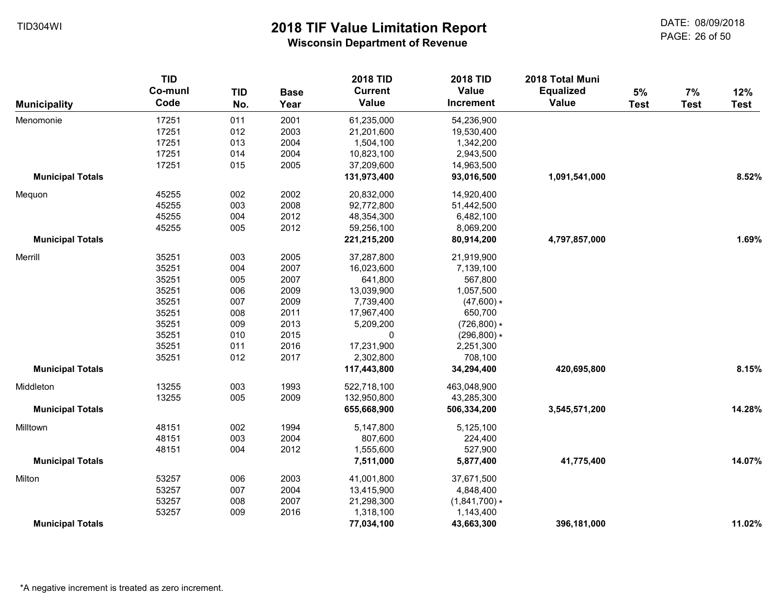**Wisconsin Department of Revenue** 

DATE: 08/09/2018 PAGE: 26 of 50

|                         | <b>TID</b> |            |             | <b>2018 TID</b> | <b>2018 TID</b>  | 2018 Total Muni  |             |             |             |
|-------------------------|------------|------------|-------------|-----------------|------------------|------------------|-------------|-------------|-------------|
|                         | Co-munl    | <b>TID</b> | <b>Base</b> | <b>Current</b>  | Value            | <b>Equalized</b> | 5%          | 7%          | 12%         |
| <b>Municipality</b>     | Code       | No.        | Year        | Value           | <b>Increment</b> | Value            | <b>Test</b> | <b>Test</b> | <b>Test</b> |
| Menomonie               | 17251      | 011        | 2001        | 61,235,000      | 54,236,900       |                  |             |             |             |
|                         | 17251      | 012        | 2003        | 21,201,600      | 19,530,400       |                  |             |             |             |
|                         | 17251      | 013        | 2004        | 1,504,100       | 1,342,200        |                  |             |             |             |
|                         | 17251      | 014        | 2004        | 10,823,100      | 2,943,500        |                  |             |             |             |
|                         | 17251      | 015        | 2005        | 37,209,600      | 14,963,500       |                  |             |             |             |
| <b>Municipal Totals</b> |            |            |             | 131,973,400     | 93,016,500       | 1,091,541,000    |             |             | 8.52%       |
| Mequon                  | 45255      | 002        | 2002        | 20,832,000      | 14,920,400       |                  |             |             |             |
|                         | 45255      | 003        | 2008        | 92,772,800      | 51,442,500       |                  |             |             |             |
|                         | 45255      | 004        | 2012        | 48,354,300      | 6,482,100        |                  |             |             |             |
|                         | 45255      | 005        | 2012        | 59,256,100      | 8,069,200        |                  |             |             |             |
| <b>Municipal Totals</b> |            |            |             | 221,215,200     | 80,914,200       | 4,797,857,000    |             |             | 1.69%       |
| Merrill                 | 35251      | 003        | 2005        | 37,287,800      | 21,919,900       |                  |             |             |             |
|                         | 35251      | 004        | 2007        | 16,023,600      | 7,139,100        |                  |             |             |             |
|                         | 35251      | 005        | 2007        | 641,800         | 567,800          |                  |             |             |             |
|                         | 35251      | 006        | 2009        | 13,039,900      | 1,057,500        |                  |             |             |             |
|                         | 35251      | 007        | 2009        | 7,739,400       | $(47,600)*$      |                  |             |             |             |
|                         | 35251      | 008        | 2011        | 17,967,400      | 650,700          |                  |             |             |             |
|                         | 35251      | 009        | 2013        | 5,209,200       | $(726, 800)*$    |                  |             |             |             |
|                         | 35251      | 010        | 2015        | 0               | $(296, 800)*$    |                  |             |             |             |
|                         | 35251      | 011        | 2016        | 17,231,900      | 2,251,300        |                  |             |             |             |
|                         | 35251      | 012        | 2017        | 2,302,800       | 708,100          |                  |             |             |             |
| <b>Municipal Totals</b> |            |            |             | 117,443,800     | 34,294,400       | 420,695,800      |             |             | 8.15%       |
| Middleton               | 13255      | 003        | 1993        | 522,718,100     | 463,048,900      |                  |             |             |             |
|                         | 13255      | 005        | 2009        | 132,950,800     | 43,285,300       |                  |             |             |             |
| <b>Municipal Totals</b> |            |            |             | 655,668,900     | 506,334,200      | 3,545,571,200    |             |             | 14.28%      |
| Milltown                | 48151      | 002        | 1994        | 5,147,800       | 5,125,100        |                  |             |             |             |
|                         | 48151      | 003        | 2004        | 807,600         | 224,400          |                  |             |             |             |
|                         | 48151      | 004        | 2012        | 1,555,600       | 527,900          |                  |             |             |             |
| <b>Municipal Totals</b> |            |            |             | 7,511,000       | 5,877,400        | 41,775,400       |             |             | 14.07%      |
| Milton                  | 53257      | 006        | 2003        | 41,001,800      | 37,671,500       |                  |             |             |             |
|                         | 53257      | 007        | 2004        | 13,415,900      | 4,848,400        |                  |             |             |             |
|                         | 53257      | 008        | 2007        | 21,298,300      | $(1,841,700)*$   |                  |             |             |             |
|                         | 53257      | 009        | 2016        | 1,318,100       | 1,143,400        |                  |             |             |             |
| <b>Municipal Totals</b> |            |            |             | 77,034,100      | 43,663,300       | 396,181,000      |             |             | 11.02%      |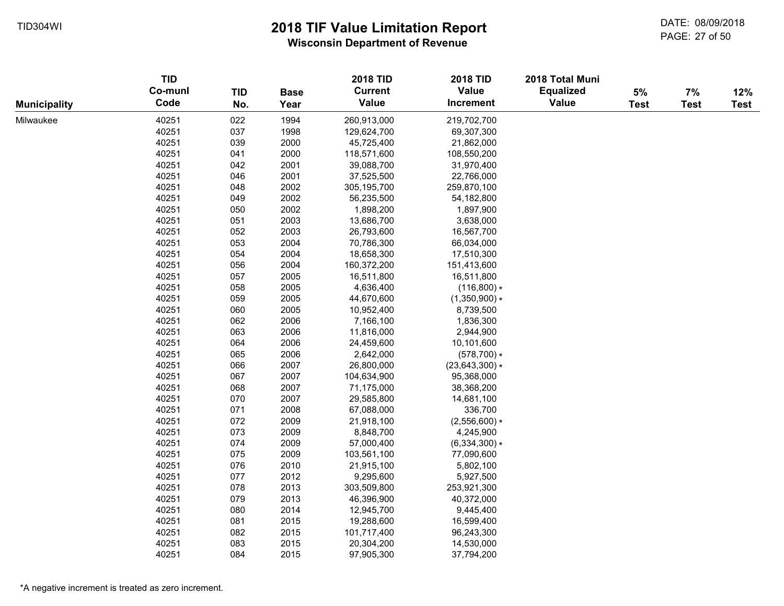**Wisconsin Department of Revenue** 

DATE: 08/09/2018 PAGE: 27 of 50

|                     | <b>TID</b><br>Co-munl<br>Code | <b>TID</b><br>No. | <b>Base</b><br>Year | <b>2018 TID</b><br><b>Current</b><br><b>Value</b> | <b>2018 TID</b><br>Value<br>Increment | 2018 Total Muni<br><b>Equalized</b><br>Value | 5%<br><b>Test</b> | 7%<br><b>Test</b> | 12%<br><b>Test</b> |
|---------------------|-------------------------------|-------------------|---------------------|---------------------------------------------------|---------------------------------------|----------------------------------------------|-------------------|-------------------|--------------------|
| <b>Municipality</b> |                               |                   |                     |                                                   |                                       |                                              |                   |                   |                    |
| Milwaukee           | 40251                         | 022               | 1994                | 260,913,000                                       | 219,702,700                           |                                              |                   |                   |                    |
|                     | 40251                         | 037               | 1998                | 129,624,700                                       | 69,307,300                            |                                              |                   |                   |                    |
|                     | 40251                         | 039               | 2000                | 45,725,400                                        | 21,862,000                            |                                              |                   |                   |                    |
|                     | 40251                         | 041               | 2000                | 118,571,600                                       | 108,550,200                           |                                              |                   |                   |                    |
|                     | 40251                         | 042               | 2001                | 39,088,700                                        | 31,970,400                            |                                              |                   |                   |                    |
|                     | 40251                         | 046               | 2001                | 37,525,500                                        | 22,766,000                            |                                              |                   |                   |                    |
|                     | 40251                         | 048               | 2002                | 305,195,700                                       | 259,870,100                           |                                              |                   |                   |                    |
|                     | 40251                         | 049               | 2002                | 56,235,500                                        | 54,182,800                            |                                              |                   |                   |                    |
|                     | 40251                         | 050               | 2002                | 1,898,200                                         | 1,897,900                             |                                              |                   |                   |                    |
|                     | 40251                         | 051               | 2003                | 13,686,700                                        | 3,638,000                             |                                              |                   |                   |                    |
|                     | 40251                         | 052               | 2003                | 26,793,600                                        | 16,567,700                            |                                              |                   |                   |                    |
|                     | 40251                         | 053               | 2004                | 70,786,300                                        | 66,034,000                            |                                              |                   |                   |                    |
|                     | 40251                         | 054               | 2004                | 18,658,300                                        | 17,510,300                            |                                              |                   |                   |                    |
|                     | 40251                         | 056               | 2004                | 160,372,200                                       | 151,413,600                           |                                              |                   |                   |                    |
|                     | 40251                         | 057               | 2005                | 16,511,800                                        | 16,511,800                            |                                              |                   |                   |                    |
|                     | 40251                         | 058               | 2005                | 4,636,400                                         | $(116,800)*$                          |                                              |                   |                   |                    |
|                     | 40251                         | 059               | 2005                | 44,670,600                                        | $(1,350,900)*$                        |                                              |                   |                   |                    |
|                     | 40251                         | 060               | 2005                | 10,952,400                                        | 8,739,500                             |                                              |                   |                   |                    |
|                     | 40251                         | 062               | 2006                | 7,166,100                                         | 1,836,300                             |                                              |                   |                   |                    |
|                     | 40251                         | 063               | 2006                | 11,816,000                                        | 2,944,900                             |                                              |                   |                   |                    |
|                     | 40251                         | 064               | 2006                | 24,459,600                                        | 10,101,600                            |                                              |                   |                   |                    |
|                     | 40251                         | 065               | 2006                | 2,642,000                                         | $(578, 700)*$                         |                                              |                   |                   |                    |
|                     | 40251                         | 066               | 2007                | 26,800,000                                        | $(23, 643, 300)*$                     |                                              |                   |                   |                    |
|                     | 40251                         | 067               | 2007                | 104,634,900                                       | 95,368,000                            |                                              |                   |                   |                    |
|                     | 40251                         | 068               | 2007                | 71,175,000                                        | 38,368,200                            |                                              |                   |                   |                    |
|                     | 40251                         | 070               | 2007                | 29,585,800                                        | 14,681,100                            |                                              |                   |                   |                    |
|                     | 40251                         | 071               | 2008                | 67,088,000                                        | 336,700                               |                                              |                   |                   |                    |
|                     | 40251                         | 072               | 2009                | 21,918,100                                        | $(2,556,600)*$                        |                                              |                   |                   |                    |
|                     | 40251                         | 073               | 2009                | 8,848,700                                         | 4,245,900                             |                                              |                   |                   |                    |
|                     | 40251                         | 074               | 2009                | 57,000,400                                        | $(6,334,300)*$                        |                                              |                   |                   |                    |
|                     | 40251                         | 075               | 2009                | 103,561,100                                       | 77,090,600                            |                                              |                   |                   |                    |
|                     | 40251                         | 076               | 2010                | 21,915,100                                        | 5,802,100                             |                                              |                   |                   |                    |
|                     | 40251                         | 077               | 2012                | 9,295,600                                         | 5,927,500                             |                                              |                   |                   |                    |
|                     | 40251                         | 078               | 2013                | 303,509,800                                       | 253,921,300                           |                                              |                   |                   |                    |
|                     | 40251                         | 079               | 2013                | 46,396,900                                        | 40,372,000                            |                                              |                   |                   |                    |
|                     | 40251                         | 080               | 2014                | 12,945,700                                        | 9,445,400                             |                                              |                   |                   |                    |
|                     | 40251                         | 081               | 2015                | 19,288,600                                        | 16,599,400                            |                                              |                   |                   |                    |
|                     | 40251                         | 082               | 2015                | 101,717,400                                       | 96,243,300                            |                                              |                   |                   |                    |
|                     | 40251                         | 083               | 2015                | 20,304,200                                        | 14,530,000                            |                                              |                   |                   |                    |
|                     | 40251                         | 084               | 2015                | 97,905,300                                        | 37,794,200                            |                                              |                   |                   |                    |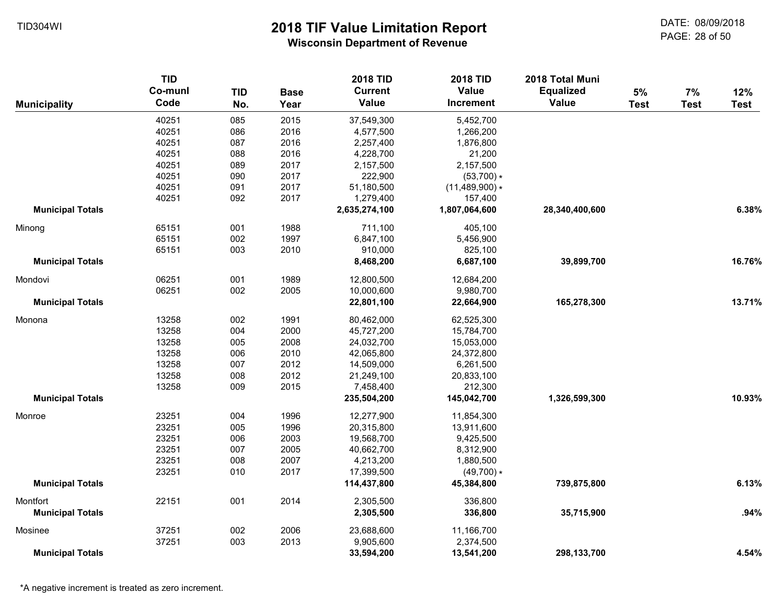**Wisconsin Department of Revenue** 

DATE: 08/09/2018 PAGE: 28 of 50

|                         | <b>TID</b> |            |             | <b>2018 TID</b> | <b>2018 TID</b>  | 2018 Total Muni  |             |             |             |
|-------------------------|------------|------------|-------------|-----------------|------------------|------------------|-------------|-------------|-------------|
|                         | Co-munl    | <b>TID</b> | <b>Base</b> | <b>Current</b>  | Value            | <b>Equalized</b> | $5\%$       | 7%          | 12%         |
| <b>Municipality</b>     | Code       | No.        | Year        | Value           | <b>Increment</b> | <b>Value</b>     | <b>Test</b> | <b>Test</b> | <b>Test</b> |
|                         | 40251      | 085        | 2015        | 37,549,300      | 5,452,700        |                  |             |             |             |
|                         | 40251      | 086        | 2016        | 4,577,500       | 1,266,200        |                  |             |             |             |
|                         | 40251      | 087        | 2016        | 2,257,400       | 1,876,800        |                  |             |             |             |
|                         | 40251      | 088        | 2016        | 4,228,700       | 21,200           |                  |             |             |             |
|                         | 40251      | 089        | 2017        | 2,157,500       | 2,157,500        |                  |             |             |             |
|                         | 40251      | 090        | 2017        | 222,900         | $(53,700)*$      |                  |             |             |             |
|                         | 40251      | 091        | 2017        | 51,180,500      | $(11,489,900)*$  |                  |             |             |             |
|                         | 40251      | 092        | 2017        | 1,279,400       | 157,400          |                  |             |             |             |
| <b>Municipal Totals</b> |            |            |             | 2,635,274,100   | 1,807,064,600    | 28,340,400,600   |             |             | 6.38%       |
| Minong                  | 65151      | 001        | 1988        | 711,100         | 405,100          |                  |             |             |             |
|                         | 65151      | 002        | 1997        | 6,847,100       | 5,456,900        |                  |             |             |             |
|                         | 65151      | 003        | 2010        | 910,000         | 825,100          |                  |             |             |             |
| <b>Municipal Totals</b> |            |            |             | 8,468,200       | 6,687,100        | 39,899,700       |             |             | 16.76%      |
| Mondovi                 | 06251      | 001        | 1989        | 12,800,500      | 12,684,200       |                  |             |             |             |
|                         | 06251      | 002        | 2005        | 10,000,600      | 9,980,700        |                  |             |             |             |
| <b>Municipal Totals</b> |            |            |             | 22,801,100      | 22,664,900       | 165,278,300      |             |             | 13.71%      |
| Monona                  | 13258      | 002        | 1991        | 80,462,000      | 62,525,300       |                  |             |             |             |
|                         | 13258      | 004        | 2000        | 45,727,200      | 15,784,700       |                  |             |             |             |
|                         | 13258      | 005        | 2008        | 24,032,700      | 15,053,000       |                  |             |             |             |
|                         | 13258      | 006        | 2010        | 42,065,800      | 24,372,800       |                  |             |             |             |
|                         | 13258      | 007        | 2012        | 14,509,000      | 6,261,500        |                  |             |             |             |
|                         | 13258      | 008        | 2012        | 21,249,100      | 20,833,100       |                  |             |             |             |
|                         | 13258      | 009        | 2015        | 7,458,400       | 212,300          |                  |             |             |             |
| <b>Municipal Totals</b> |            |            |             | 235,504,200     | 145,042,700      | 1,326,599,300    |             |             | 10.93%      |
| Monroe                  | 23251      | 004        | 1996        | 12,277,900      | 11,854,300       |                  |             |             |             |
|                         | 23251      | 005        | 1996        | 20,315,800      | 13,911,600       |                  |             |             |             |
|                         | 23251      | 006        | 2003        | 19,568,700      | 9,425,500        |                  |             |             |             |
|                         | 23251      | 007        | 2005        | 40,662,700      | 8,312,900        |                  |             |             |             |
|                         | 23251      | 008        | 2007        | 4,213,200       | 1,880,500        |                  |             |             |             |
|                         | 23251      | 010        | 2017        | 17,399,500      | $(49,700)*$      |                  |             |             |             |
| <b>Municipal Totals</b> |            |            |             | 114,437,800     | 45,384,800       | 739,875,800      |             |             | 6.13%       |
| Montfort                | 22151      | 001        | 2014        | 2,305,500       | 336,800          |                  |             |             |             |
| <b>Municipal Totals</b> |            |            |             | 2,305,500       | 336,800          | 35,715,900       |             |             | .94%        |
| Mosinee                 | 37251      | 002        | 2006        | 23,688,600      | 11,166,700       |                  |             |             |             |
|                         | 37251      | 003        | 2013        | 9,905,600       | 2,374,500        |                  |             |             |             |
| <b>Municipal Totals</b> |            |            |             | 33,594,200      | 13,541,200       | 298,133,700      |             |             | 4.54%       |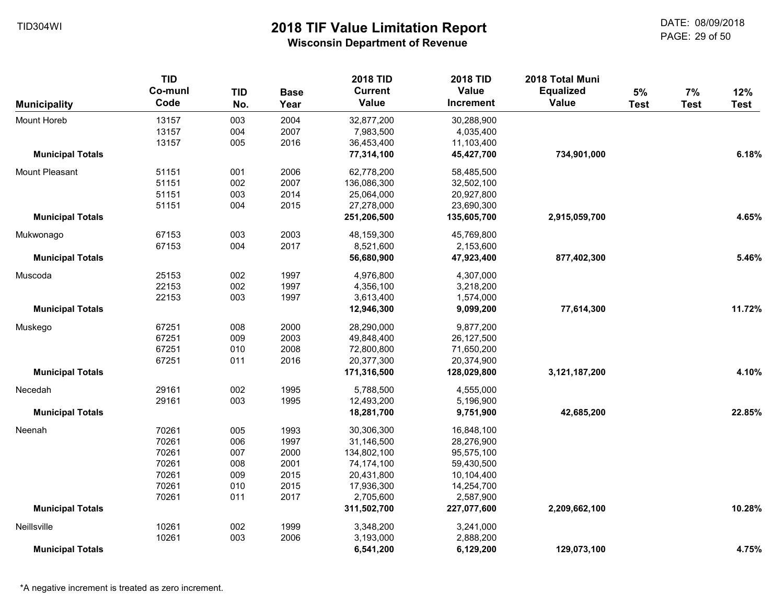#### **2018 TIF Value Limitation Report**  TID304WI DATE: 08/09/2018

**Wisconsin Department of Revenue** 

PAGE: 29 of 50

|                         | <b>TID</b><br>Co-munl | <b>TID</b> | <b>Base</b> | <b>2018 TID</b><br><b>Current</b> | <b>2018 TID</b><br>Value | 2018 Total Muni<br><b>Equalized</b> | 5%          | 7%          | 12%         |
|-------------------------|-----------------------|------------|-------------|-----------------------------------|--------------------------|-------------------------------------|-------------|-------------|-------------|
| <b>Municipality</b>     | Code                  | No.        | Year        | Value                             | <b>Increment</b>         | Value                               | <b>Test</b> | <b>Test</b> | <b>Test</b> |
| Mount Horeb             | 13157                 | 003        | 2004        | 32,877,200                        | 30,288,900               |                                     |             |             |             |
|                         | 13157                 | 004        | 2007        | 7,983,500                         | 4,035,400                |                                     |             |             |             |
|                         | 13157                 | 005        | 2016        | 36,453,400                        | 11,103,400               |                                     |             |             |             |
| <b>Municipal Totals</b> |                       |            |             | 77,314,100                        | 45,427,700               | 734,901,000                         |             |             | 6.18%       |
| Mount Pleasant          | 51151                 | 001        | 2006        | 62,778,200                        | 58,485,500               |                                     |             |             |             |
|                         | 51151                 | 002        | 2007        | 136,086,300                       | 32,502,100               |                                     |             |             |             |
|                         | 51151                 | 003        | 2014        | 25,064,000                        | 20,927,800               |                                     |             |             |             |
|                         | 51151                 | 004        | 2015        | 27,278,000                        | 23,690,300               |                                     |             |             |             |
| <b>Municipal Totals</b> |                       |            |             | 251,206,500                       | 135,605,700              | 2,915,059,700                       |             |             | 4.65%       |
| Mukwonago               | 67153                 | 003        | 2003        | 48,159,300                        | 45,769,800               |                                     |             |             |             |
|                         | 67153                 | 004        | 2017        | 8,521,600                         | 2,153,600                |                                     |             |             |             |
| <b>Municipal Totals</b> |                       |            |             | 56,680,900                        | 47,923,400               | 877,402,300                         |             |             | 5.46%       |
| Muscoda                 | 25153                 | 002        | 1997        | 4,976,800                         | 4,307,000                |                                     |             |             |             |
|                         | 22153                 | 002        | 1997        | 4,356,100                         | 3,218,200                |                                     |             |             |             |
|                         | 22153                 | 003        | 1997        | 3,613,400                         | 1,574,000                |                                     |             |             |             |
| <b>Municipal Totals</b> |                       |            |             | 12,946,300                        | 9,099,200                | 77,614,300                          |             |             | 11.72%      |
| Muskego                 | 67251                 | 008        | 2000        | 28,290,000                        | 9,877,200                |                                     |             |             |             |
|                         | 67251                 | 009        | 2003        | 49,848,400                        | 26,127,500               |                                     |             |             |             |
|                         | 67251                 | 010        | 2008        | 72,800,800                        | 71,650,200               |                                     |             |             |             |
|                         | 67251                 | 011        | 2016        | 20,377,300                        | 20,374,900               |                                     |             |             |             |
| <b>Municipal Totals</b> |                       |            |             | 171,316,500                       | 128,029,800              | 3,121,187,200                       |             |             | 4.10%       |
| Necedah                 | 29161                 | 002        | 1995        | 5,788,500                         | 4,555,000                |                                     |             |             |             |
|                         | 29161                 | 003        | 1995        | 12,493,200                        | 5,196,900                |                                     |             |             |             |
| <b>Municipal Totals</b> |                       |            |             | 18,281,700                        | 9,751,900                | 42,685,200                          |             |             | 22.85%      |
| Neenah                  | 70261                 | 005        | 1993        | 30,306,300                        | 16,848,100               |                                     |             |             |             |
|                         | 70261                 | 006        | 1997        | 31,146,500                        | 28,276,900               |                                     |             |             |             |
|                         | 70261                 | 007        | 2000        | 134,802,100                       | 95,575,100               |                                     |             |             |             |
|                         | 70261                 | 008        | 2001        | 74,174,100                        | 59,430,500               |                                     |             |             |             |
|                         | 70261                 | 009        | 2015        | 20,431,800                        | 10,104,400               |                                     |             |             |             |
|                         | 70261                 | 010        | 2015        | 17,936,300                        | 14,254,700               |                                     |             |             |             |
|                         | 70261                 | 011        | 2017        | 2,705,600                         | 2,587,900                |                                     |             |             |             |
| <b>Municipal Totals</b> |                       |            |             | 311,502,700                       | 227,077,600              | 2,209,662,100                       |             |             | 10.28%      |
| Neillsville             | 10261                 | 002        | 1999        | 3,348,200                         | 3,241,000                |                                     |             |             |             |
|                         | 10261                 | 003        | 2006        | 3,193,000                         | 2,888,200                |                                     |             |             |             |
| <b>Municipal Totals</b> |                       |            |             | 6,541,200                         | 6,129,200                | 129,073,100                         |             |             | 4.75%       |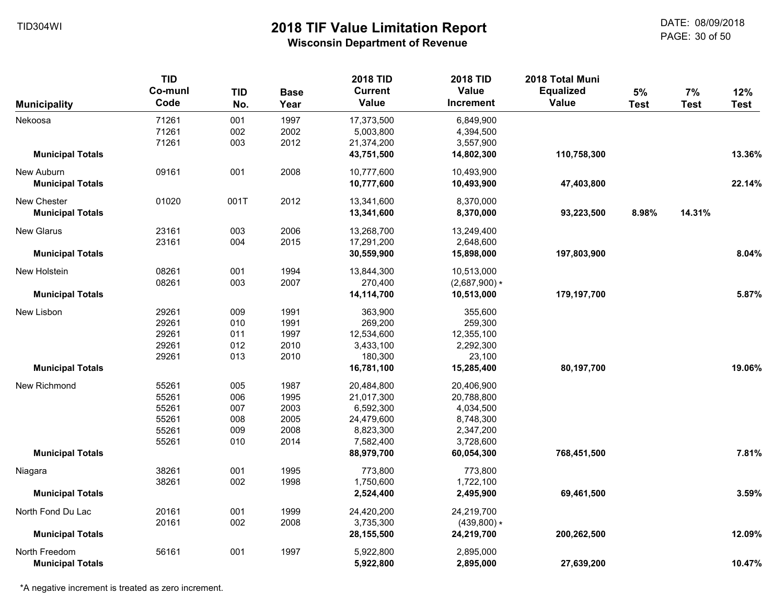**Wisconsin Department of Revenue** 

DATE: 08/09/2018 PAGE: 30 of 50

|                         | <b>TID</b><br>Co-munl | <b>TID</b> | <b>Base</b> | <b>2018 TID</b><br><b>Current</b> | <b>2018 TID</b><br>Value | 2018 Total Muni<br><b>Equalized</b> | 5%          | 7%          | 12%         |
|-------------------------|-----------------------|------------|-------------|-----------------------------------|--------------------------|-------------------------------------|-------------|-------------|-------------|
| <b>Municipality</b>     | Code                  | No.        | Year        | Value                             | <b>Increment</b>         | Value                               | <b>Test</b> | <b>Test</b> | <b>Test</b> |
| Nekoosa                 | 71261                 | 001        | 1997        | 17,373,500                        | 6,849,900                |                                     |             |             |             |
|                         | 71261                 | 002        | 2002        | 5,003,800                         | 4,394,500                |                                     |             |             |             |
|                         | 71261                 | 003        | 2012        | 21,374,200                        | 3,557,900                |                                     |             |             |             |
| <b>Municipal Totals</b> |                       |            |             | 43,751,500                        | 14,802,300               | 110,758,300                         |             |             | 13.36%      |
| New Auburn              | 09161                 | 001        | 2008        | 10,777,600                        | 10,493,900               |                                     |             |             |             |
| <b>Municipal Totals</b> |                       |            |             | 10,777,600                        | 10,493,900               | 47,403,800                          |             |             | 22.14%      |
| <b>New Chester</b>      | 01020                 | 001T       | 2012        | 13,341,600                        | 8,370,000                |                                     |             |             |             |
| <b>Municipal Totals</b> |                       |            |             | 13,341,600                        | 8,370,000                | 93,223,500                          | 8.98%       | 14.31%      |             |
| <b>New Glarus</b>       | 23161                 | 003        | 2006        | 13,268,700                        | 13,249,400               |                                     |             |             |             |
|                         | 23161                 | 004        | 2015        | 17,291,200                        | 2,648,600                |                                     |             |             |             |
| <b>Municipal Totals</b> |                       |            |             | 30,559,900                        | 15,898,000               | 197,803,900                         |             |             | 8.04%       |
| New Holstein            | 08261                 | 001        | 1994        | 13,844,300                        | 10,513,000               |                                     |             |             |             |
|                         | 08261                 | 003        | 2007        | 270,400                           | $(2,687,900)*$           |                                     |             |             |             |
| <b>Municipal Totals</b> |                       |            |             | 14,114,700                        | 10,513,000               | 179,197,700                         |             |             | 5.87%       |
| New Lisbon              | 29261                 | 009        | 1991        | 363,900                           | 355,600                  |                                     |             |             |             |
|                         | 29261                 | 010        | 1991        | 269,200                           | 259,300                  |                                     |             |             |             |
|                         | 29261                 | 011        | 1997        | 12,534,600                        | 12,355,100               |                                     |             |             |             |
|                         | 29261                 | 012        | 2010        | 3,433,100                         | 2,292,300                |                                     |             |             |             |
|                         | 29261                 | 013        | 2010        | 180,300                           | 23,100                   |                                     |             |             |             |
| <b>Municipal Totals</b> |                       |            |             | 16,781,100                        | 15,285,400               | 80,197,700                          |             |             | 19.06%      |
| New Richmond            | 55261                 | 005        | 1987        | 20,484,800                        | 20,406,900               |                                     |             |             |             |
|                         | 55261                 | 006        | 1995        | 21,017,300                        | 20,788,800               |                                     |             |             |             |
|                         | 55261                 | 007        | 2003        | 6,592,300                         | 4,034,500                |                                     |             |             |             |
|                         | 55261                 | 008        | 2005        | 24,479,600                        | 8,748,300                |                                     |             |             |             |
|                         | 55261                 | 009        | 2008        | 8,823,300                         | 2,347,200                |                                     |             |             |             |
|                         | 55261                 | 010        | 2014        | 7,582,400                         | 3,728,600                |                                     |             |             |             |
| <b>Municipal Totals</b> |                       |            |             | 88,979,700                        | 60,054,300               | 768,451,500                         |             |             | 7.81%       |
| Niagara                 | 38261                 | 001        | 1995        | 773,800                           | 773,800                  |                                     |             |             |             |
|                         | 38261                 | 002        | 1998        | 1,750,600                         | 1,722,100                |                                     |             |             |             |
| <b>Municipal Totals</b> |                       |            |             | 2,524,400                         | 2,495,900                | 69,461,500                          |             |             | 3.59%       |
| North Fond Du Lac       | 20161                 | 001        | 1999        | 24,420,200                        | 24,219,700               |                                     |             |             |             |
|                         | 20161                 | 002        | 2008        | 3,735,300                         | $(439, 800)*$            |                                     |             |             |             |
| <b>Municipal Totals</b> |                       |            |             | 28,155,500                        | 24,219,700               | 200,262,500                         |             |             | 12.09%      |
| North Freedom           | 56161                 | 001        | 1997        | 5,922,800                         | 2,895,000                |                                     |             |             |             |
| <b>Municipal Totals</b> |                       |            |             | 5,922,800                         | 2,895,000                | 27,639,200                          |             |             | 10.47%      |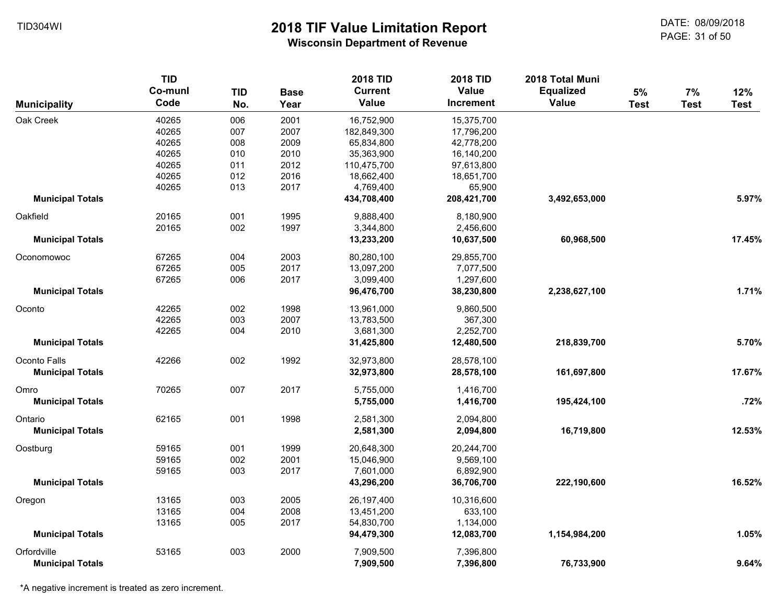#### **2018 TIF Value Limitation Report**  TID304WI DATE: 08/09/2018

**Wisconsin Department of Revenue** 

PAGE: 31 of 50

|                         | <b>TID</b> |            |             | <b>2018 TID</b> | <b>2018 TID</b>  | 2018 Total Muni  |             |             |             |
|-------------------------|------------|------------|-------------|-----------------|------------------|------------------|-------------|-------------|-------------|
|                         | Co-munl    | <b>TID</b> | <b>Base</b> | <b>Current</b>  | Value            | <b>Equalized</b> | 5%          | 7%          | 12%         |
| <b>Municipality</b>     | Code       | No.        | Year        | Value           | <b>Increment</b> | Value            | <b>Test</b> | <b>Test</b> | <b>Test</b> |
| Oak Creek               | 40265      | 006        | 2001        | 16,752,900      | 15,375,700       |                  |             |             |             |
|                         | 40265      | 007        | 2007        | 182,849,300     | 17,796,200       |                  |             |             |             |
|                         | 40265      | 008        | 2009        | 65,834,800      | 42,778,200       |                  |             |             |             |
|                         | 40265      | 010        | 2010        | 35,363,900      | 16,140,200       |                  |             |             |             |
|                         | 40265      | 011        | 2012        | 110,475,700     | 97,613,800       |                  |             |             |             |
|                         | 40265      | 012        | 2016        | 18,662,400      | 18,651,700       |                  |             |             |             |
|                         | 40265      | 013        | 2017        | 4,769,400       | 65,900           |                  |             |             |             |
| <b>Municipal Totals</b> |            |            |             | 434,708,400     | 208,421,700      | 3,492,653,000    |             |             | 5.97%       |
| Oakfield                | 20165      | 001        | 1995        | 9,888,400       | 8,180,900        |                  |             |             |             |
|                         | 20165      | 002        | 1997        | 3,344,800       | 2,456,600        |                  |             |             |             |
| <b>Municipal Totals</b> |            |            |             | 13,233,200      | 10,637,500       | 60,968,500       |             |             | 17.45%      |
| Oconomowoc              | 67265      | 004        | 2003        | 80,280,100      | 29,855,700       |                  |             |             |             |
|                         | 67265      | 005        | 2017        | 13,097,200      | 7,077,500        |                  |             |             |             |
|                         | 67265      | 006        | 2017        | 3,099,400       | 1,297,600        |                  |             |             |             |
| <b>Municipal Totals</b> |            |            |             | 96,476,700      | 38,230,800       | 2,238,627,100    |             |             | 1.71%       |
| Oconto                  | 42265      | 002        | 1998        | 13,961,000      | 9,860,500        |                  |             |             |             |
|                         | 42265      | 003        | 2007        | 13,783,500      | 367,300          |                  |             |             |             |
|                         | 42265      | 004        | 2010        | 3,681,300       | 2,252,700        |                  |             |             |             |
| <b>Municipal Totals</b> |            |            |             | 31,425,800      | 12,480,500       | 218,839,700      |             |             | 5.70%       |
| Oconto Falls            | 42266      | 002        | 1992        | 32,973,800      | 28,578,100       |                  |             |             |             |
| <b>Municipal Totals</b> |            |            |             | 32,973,800      | 28,578,100       | 161,697,800      |             |             | 17.67%      |
| Omro                    | 70265      | 007        | 2017        | 5,755,000       | 1,416,700        |                  |             |             |             |
| <b>Municipal Totals</b> |            |            |             | 5,755,000       | 1,416,700        | 195,424,100      |             |             | .72%        |
| Ontario                 | 62165      | 001        | 1998        | 2,581,300       | 2,094,800        |                  |             |             |             |
| <b>Municipal Totals</b> |            |            |             | 2,581,300       | 2,094,800        | 16,719,800       |             |             | 12.53%      |
| Oostburg                | 59165      | 001        | 1999        | 20,648,300      | 20,244,700       |                  |             |             |             |
|                         | 59165      | 002        | 2001        | 15,046,900      | 9,569,100        |                  |             |             |             |
|                         | 59165      | 003        | 2017        | 7,601,000       | 6,892,900        |                  |             |             |             |
| <b>Municipal Totals</b> |            |            |             | 43,296,200      | 36,706,700       | 222,190,600      |             |             | 16.52%      |
| Oregon                  | 13165      | 003        | 2005        | 26,197,400      | 10,316,600       |                  |             |             |             |
|                         | 13165      | 004        | 2008        | 13,451,200      | 633,100          |                  |             |             |             |
|                         | 13165      | 005        | 2017        | 54,830,700      | 1,134,000        |                  |             |             |             |
| <b>Municipal Totals</b> |            |            |             | 94,479,300      | 12,083,700       | 1,154,984,200    |             |             | 1.05%       |
| Orfordville             | 53165      | 003        | 2000        | 7,909,500       | 7,396,800        |                  |             |             |             |
| <b>Municipal Totals</b> |            |            |             | 7,909,500       | 7,396,800        | 76,733,900       |             |             | 9.64%       |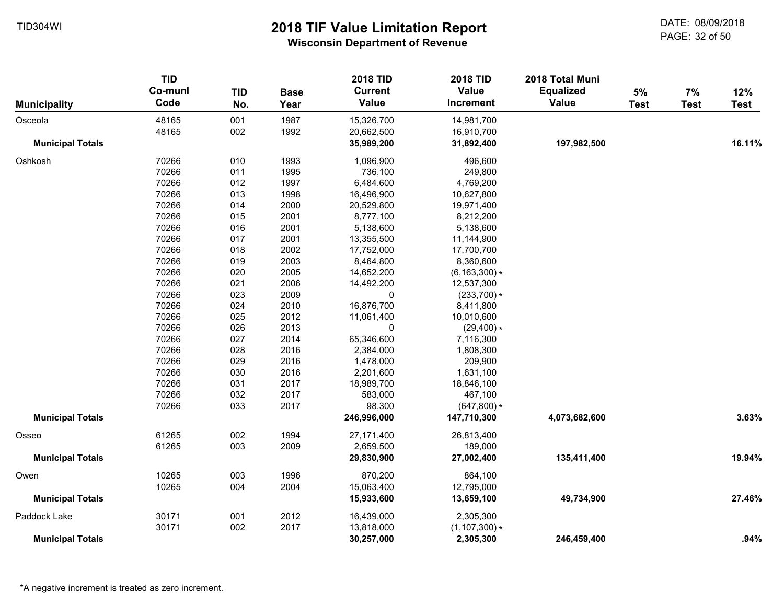**Wisconsin Department of Revenue** 

DATE: 08/09/2018 PAGE: 32 of 50

|                         | <b>TID</b> |            |             | <b>2018 TID</b> | <b>2018 TID</b>  | 2018 Total Muni  |             |             |             |
|-------------------------|------------|------------|-------------|-----------------|------------------|------------------|-------------|-------------|-------------|
|                         | Co-munl    | <b>TID</b> | <b>Base</b> | <b>Current</b>  | Value            | <b>Equalized</b> | 5%          | 7%          | 12%         |
| <b>Municipality</b>     | Code       | No.        | Year        | Value           | Increment        | <b>Value</b>     | <b>Test</b> | <b>Test</b> | <b>Test</b> |
| Osceola                 | 48165      | 001        | 1987        | 15,326,700      | 14,981,700       |                  |             |             |             |
|                         | 48165      | 002        | 1992        | 20,662,500      | 16,910,700       |                  |             |             |             |
| <b>Municipal Totals</b> |            |            |             | 35,989,200      | 31,892,400       | 197,982,500      |             |             | 16.11%      |
| Oshkosh                 | 70266      | 010        | 1993        | 1,096,900       | 496,600          |                  |             |             |             |
|                         | 70266      | 011        | 1995        | 736,100         | 249,800          |                  |             |             |             |
|                         | 70266      | 012        | 1997        | 6,484,600       | 4,769,200        |                  |             |             |             |
|                         | 70266      | 013        | 1998        | 16,496,900      | 10,627,800       |                  |             |             |             |
|                         | 70266      | 014        | 2000        | 20,529,800      | 19,971,400       |                  |             |             |             |
|                         | 70266      | 015        | 2001        | 8,777,100       | 8,212,200        |                  |             |             |             |
|                         | 70266      | 016        | 2001        | 5,138,600       | 5,138,600        |                  |             |             |             |
|                         | 70266      | 017        | 2001        | 13,355,500      | 11,144,900       |                  |             |             |             |
|                         | 70266      | 018        | 2002        | 17,752,000      | 17,700,700       |                  |             |             |             |
|                         | 70266      | 019        | 2003        | 8,464,800       | 8,360,600        |                  |             |             |             |
|                         | 70266      | 020        | 2005        | 14,652,200      | $(6, 163, 300)*$ |                  |             |             |             |
|                         | 70266      | 021        | 2006        | 14,492,200      | 12,537,300       |                  |             |             |             |
|                         | 70266      | 023        | 2009        | $\mathbf 0$     | $(233,700)*$     |                  |             |             |             |
|                         | 70266      | 024        | 2010        | 16,876,700      | 8,411,800        |                  |             |             |             |
|                         | 70266      | 025        | 2012        | 11,061,400      | 10,010,600       |                  |             |             |             |
|                         | 70266      | 026        | 2013        | $\mathbf{0}$    | $(29,400)*$      |                  |             |             |             |
|                         | 70266      | 027        | 2014        | 65,346,600      | 7,116,300        |                  |             |             |             |
|                         | 70266      | 028        | 2016        | 2,384,000       | 1,808,300        |                  |             |             |             |
|                         | 70266      | 029        | 2016        | 1,478,000       | 209,900          |                  |             |             |             |
|                         | 70266      | 030        | 2016        | 2,201,600       | 1,631,100        |                  |             |             |             |
|                         | 70266      | 031        | 2017        | 18,989,700      | 18,846,100       |                  |             |             |             |
|                         | 70266      | 032        | 2017        | 583,000         | 467,100          |                  |             |             |             |
|                         | 70266      | 033        | 2017        | 98,300          | $(647,800)*$     |                  |             |             |             |
| <b>Municipal Totals</b> |            |            |             | 246,996,000     | 147,710,300      | 4,073,682,600    |             |             | 3.63%       |
| Osseo                   | 61265      | 002        | 1994        | 27,171,400      | 26,813,400       |                  |             |             |             |
|                         | 61265      | 003        | 2009        | 2,659,500       | 189,000          |                  |             |             |             |
| <b>Municipal Totals</b> |            |            |             |                 |                  | 135,411,400      |             |             | 19.94%      |
|                         |            |            |             | 29,830,900      | 27,002,400       |                  |             |             |             |
| Owen                    | 10265      | 003        | 1996        | 870,200         | 864,100          |                  |             |             |             |
|                         | 10265      | 004        | 2004        | 15,063,400      | 12,795,000       |                  |             |             |             |
| <b>Municipal Totals</b> |            |            |             | 15,933,600      | 13,659,100       | 49,734,900       |             |             | 27.46%      |
| Paddock Lake            | 30171      | 001        | 2012        | 16,439,000      | 2,305,300        |                  |             |             |             |
|                         | 30171      | 002        | 2017        | 13,818,000      | $(1, 107, 300)*$ |                  |             |             |             |
| <b>Municipal Totals</b> |            |            |             | 30,257,000      | 2,305,300        | 246,459,400      |             |             | .94%        |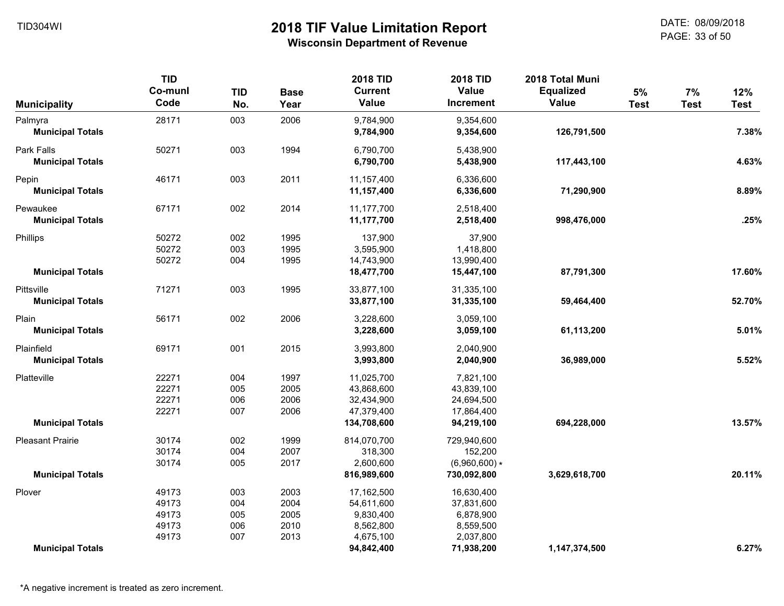**Wisconsin Department of Revenue** 

DATE: 08/09/2018 PAGE: 33 of 50

|                                        | <b>TID</b><br>Co-munl                     | <b>TID</b>                      | <b>Base</b>                          | <b>2018 TID</b><br><b>Current</b>                               | <b>2018 TID</b><br>Value                                        | 2018 Total Muni<br><b>Equalized</b> | 5%          | 7%          | 12%         |
|----------------------------------------|-------------------------------------------|---------------------------------|--------------------------------------|-----------------------------------------------------------------|-----------------------------------------------------------------|-------------------------------------|-------------|-------------|-------------|
| <b>Municipality</b>                    | Code                                      | No.                             | Year                                 | Value                                                           | <b>Increment</b>                                                | Value                               | <b>Test</b> | <b>Test</b> | <b>Test</b> |
| Palmyra<br><b>Municipal Totals</b>     | 28171                                     | 003                             | 2006                                 | 9,784,900<br>9,784,900                                          | 9,354,600<br>9,354,600                                          | 126,791,500                         |             |             | 7.38%       |
| Park Falls<br><b>Municipal Totals</b>  | 50271                                     | 003                             | 1994                                 | 6,790,700<br>6,790,700                                          | 5,438,900<br>5,438,900                                          | 117,443,100                         |             |             | 4.63%       |
| Pepin<br><b>Municipal Totals</b>       | 46171                                     | 003                             | 2011                                 | 11,157,400<br>11,157,400                                        | 6,336,600<br>6,336,600                                          | 71,290,900                          |             |             | 8.89%       |
| Pewaukee<br><b>Municipal Totals</b>    | 67171                                     | 002                             | 2014                                 | 11,177,700<br>11,177,700                                        | 2,518,400<br>2,518,400                                          | 998,476,000                         |             |             | .25%        |
| Phillips<br><b>Municipal Totals</b>    | 50272<br>50272<br>50272                   | 002<br>003<br>004               | 1995<br>1995<br>1995                 | 137,900<br>3,595,900<br>14,743,900<br>18,477,700                | 37,900<br>1,418,800<br>13,990,400<br>15,447,100                 | 87,791,300                          |             |             | 17.60%      |
| Pittsville<br><b>Municipal Totals</b>  | 71271                                     | 003                             | 1995                                 | 33,877,100<br>33,877,100                                        | 31,335,100<br>31,335,100                                        | 59,464,400                          |             |             | 52.70%      |
| Plain<br><b>Municipal Totals</b>       | 56171                                     | 002                             | 2006                                 | 3,228,600<br>3,228,600                                          | 3,059,100<br>3,059,100                                          | 61,113,200                          |             |             | 5.01%       |
| Plainfield<br><b>Municipal Totals</b>  | 69171                                     | 001                             | 2015                                 | 3,993,800<br>3,993,800                                          | 2,040,900<br>2,040,900                                          | 36,989,000                          |             |             | 5.52%       |
| Platteville<br><b>Municipal Totals</b> | 22271<br>22271<br>22271<br>22271          | 004<br>005<br>006<br>007        | 1997<br>2005<br>2006<br>2006         | 11,025,700<br>43,868,600<br>32,434,900<br>47,379,400            | 7,821,100<br>43,839,100<br>24,694,500<br>17,864,400             | 694,228,000                         |             |             | 13.57%      |
|                                        |                                           |                                 |                                      | 134,708,600                                                     | 94,219,100                                                      |                                     |             |             |             |
| <b>Pleasant Prairie</b>                | 30174<br>30174<br>30174                   | 002<br>004<br>005               | 1999<br>2007<br>2017                 | 814,070,700<br>318,300<br>2,600,600                             | 729,940,600<br>152,200<br>$(6,960,600)*$                        |                                     |             |             |             |
| <b>Municipal Totals</b>                |                                           |                                 |                                      | 816,989,600                                                     | 730,092,800                                                     | 3,629,618,700                       |             |             | 20.11%      |
| Plover                                 | 49173<br>49173<br>49173<br>49173<br>49173 | 003<br>004<br>005<br>006<br>007 | 2003<br>2004<br>2005<br>2010<br>2013 | 17,162,500<br>54,611,600<br>9,830,400<br>8,562,800<br>4,675,100 | 16,630,400<br>37,831,600<br>6,878,900<br>8,559,500<br>2,037,800 |                                     |             |             |             |
| <b>Municipal Totals</b>                |                                           |                                 |                                      | 94,842,400                                                      | 71,938,200                                                      | 1,147,374,500                       |             |             | 6.27%       |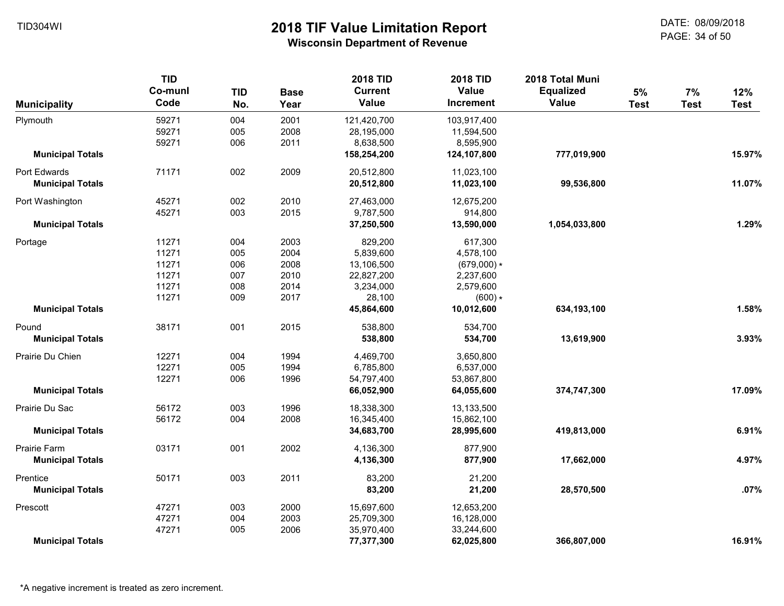**Wisconsin Department of Revenue** 

DATE: 08/09/2018 PAGE: 34 of 50

|                         | <b>TID</b><br>Co-munl | <b>TID</b> | <b>Base</b> | <b>2018 TID</b><br><b>Current</b> | <b>2018 TID</b><br>Value | 2018 Total Muni<br><b>Equalized</b> | $5%$        | 7%          | 12%         |
|-------------------------|-----------------------|------------|-------------|-----------------------------------|--------------------------|-------------------------------------|-------------|-------------|-------------|
| <b>Municipality</b>     | Code                  | No.        | Year        | Value                             | Increment                | Value                               | <b>Test</b> | <b>Test</b> | <b>Test</b> |
| Plymouth                | 59271                 | 004        | 2001        | 121,420,700                       | 103,917,400              |                                     |             |             |             |
|                         | 59271                 | 005        | 2008        | 28,195,000                        | 11,594,500               |                                     |             |             |             |
|                         | 59271                 | 006        | 2011        | 8,638,500                         | 8,595,900                |                                     |             |             |             |
| <b>Municipal Totals</b> |                       |            |             | 158,254,200                       | 124,107,800              | 777,019,900                         |             |             | 15.97%      |
| Port Edwards            | 71171                 | 002        | 2009        | 20,512,800                        | 11,023,100               |                                     |             |             |             |
| <b>Municipal Totals</b> |                       |            |             | 20,512,800                        | 11,023,100               | 99,536,800                          |             |             | 11.07%      |
| Port Washington         | 45271                 | 002        | 2010        | 27,463,000                        | 12,675,200               |                                     |             |             |             |
|                         | 45271                 | 003        | 2015        | 9,787,500                         | 914,800                  |                                     |             |             |             |
| <b>Municipal Totals</b> |                       |            |             | 37,250,500                        | 13,590,000               | 1,054,033,800                       |             |             | 1.29%       |
| Portage                 | 11271                 | 004        | 2003        | 829,200                           | 617,300                  |                                     |             |             |             |
|                         | 11271                 | 005        | 2004        | 5,839,600                         | 4,578,100                |                                     |             |             |             |
|                         | 11271                 | 006        | 2008        | 13,106,500                        | $(679,000)*$             |                                     |             |             |             |
|                         | 11271                 | 007        | 2010        | 22,827,200                        | 2,237,600                |                                     |             |             |             |
|                         | 11271                 | 008        | 2014        | 3,234,000                         | 2,579,600                |                                     |             |             |             |
|                         | 11271                 | 009        | 2017        | 28,100                            | $(600)*$                 |                                     |             |             |             |
| <b>Municipal Totals</b> |                       |            |             | 45,864,600                        | 10,012,600               | 634,193,100                         |             |             | 1.58%       |
| Pound                   | 38171                 | 001        | 2015        | 538,800                           | 534,700                  |                                     |             |             |             |
| <b>Municipal Totals</b> |                       |            |             | 538,800                           | 534,700                  | 13,619,900                          |             |             | 3.93%       |
| Prairie Du Chien        | 12271                 | 004        | 1994        | 4,469,700                         | 3,650,800                |                                     |             |             |             |
|                         | 12271                 | 005        | 1994        | 6,785,800                         | 6,537,000                |                                     |             |             |             |
|                         | 12271                 | 006        | 1996        | 54,797,400                        | 53,867,800               |                                     |             |             |             |
| <b>Municipal Totals</b> |                       |            |             | 66,052,900                        | 64,055,600               | 374,747,300                         |             |             | 17.09%      |
| Prairie Du Sac          | 56172                 | 003        | 1996        | 18,338,300                        | 13,133,500               |                                     |             |             |             |
|                         | 56172                 | 004        | 2008        | 16,345,400                        | 15,862,100               |                                     |             |             |             |
| <b>Municipal Totals</b> |                       |            |             | 34,683,700                        | 28,995,600               | 419,813,000                         |             |             | 6.91%       |
| Prairie Farm            | 03171                 | 001        | 2002        | 4,136,300                         | 877,900                  |                                     |             |             |             |
| <b>Municipal Totals</b> |                       |            |             | 4,136,300                         | 877,900                  | 17,662,000                          |             |             | 4.97%       |
| Prentice                | 50171                 | 003        | 2011        | 83,200                            | 21,200                   |                                     |             |             |             |
| <b>Municipal Totals</b> |                       |            |             | 83,200                            | 21,200                   | 28,570,500                          |             |             | .07%        |
| Prescott                | 47271                 | 003        | 2000        | 15,697,600                        | 12,653,200               |                                     |             |             |             |
|                         | 47271                 | 004        | 2003        | 25,709,300                        | 16,128,000               |                                     |             |             |             |
|                         | 47271                 | 005        | 2006        | 35,970,400                        | 33,244,600               |                                     |             |             |             |
| <b>Municipal Totals</b> |                       |            |             | 77,377,300                        | 62,025,800               | 366,807,000                         |             |             | 16.91%      |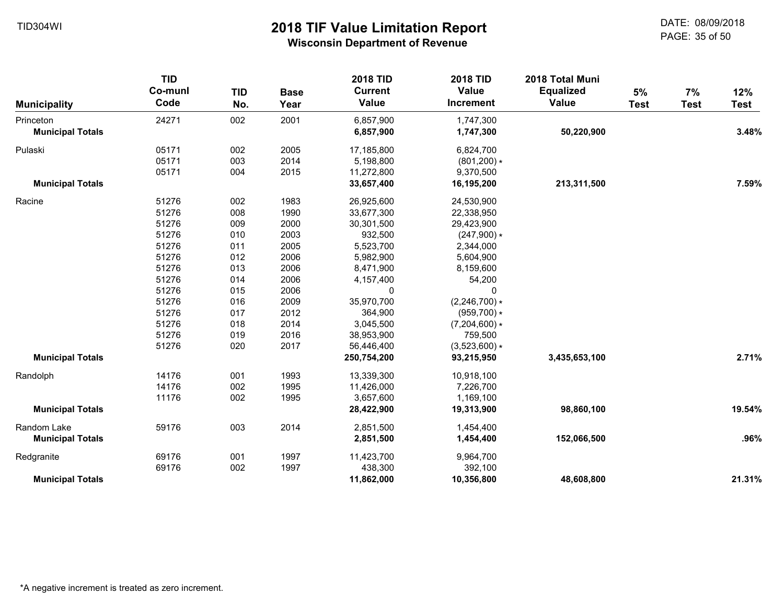**Wisconsin Department of Revenue** 

DATE: 08/09/2018 PAGE: 35 of 50

|                         | <b>TID</b> |            |             | <b>2018 TID</b> | <b>2018 TID</b>  | 2018 Total Muni  |             |             |             |
|-------------------------|------------|------------|-------------|-----------------|------------------|------------------|-------------|-------------|-------------|
|                         | Co-munl    | <b>TID</b> | <b>Base</b> | <b>Current</b>  | Value            | <b>Equalized</b> | 5%          | 7%          | 12%         |
| <b>Municipality</b>     | Code       | No.        | Year        | Value           | <b>Increment</b> | <b>Value</b>     | <b>Test</b> | <b>Test</b> | <b>Test</b> |
| Princeton               | 24271      | 002        | 2001        | 6,857,900       | 1,747,300        |                  |             |             |             |
| <b>Municipal Totals</b> |            |            |             | 6,857,900       | 1,747,300        | 50,220,900       |             |             | 3.48%       |
| Pulaski                 | 05171      | 002        | 2005        | 17,185,800      | 6,824,700        |                  |             |             |             |
|                         | 05171      | 003        | 2014        | 5,198,800       | $(801, 200)*$    |                  |             |             |             |
|                         | 05171      | 004        | 2015        | 11,272,800      | 9,370,500        |                  |             |             |             |
| <b>Municipal Totals</b> |            |            |             | 33,657,400      | 16,195,200       | 213,311,500      |             |             | 7.59%       |
| Racine                  | 51276      | 002        | 1983        | 26,925,600      | 24,530,900       |                  |             |             |             |
|                         | 51276      | 008        | 1990        | 33,677,300      | 22,338,950       |                  |             |             |             |
|                         | 51276      | 009        | 2000        | 30,301,500      | 29,423,900       |                  |             |             |             |
|                         | 51276      | 010        | 2003        | 932,500         | $(247,900)*$     |                  |             |             |             |
|                         | 51276      | 011        | 2005        | 5,523,700       | 2,344,000        |                  |             |             |             |
|                         | 51276      | 012        | 2006        | 5,982,900       | 5,604,900        |                  |             |             |             |
|                         | 51276      | 013        | 2006        | 8,471,900       | 8,159,600        |                  |             |             |             |
|                         | 51276      | 014        | 2006        | 4,157,400       | 54,200           |                  |             |             |             |
|                         | 51276      | 015        | 2006        | $\mathbf{0}$    | 0                |                  |             |             |             |
|                         | 51276      | 016        | 2009        | 35,970,700      | $(2,246,700)*$   |                  |             |             |             |
|                         | 51276      | 017        | 2012        | 364,900         | $(959,700)*$     |                  |             |             |             |
|                         | 51276      | 018        | 2014        | 3,045,500       | $(7,204,600)*$   |                  |             |             |             |
|                         | 51276      | 019        | 2016        | 38,953,900      | 759,500          |                  |             |             |             |
|                         | 51276      | 020        | 2017        | 56,446,400      | $(3,523,600)*$   |                  |             |             |             |
| <b>Municipal Totals</b> |            |            |             | 250,754,200     | 93,215,950       | 3,435,653,100    |             |             | 2.71%       |
| Randolph                | 14176      | 001        | 1993        | 13,339,300      | 10,918,100       |                  |             |             |             |
|                         | 14176      | 002        | 1995        | 11,426,000      | 7,226,700        |                  |             |             |             |
|                         | 11176      | 002        | 1995        | 3,657,600       | 1,169,100        |                  |             |             |             |
| <b>Municipal Totals</b> |            |            |             | 28,422,900      | 19,313,900       | 98,860,100       |             |             | 19.54%      |
| Random Lake             | 59176      | 003        | 2014        | 2,851,500       | 1,454,400        |                  |             |             |             |
| <b>Municipal Totals</b> |            |            |             | 2,851,500       | 1,454,400        | 152,066,500      |             |             | .96%        |
| Redgranite              | 69176      | 001        | 1997        | 11,423,700      | 9,964,700        |                  |             |             |             |
|                         | 69176      | 002        | 1997        | 438,300         | 392,100          |                  |             |             |             |
| <b>Municipal Totals</b> |            |            |             | 11,862,000      | 10,356,800       | 48,608,800       |             |             | 21.31%      |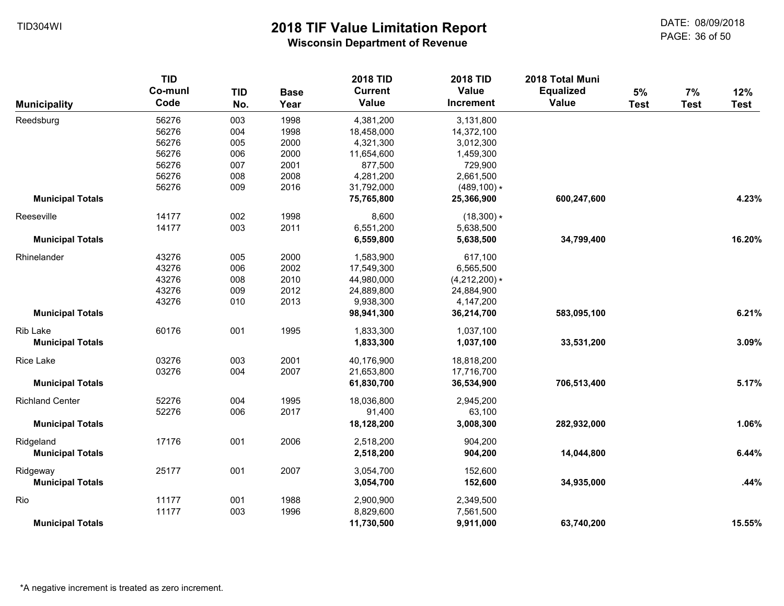**Wisconsin Department of Revenue** 

DATE: 08/09/2018 PAGE: 36 of 50

|                         | <b>TID</b> |            |             | <b>2018 TID</b> | <b>2018 TID</b> | 2018 Total Muni  |             |             |             |
|-------------------------|------------|------------|-------------|-----------------|-----------------|------------------|-------------|-------------|-------------|
|                         | Co-munl    | <b>TID</b> | <b>Base</b> | <b>Current</b>  | Value           | <b>Equalized</b> | 5%          | 7%          | 12%         |
| <b>Municipality</b>     | Code       | No.        | Year        | Value           | Increment       | Value            | <b>Test</b> | <b>Test</b> | <b>Test</b> |
| Reedsburg               | 56276      | 003        | 1998        | 4,381,200       | 3,131,800       |                  |             |             |             |
|                         | 56276      | 004        | 1998        | 18,458,000      | 14,372,100      |                  |             |             |             |
|                         | 56276      | 005        | 2000        | 4,321,300       | 3,012,300       |                  |             |             |             |
|                         | 56276      | 006        | 2000        | 11,654,600      | 1,459,300       |                  |             |             |             |
|                         | 56276      | 007        | 2001        | 877,500         | 729,900         |                  |             |             |             |
|                         | 56276      | 008        | 2008        | 4,281,200       | 2,661,500       |                  |             |             |             |
|                         | 56276      | 009        | 2016        | 31,792,000      | $(489, 100)*$   |                  |             |             |             |
| <b>Municipal Totals</b> |            |            |             | 75,765,800      | 25,366,900      | 600,247,600      |             |             | 4.23%       |
| Reeseville              | 14177      | 002        | 1998        | 8,600           | $(18,300)*$     |                  |             |             |             |
|                         | 14177      | 003        | 2011        | 6,551,200       | 5,638,500       |                  |             |             |             |
| <b>Municipal Totals</b> |            |            |             | 6,559,800       | 5,638,500       | 34,799,400       |             |             | 16.20%      |
| Rhinelander             | 43276      | 005        | 2000        | 1,583,900       | 617,100         |                  |             |             |             |
|                         | 43276      | 006        | 2002        | 17,549,300      | 6,565,500       |                  |             |             |             |
|                         | 43276      | 008        | 2010        | 44,980,000      | $(4,212,200)*$  |                  |             |             |             |
|                         | 43276      | 009        | 2012        | 24,889,800      | 24,884,900      |                  |             |             |             |
|                         | 43276      | 010        | 2013        | 9,938,300       | 4,147,200       |                  |             |             |             |
| <b>Municipal Totals</b> |            |            |             | 98,941,300      | 36,214,700      | 583,095,100      |             |             | 6.21%       |
| Rib Lake                | 60176      | 001        | 1995        | 1,833,300       | 1,037,100       |                  |             |             |             |
| <b>Municipal Totals</b> |            |            |             | 1,833,300       | 1,037,100       | 33,531,200       |             |             | 3.09%       |
| Rice Lake               | 03276      | 003        | 2001        | 40,176,900      | 18,818,200      |                  |             |             |             |
|                         | 03276      | 004        | 2007        | 21,653,800      | 17,716,700      |                  |             |             |             |
| <b>Municipal Totals</b> |            |            |             | 61,830,700      | 36,534,900      | 706,513,400      |             |             | 5.17%       |
| <b>Richland Center</b>  | 52276      | 004        | 1995        | 18,036,800      | 2,945,200       |                  |             |             |             |
|                         | 52276      | 006        | 2017        | 91,400          | 63,100          |                  |             |             |             |
| <b>Municipal Totals</b> |            |            |             | 18,128,200      | 3,008,300       | 282,932,000      |             |             | 1.06%       |
| Ridgeland               | 17176      | 001        | 2006        | 2,518,200       | 904,200         |                  |             |             |             |
| <b>Municipal Totals</b> |            |            |             | 2,518,200       | 904,200         | 14,044,800       |             |             | 6.44%       |
| Ridgeway                | 25177      | 001        | 2007        | 3,054,700       | 152,600         |                  |             |             |             |
| <b>Municipal Totals</b> |            |            |             | 3,054,700       | 152,600         | 34,935,000       |             |             | .44%        |
| Rio                     | 11177      | 001        | 1988        | 2,900,900       | 2,349,500       |                  |             |             |             |
|                         | 11177      | 003        | 1996        | 8,829,600       | 7,561,500       |                  |             |             |             |
| <b>Municipal Totals</b> |            |            |             | 11,730,500      | 9,911,000       | 63,740,200       |             |             | 15.55%      |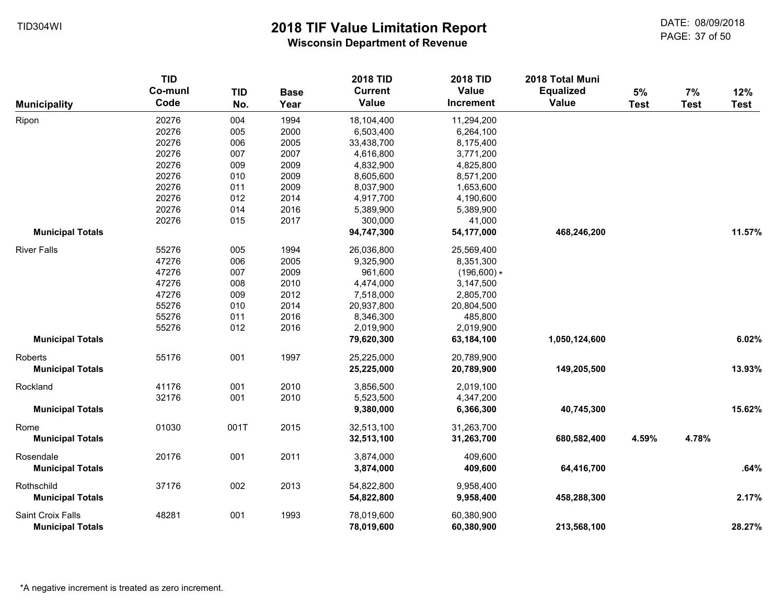**Wisconsin Department of Revenue** 

DATE: 08/09/2018 PAGE: 37 of 50

|                         | <b>TID</b><br>Co-munl | <b>TID</b> | <b>Base</b> | <b>2018 TID</b><br><b>Current</b> | <b>2018 TID</b><br>Value | 2018 Total Muni<br><b>Equalized</b> | 5%          | 7%          | 12%         |
|-------------------------|-----------------------|------------|-------------|-----------------------------------|--------------------------|-------------------------------------|-------------|-------------|-------------|
| <b>Municipality</b>     | Code                  | No.        | Year        | <b>Value</b>                      | <b>Increment</b>         | Value                               | <b>Test</b> | <b>Test</b> | <b>Test</b> |
| Ripon                   | 20276                 | 004        | 1994        | 18,104,400                        | 11,294,200               |                                     |             |             |             |
|                         | 20276                 | 005        | 2000        | 6,503,400                         | 6,264,100                |                                     |             |             |             |
|                         | 20276                 | 006        | 2005        | 33,438,700                        | 8,175,400                |                                     |             |             |             |
|                         | 20276                 | 007        | 2007        | 4,616,800                         | 3,771,200                |                                     |             |             |             |
|                         | 20276                 | 009        | 2009        | 4,832,900                         | 4,825,800                |                                     |             |             |             |
|                         | 20276                 | 010        | 2009        | 8,605,600                         | 8,571,200                |                                     |             |             |             |
|                         | 20276                 | 011        | 2009        | 8,037,900                         | 1,653,600                |                                     |             |             |             |
|                         | 20276                 | 012        | 2014        | 4,917,700                         | 4,190,600                |                                     |             |             |             |
|                         | 20276                 | 014        | 2016        | 5,389,900                         | 5,389,900                |                                     |             |             |             |
|                         | 20276                 | 015        | 2017        | 300,000                           | 41,000                   |                                     |             |             |             |
| <b>Municipal Totals</b> |                       |            |             | 94,747,300                        | 54,177,000               | 468,246,200                         |             |             | 11.57%      |
| <b>River Falls</b>      | 55276                 | 005        | 1994        | 26,036,800                        | 25,569,400               |                                     |             |             |             |
|                         | 47276                 | 006        | 2005        | 9,325,900                         | 8,351,300                |                                     |             |             |             |
|                         | 47276                 | 007        | 2009        | 961,600                           | $(196,600)*$             |                                     |             |             |             |
|                         | 47276                 | 008        | 2010        | 4,474,000                         | 3,147,500                |                                     |             |             |             |
|                         | 47276                 | 009        | 2012        | 7,518,000                         | 2,805,700                |                                     |             |             |             |
|                         | 55276                 | 010        | 2014        | 20,937,800                        | 20,804,500               |                                     |             |             |             |
|                         | 55276                 | 011        | 2016        | 8,346,300                         | 485,800                  |                                     |             |             |             |
|                         | 55276                 | 012        | 2016        | 2,019,900                         | 2,019,900                |                                     |             |             |             |
| <b>Municipal Totals</b> |                       |            |             | 79,620,300                        | 63,184,100               | 1,050,124,600                       |             |             | 6.02%       |
| Roberts                 | 55176                 | 001        | 1997        | 25,225,000                        | 20,789,900               |                                     |             |             |             |
| <b>Municipal Totals</b> |                       |            |             | 25,225,000                        | 20,789,900               | 149,205,500                         |             |             | 13.93%      |
| Rockland                | 41176                 | 001        | 2010        | 3,856,500                         | 2,019,100                |                                     |             |             |             |
|                         | 32176                 | 001        | 2010        | 5,523,500                         | 4,347,200                |                                     |             |             |             |
| <b>Municipal Totals</b> |                       |            |             | 9,380,000                         | 6,366,300                | 40,745,300                          |             |             | 15.62%      |
| Rome                    | 01030                 | 001T       | 2015        | 32,513,100                        | 31,263,700               |                                     |             |             |             |
| <b>Municipal Totals</b> |                       |            |             | 32,513,100                        | 31,263,700               | 680,582,400                         | 4.59%       | 4.78%       |             |
| Rosendale               | 20176                 | 001        | 2011        | 3,874,000                         | 409,600                  |                                     |             |             |             |
| <b>Municipal Totals</b> |                       |            |             | 3,874,000                         | 409,600                  | 64,416,700                          |             |             | .64%        |
| Rothschild              | 37176                 | 002        | 2013        | 54,822,800                        | 9,958,400                |                                     |             |             |             |
| <b>Municipal Totals</b> |                       |            |             | 54,822,800                        | 9,958,400                | 458,288,300                         |             |             | 2.17%       |
| Saint Croix Falls       | 48281                 | 001        | 1993        | 78,019,600                        | 60,380,900               |                                     |             |             |             |
| <b>Municipal Totals</b> |                       |            |             | 78,019,600                        | 60,380,900               | 213,568,100                         |             |             | 28.27%      |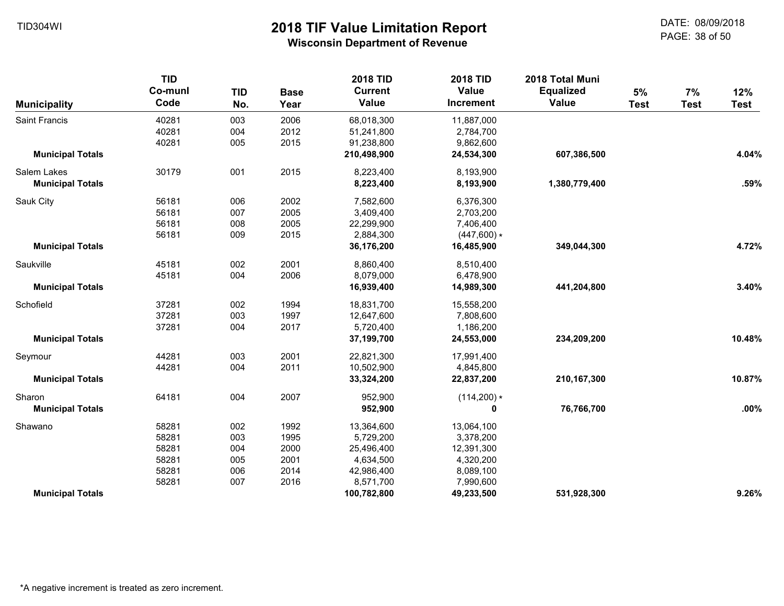**Wisconsin Department of Revenue** 

DATE: 08/09/2018 PAGE: 38 of 50

| <b>Municipality</b>     | <b>TID</b><br>Co-munl<br>Code | <b>TID</b><br>No. | <b>Base</b><br>Year | <b>2018 TID</b><br><b>Current</b><br>Value | <b>2018 TID</b><br>Value<br>Increment | 2018 Total Muni<br><b>Equalized</b><br>Value | 5%<br><b>Test</b> | 7%<br><b>Test</b> | 12%<br><b>Test</b> |
|-------------------------|-------------------------------|-------------------|---------------------|--------------------------------------------|---------------------------------------|----------------------------------------------|-------------------|-------------------|--------------------|
| Saint Francis           | 40281                         | 003               | 2006                | 68,018,300                                 | 11,887,000                            |                                              |                   |                   |                    |
|                         | 40281                         | 004               | 2012                | 51,241,800                                 | 2,784,700                             |                                              |                   |                   |                    |
|                         | 40281                         | 005               | 2015                | 91,238,800                                 | 9,862,600                             |                                              |                   |                   |                    |
| <b>Municipal Totals</b> |                               |                   |                     | 210,498,900                                | 24,534,300                            | 607,386,500                                  |                   |                   | 4.04%              |
| Salem Lakes             | 30179                         | 001               | 2015                | 8,223,400                                  | 8,193,900                             |                                              |                   |                   |                    |
| <b>Municipal Totals</b> |                               |                   |                     | 8,223,400                                  | 8,193,900                             | 1,380,779,400                                |                   |                   | .59%               |
| Sauk City               | 56181                         | 006               | 2002                | 7,582,600                                  | 6,376,300                             |                                              |                   |                   |                    |
|                         | 56181                         | 007               | 2005                | 3,409,400                                  | 2,703,200                             |                                              |                   |                   |                    |
|                         | 56181                         | 008               | 2005                | 22,299,900                                 | 7,406,400                             |                                              |                   |                   |                    |
|                         | 56181                         | 009               | 2015                | 2,884,300                                  | $(447,600)*$                          |                                              |                   |                   |                    |
| <b>Municipal Totals</b> |                               |                   |                     | 36,176,200                                 | 16,485,900                            | 349,044,300                                  |                   |                   | 4.72%              |
| Saukville               | 45181                         | 002               | 2001                | 8,860,400                                  | 8,510,400                             |                                              |                   |                   |                    |
|                         | 45181                         | 004               | 2006                | 8,079,000                                  | 6,478,900                             |                                              |                   |                   |                    |
| <b>Municipal Totals</b> |                               |                   |                     | 16,939,400                                 | 14,989,300                            | 441,204,800                                  |                   |                   | 3.40%              |
| Schofield               | 37281                         | 002               | 1994                | 18,831,700                                 | 15,558,200                            |                                              |                   |                   |                    |
|                         | 37281                         | 003               | 1997                | 12,647,600                                 | 7,808,600                             |                                              |                   |                   |                    |
|                         | 37281                         | 004               | 2017                | 5,720,400                                  | 1,186,200                             |                                              |                   |                   |                    |
| <b>Municipal Totals</b> |                               |                   |                     | 37,199,700                                 | 24,553,000                            | 234,209,200                                  |                   |                   | 10.48%             |
| Seymour                 | 44281                         | 003               | 2001                | 22,821,300                                 | 17,991,400                            |                                              |                   |                   |                    |
|                         | 44281                         | 004               | 2011                | 10,502,900                                 | 4,845,800                             |                                              |                   |                   |                    |
| <b>Municipal Totals</b> |                               |                   |                     | 33,324,200                                 | 22,837,200                            | 210,167,300                                  |                   |                   | 10.87%             |
| Sharon                  | 64181                         | 004               | 2007                | 952,900                                    | $(114,200)*$                          |                                              |                   |                   |                    |
| <b>Municipal Totals</b> |                               |                   |                     | 952,900                                    | 0                                     | 76,766,700                                   |                   |                   | .00%               |
| Shawano                 | 58281                         | 002               | 1992                | 13,364,600                                 | 13,064,100                            |                                              |                   |                   |                    |
|                         | 58281                         | 003               | 1995                | 5,729,200                                  | 3,378,200                             |                                              |                   |                   |                    |
|                         | 58281                         | 004               | 2000                | 25,496,400                                 | 12,391,300                            |                                              |                   |                   |                    |
|                         | 58281                         | 005               | 2001                | 4,634,500                                  | 4,320,200                             |                                              |                   |                   |                    |
|                         | 58281                         | 006               | 2014                | 42,986,400                                 | 8,089,100                             |                                              |                   |                   |                    |
|                         | 58281                         | 007               | 2016                | 8,571,700                                  | 7,990,600                             |                                              |                   |                   |                    |
| <b>Municipal Totals</b> |                               |                   |                     | 100,782,800                                | 49,233,500                            | 531,928,300                                  |                   |                   | 9.26%              |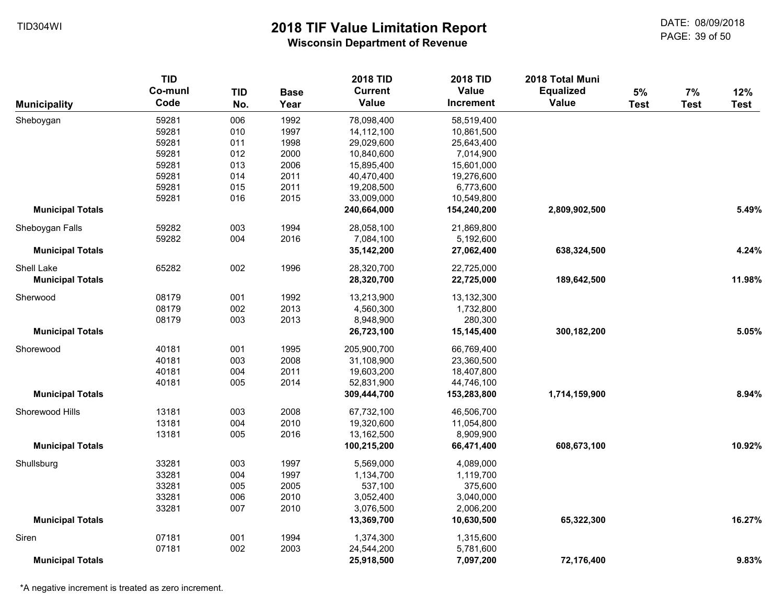**TID**

### **2018 TIF Value Limitation Report**  TID304WI DATE: 08/09/2018

**Wisconsin Department of Revenue** 

**2018 TID**

**2018 Total Muni**

**2018 TID**

PAGE: 39 of 50

| <b>Municipality</b>     | Co-munl<br>Code | <b>TID</b><br>No. | <b>Base</b><br>Year | <b>Current</b><br>Value | Value<br><b>Increment</b> | <b>Equalized</b><br>Value | 5%<br><b>Test</b> | 7%<br><b>Test</b> | 12%<br><b>Test</b> |
|-------------------------|-----------------|-------------------|---------------------|-------------------------|---------------------------|---------------------------|-------------------|-------------------|--------------------|
| Sheboygan               | 59281           | 006               | 1992                | 78,098,400              | 58,519,400                |                           |                   |                   |                    |
|                         | 59281           | 010               | 1997                | 14,112,100              | 10,861,500                |                           |                   |                   |                    |
|                         | 59281           | 011               | 1998                | 29,029,600              | 25,643,400                |                           |                   |                   |                    |
|                         | 59281           | 012               | 2000                | 10,840,600              | 7,014,900                 |                           |                   |                   |                    |
|                         | 59281           | 013               | 2006                | 15,895,400              | 15,601,000                |                           |                   |                   |                    |
|                         | 59281           | 014               | 2011                | 40,470,400              | 19,276,600                |                           |                   |                   |                    |
|                         | 59281           | 015               | 2011                | 19,208,500              | 6,773,600                 |                           |                   |                   |                    |
|                         | 59281           | 016               | 2015                | 33,009,000              | 10,549,800                |                           |                   |                   |                    |
| <b>Municipal Totals</b> |                 |                   |                     | 240,664,000             | 154,240,200               | 2,809,902,500             |                   |                   | 5.49%              |
| Sheboygan Falls         | 59282           | 003               | 1994                | 28,058,100              | 21,869,800                |                           |                   |                   |                    |
|                         | 59282           | 004               | 2016                | 7,084,100               | 5,192,600                 |                           |                   |                   |                    |
| <b>Municipal Totals</b> |                 |                   |                     | 35,142,200              | 27,062,400                | 638,324,500               |                   |                   | 4.24%              |
| Shell Lake              | 65282           | 002               | 1996                | 28,320,700              | 22,725,000                |                           |                   |                   |                    |
| <b>Municipal Totals</b> |                 |                   |                     | 28,320,700              | 22,725,000                | 189,642,500               |                   |                   | 11.98%             |
| Sherwood                | 08179           | 001               | 1992                | 13,213,900              | 13,132,300                |                           |                   |                   |                    |
|                         | 08179           | 002               | 2013                | 4,560,300               | 1,732,800                 |                           |                   |                   |                    |
|                         | 08179           | 003               | 2013                | 8,948,900               | 280,300                   |                           |                   |                   |                    |
| <b>Municipal Totals</b> |                 |                   |                     | 26,723,100              | 15,145,400                | 300,182,200               |                   |                   | 5.05%              |
| Shorewood               | 40181           | 001               | 1995                | 205,900,700             | 66,769,400                |                           |                   |                   |                    |
|                         | 40181           | 003               | 2008                | 31,108,900              | 23,360,500                |                           |                   |                   |                    |
|                         | 40181           | 004               | 2011                | 19,603,200              | 18,407,800                |                           |                   |                   |                    |
|                         | 40181           | 005               | 2014                | 52,831,900              | 44,746,100                |                           |                   |                   |                    |
| <b>Municipal Totals</b> |                 |                   |                     | 309,444,700             | 153,283,800               | 1,714,159,900             |                   |                   | 8.94%              |
| Shorewood Hills         | 13181           | 003               | 2008                | 67,732,100              | 46,506,700                |                           |                   |                   |                    |
|                         | 13181           | 004               | 2010                | 19,320,600              | 11,054,800                |                           |                   |                   |                    |
|                         | 13181           | 005               | 2016                | 13,162,500              | 8,909,900                 |                           |                   |                   |                    |
| <b>Municipal Totals</b> |                 |                   |                     | 100,215,200             | 66,471,400                | 608,673,100               |                   |                   | 10.92%             |
| Shullsburg              | 33281           | 003               | 1997                | 5,569,000               | 4,089,000                 |                           |                   |                   |                    |
|                         | 33281           | 004               | 1997                | 1,134,700               | 1,119,700                 |                           |                   |                   |                    |
|                         | 33281           | 005               | 2005                | 537,100                 | 375,600                   |                           |                   |                   |                    |
|                         | 33281           | 006               | 2010                | 3,052,400               | 3,040,000                 |                           |                   |                   |                    |
|                         | 33281           | 007               | 2010                | 3,076,500               | 2,006,200                 |                           |                   |                   |                    |
| <b>Municipal Totals</b> |                 |                   |                     | 13,369,700              | 10,630,500                | 65,322,300                |                   |                   | 16.27%             |
| Siren                   | 07181           | 001               | 1994                | 1,374,300               | 1,315,600                 |                           |                   |                   |                    |
|                         | 07181           | 002               | 2003                | 24,544,200              | 5,781,600                 |                           |                   |                   |                    |
| <b>Municipal Totals</b> |                 |                   |                     | 25,918,500              | 7,097,200                 | 72,176,400                |                   |                   | 9.83%              |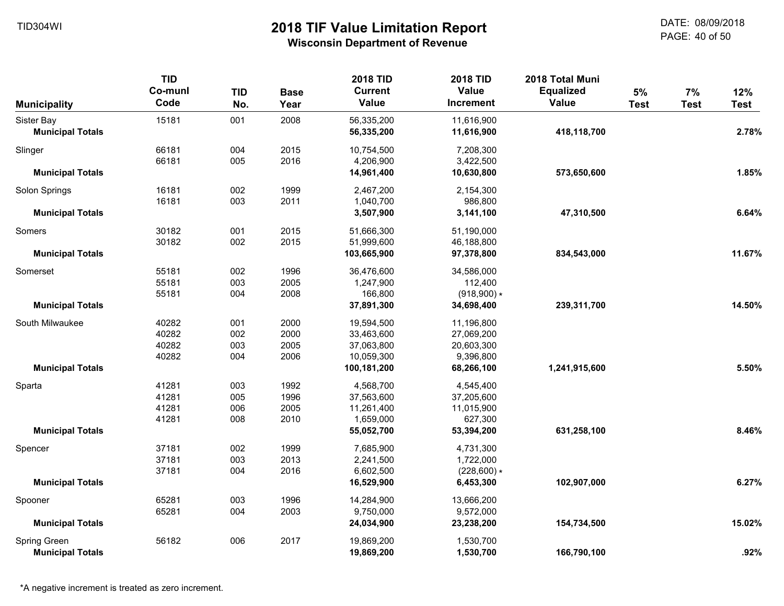**Wisconsin Department of Revenue** 

DATE: 08/09/2018 PAGE: 40 of 50

|                                         | <b>TID</b><br>Co-munl            | <b>TID</b>               | <b>Base</b>                  | <b>2018 TID</b><br><b>Current</b>                    | <b>2018 TID</b><br>Value                            | 2018 Total Muni<br><b>Equalized</b> | 5%          | 7%          | 12%         |
|-----------------------------------------|----------------------------------|--------------------------|------------------------------|------------------------------------------------------|-----------------------------------------------------|-------------------------------------|-------------|-------------|-------------|
| <b>Municipality</b>                     | Code                             | No.                      | Year                         | Value                                                | <b>Increment</b>                                    | Value                               | <b>Test</b> | <b>Test</b> | <b>Test</b> |
| Sister Bay<br><b>Municipal Totals</b>   | 15181                            | 001                      | 2008                         | 56,335,200<br>56,335,200                             | 11,616,900<br>11,616,900                            | 418,118,700                         |             |             | 2.78%       |
| Slinger                                 | 66181<br>66181                   | 004<br>005               | 2015<br>2016                 | 10,754,500<br>4,206,900                              | 7,208,300<br>3,422,500                              |                                     |             |             |             |
| <b>Municipal Totals</b>                 |                                  |                          |                              | 14,961,400                                           | 10,630,800                                          | 573,650,600                         |             |             | 1.85%       |
| Solon Springs                           | 16181<br>16181                   | 002<br>003               | 1999<br>2011                 | 2,467,200<br>1,040,700                               | 2,154,300<br>986,800                                |                                     |             |             |             |
| <b>Municipal Totals</b>                 |                                  |                          |                              | 3,507,900                                            | 3,141,100                                           | 47,310,500                          |             |             | 6.64%       |
| Somers                                  | 30182<br>30182                   | 001<br>002               | 2015<br>2015                 | 51,666,300<br>51,999,600                             | 51,190,000<br>46,188,800                            |                                     |             |             |             |
| <b>Municipal Totals</b>                 |                                  |                          |                              | 103,665,900                                          | 97,378,800                                          | 834,543,000                         |             |             | 11.67%      |
| Somerset                                | 55181<br>55181<br>55181          | 002<br>003<br>004        | 1996<br>2005<br>2008         | 36,476,600<br>1,247,900<br>166,800                   | 34,586,000<br>112,400<br>$(918,900)*$               |                                     |             |             |             |
| <b>Municipal Totals</b>                 |                                  |                          |                              | 37,891,300                                           | 34,698,400                                          | 239,311,700                         |             |             | 14.50%      |
| South Milwaukee                         | 40282<br>40282<br>40282<br>40282 | 001<br>002<br>003<br>004 | 2000<br>2000<br>2005<br>2006 | 19,594,500<br>33,463,600<br>37,063,800<br>10,059,300 | 11,196,800<br>27,069,200<br>20,603,300<br>9,396,800 |                                     |             |             |             |
| <b>Municipal Totals</b>                 |                                  |                          |                              | 100,181,200                                          | 68,266,100                                          | 1,241,915,600                       |             |             | 5.50%       |
| Sparta                                  | 41281<br>41281<br>41281<br>41281 | 003<br>005<br>006<br>008 | 1992<br>1996<br>2005<br>2010 | 4,568,700<br>37,563,600<br>11,261,400<br>1,659,000   | 4,545,400<br>37,205,600<br>11,015,900<br>627,300    |                                     |             |             |             |
| <b>Municipal Totals</b>                 |                                  |                          |                              | 55,052,700                                           | 53,394,200                                          | 631,258,100                         |             |             | 8.46%       |
| Spencer                                 | 37181<br>37181<br>37181          | 002<br>003<br>004        | 1999<br>2013<br>2016         | 7,685,900<br>2,241,500<br>6,602,500                  | 4,731,300<br>1,722,000<br>$(228,600)*$              |                                     |             |             |             |
| <b>Municipal Totals</b>                 |                                  |                          |                              | 16,529,900                                           | 6,453,300                                           | 102,907,000                         |             |             | 6.27%       |
| Spooner                                 | 65281<br>65281                   | 003<br>004               | 1996<br>2003                 | 14,284,900<br>9,750,000                              | 13,666,200<br>9,572,000                             |                                     |             |             |             |
| <b>Municipal Totals</b>                 |                                  |                          |                              | 24,034,900                                           | 23,238,200                                          | 154,734,500                         |             |             | 15.02%      |
| Spring Green<br><b>Municipal Totals</b> | 56182                            | 006                      | 2017                         | 19,869,200<br>19,869,200                             | 1,530,700<br>1,530,700                              | 166,790,100                         |             |             | .92%        |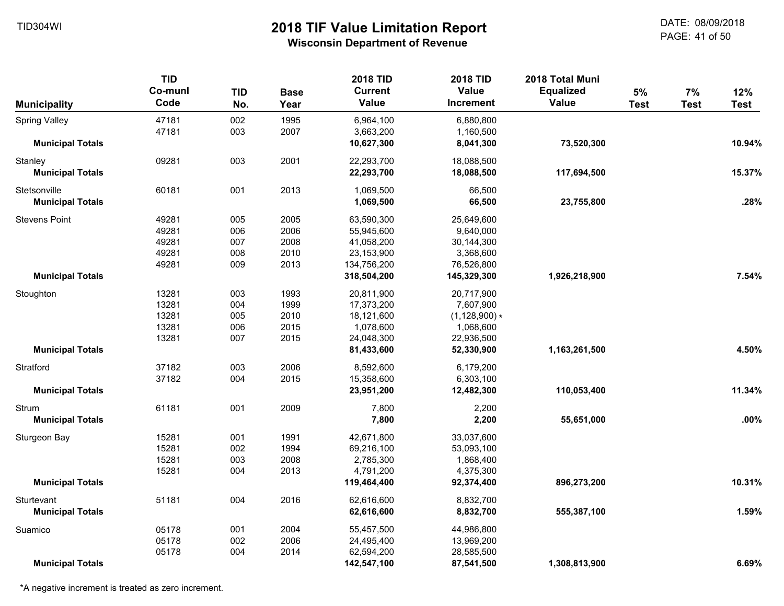**Wisconsin Department of Revenue** 

DATE: 08/09/2018 PAGE: 41 of 50

|                         | <b>TID</b><br>Co-munl<br>Code | <b>TID</b> | <b>Base</b> | <b>2018 TID</b><br><b>Current</b> | <b>2018 TID</b><br>Value | 2018 Total Muni<br><b>Equalized</b><br>Value | $5%$        | 7%          | 12%         |
|-------------------------|-------------------------------|------------|-------------|-----------------------------------|--------------------------|----------------------------------------------|-------------|-------------|-------------|
| <b>Municipality</b>     |                               | No.        | Year        | Value                             | <b>Increment</b>         |                                              | <b>Test</b> | <b>Test</b> | <b>Test</b> |
| <b>Spring Valley</b>    | 47181                         | 002        | 1995        | 6,964,100                         | 6,880,800                |                                              |             |             |             |
|                         | 47181                         | 003        | 2007        | 3,663,200                         | 1,160,500                |                                              |             |             |             |
| <b>Municipal Totals</b> |                               |            |             | 10,627,300                        | 8,041,300                | 73,520,300                                   |             |             | 10.94%      |
| Stanley                 | 09281                         | 003        | 2001        | 22,293,700                        | 18,088,500               |                                              |             |             |             |
| <b>Municipal Totals</b> |                               |            |             | 22,293,700                        | 18,088,500               | 117,694,500                                  |             |             | 15.37%      |
| Stetsonville            | 60181                         | 001        | 2013        | 1,069,500                         | 66,500                   |                                              |             |             |             |
| <b>Municipal Totals</b> |                               |            |             | 1,069,500                         | 66,500                   | 23,755,800                                   |             |             | .28%        |
| <b>Stevens Point</b>    | 49281                         | 005        | 2005        | 63,590,300                        | 25,649,600               |                                              |             |             |             |
|                         | 49281                         | 006        | 2006        | 55,945,600                        | 9,640,000                |                                              |             |             |             |
|                         | 49281                         | 007        | 2008        | 41,058,200                        | 30,144,300               |                                              |             |             |             |
|                         | 49281                         | 008        | 2010        | 23,153,900                        | 3,368,600                |                                              |             |             |             |
|                         | 49281                         | 009        | 2013        | 134,756,200                       | 76,526,800               |                                              |             |             |             |
| <b>Municipal Totals</b> |                               |            |             | 318,504,200                       | 145,329,300              | 1,926,218,900                                |             |             | 7.54%       |
| Stoughton               | 13281                         | 003        | 1993        | 20,811,900                        | 20,717,900               |                                              |             |             |             |
|                         | 13281                         | 004        | 1999        | 17,373,200                        | 7,607,900                |                                              |             |             |             |
|                         | 13281                         | 005        | 2010        | 18,121,600                        | $(1, 128, 900)*$         |                                              |             |             |             |
|                         | 13281                         | 006        | 2015        | 1,078,600                         | 1,068,600                |                                              |             |             |             |
|                         | 13281                         | 007        | 2015        | 24,048,300                        | 22,936,500               |                                              |             |             |             |
| <b>Municipal Totals</b> |                               |            |             | 81,433,600                        | 52,330,900               | 1,163,261,500                                |             |             | 4.50%       |
| Stratford               | 37182                         | 003        | 2006        | 8,592,600                         | 6,179,200                |                                              |             |             |             |
|                         | 37182                         | 004        | 2015        | 15,358,600                        | 6,303,100                |                                              |             |             |             |
| <b>Municipal Totals</b> |                               |            |             | 23,951,200                        | 12,482,300               | 110,053,400                                  |             |             | 11.34%      |
|                         |                               |            |             |                                   |                          |                                              |             |             |             |
| Strum                   | 61181                         | 001        | 2009        | 7,800                             | 2,200                    |                                              |             |             |             |
| <b>Municipal Totals</b> |                               |            |             | 7,800                             | 2,200                    | 55,651,000                                   |             |             | .00%        |
| Sturgeon Bay            | 15281                         | 001        | 1991        | 42,671,800                        | 33,037,600               |                                              |             |             |             |
|                         | 15281                         | 002        | 1994        | 69,216,100                        | 53,093,100               |                                              |             |             |             |
|                         | 15281                         | 003        | 2008        | 2,785,300                         | 1,868,400                |                                              |             |             |             |
|                         | 15281                         | 004        | 2013        | 4,791,200                         | 4,375,300                |                                              |             |             |             |
| <b>Municipal Totals</b> |                               |            |             | 119,464,400                       | 92,374,400               | 896,273,200                                  |             |             | 10.31%      |
| Sturtevant              | 51181                         | 004        | 2016        | 62,616,600                        | 8,832,700                |                                              |             |             |             |
| <b>Municipal Totals</b> |                               |            |             | 62,616,600                        | 8,832,700                | 555,387,100                                  |             |             | 1.59%       |
| Suamico                 | 05178                         | 001        | 2004        | 55,457,500                        | 44,986,800               |                                              |             |             |             |
|                         | 05178                         | 002        | 2006        | 24,495,400                        | 13,969,200               |                                              |             |             |             |
|                         | 05178                         | 004        | 2014        | 62,594,200                        | 28,585,500               |                                              |             |             |             |
| <b>Municipal Totals</b> |                               |            |             | 142,547,100                       | 87,541,500               | 1,308,813,900                                |             |             | 6.69%       |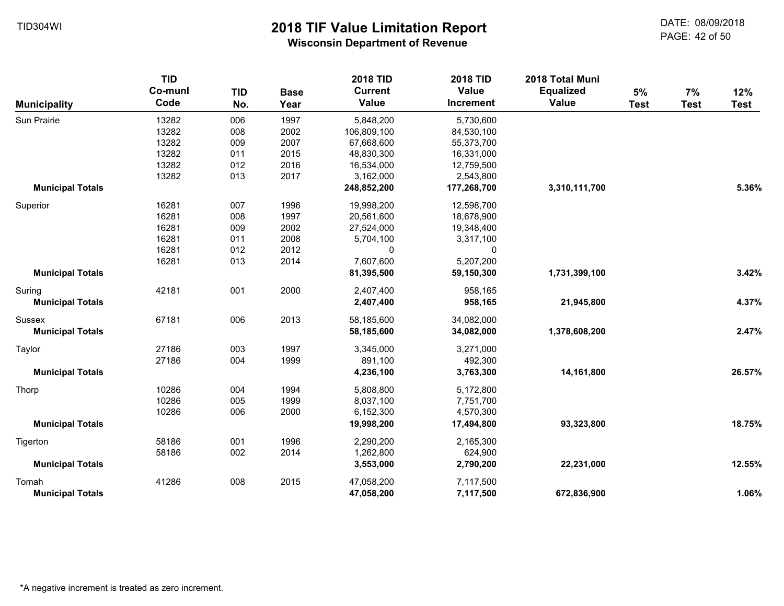#### **2018 TIF Value Limitation Report**  TID304WI DATE: 08/09/2018

**Wisconsin Department of Revenue** 

PAGE: 42 of 50

|                         | <b>TID</b> |            |             | <b>2018 TID</b> | <b>2018 TID</b>  | 2018 Total Muni  |             |             |             |
|-------------------------|------------|------------|-------------|-----------------|------------------|------------------|-------------|-------------|-------------|
|                         | Co-munl    | <b>TID</b> | <b>Base</b> | <b>Current</b>  | Value            | <b>Equalized</b> | 5%          | 7%          | 12%         |
| <b>Municipality</b>     | Code       | No.        | Year        | Value           | <b>Increment</b> | Value            | <b>Test</b> | <b>Test</b> | <b>Test</b> |
| Sun Prairie             | 13282      | 006        | 1997        | 5,848,200       | 5,730,600        |                  |             |             |             |
|                         | 13282      | 008        | 2002        | 106,809,100     | 84,530,100       |                  |             |             |             |
|                         | 13282      | 009        | 2007        | 67,668,600      | 55,373,700       |                  |             |             |             |
|                         | 13282      | 011        | 2015        | 48,830,300      | 16,331,000       |                  |             |             |             |
|                         | 13282      | 012        | 2016        | 16,534,000      | 12,759,500       |                  |             |             |             |
|                         | 13282      | 013        | 2017        | 3,162,000       | 2,543,800        |                  |             |             |             |
| <b>Municipal Totals</b> |            |            |             | 248,852,200     | 177,268,700      | 3,310,111,700    |             |             | 5.36%       |
| Superior                | 16281      | 007        | 1996        | 19,998,200      | 12,598,700       |                  |             |             |             |
|                         | 16281      | 008        | 1997        | 20,561,600      | 18,678,900       |                  |             |             |             |
|                         | 16281      | 009        | 2002        | 27,524,000      | 19,348,400       |                  |             |             |             |
|                         | 16281      | 011        | 2008        | 5,704,100       | 3,317,100        |                  |             |             |             |
|                         | 16281      | 012        | 2012        | 0               | $\mathbf 0$      |                  |             |             |             |
|                         | 16281      | 013        | 2014        | 7,607,600       | 5,207,200        |                  |             |             |             |
| <b>Municipal Totals</b> |            |            |             | 81,395,500      | 59,150,300       | 1,731,399,100    |             |             | 3.42%       |
| Suring                  | 42181      | 001        | 2000        | 2,407,400       | 958,165          |                  |             |             |             |
| <b>Municipal Totals</b> |            |            |             | 2,407,400       | 958,165          | 21,945,800       |             |             | 4.37%       |
| Sussex                  | 67181      | 006        | 2013        | 58,185,600      | 34,082,000       |                  |             |             |             |
| <b>Municipal Totals</b> |            |            |             | 58,185,600      | 34,082,000       | 1,378,608,200    |             |             | 2.47%       |
| Taylor                  | 27186      | 003        | 1997        | 3,345,000       | 3,271,000        |                  |             |             |             |
|                         | 27186      | 004        | 1999        | 891,100         | 492,300          |                  |             |             |             |
| <b>Municipal Totals</b> |            |            |             | 4,236,100       | 3,763,300        | 14,161,800       |             |             | 26.57%      |
| Thorp                   | 10286      | 004        | 1994        | 5,808,800       | 5,172,800        |                  |             |             |             |
|                         | 10286      | 005        | 1999        | 8,037,100       | 7,751,700        |                  |             |             |             |
|                         | 10286      | 006        | 2000        | 6,152,300       | 4,570,300        |                  |             |             |             |
| <b>Municipal Totals</b> |            |            |             | 19,998,200      | 17,494,800       | 93,323,800       |             |             | 18.75%      |
| Tigerton                | 58186      | 001        | 1996        | 2,290,200       | 2,165,300        |                  |             |             |             |
|                         | 58186      | 002        | 2014        | 1,262,800       | 624,900          |                  |             |             |             |
| <b>Municipal Totals</b> |            |            |             | 3,553,000       | 2,790,200        | 22,231,000       |             |             | 12.55%      |
| Tomah                   | 41286      | 008        | 2015        | 47,058,200      | 7,117,500        |                  |             |             |             |
| <b>Municipal Totals</b> |            |            |             | 47,058,200      | 7,117,500        | 672,836,900      |             |             | 1.06%       |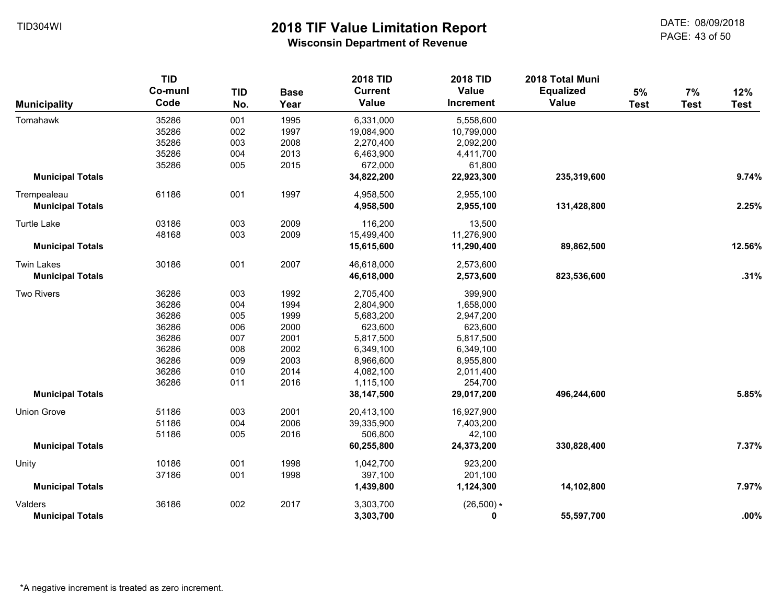**Wisconsin Department of Revenue** 

DATE: 08/09/2018 PAGE: 43 of 50

|                         | <b>TID</b> |            |             | <b>2018 TID</b> | <b>2018 TID</b>  | 2018 Total Muni  |             |             |             |
|-------------------------|------------|------------|-------------|-----------------|------------------|------------------|-------------|-------------|-------------|
|                         | Co-munl    | <b>TID</b> | <b>Base</b> | <b>Current</b>  | Value            | <b>Equalized</b> | $5%$        | 7%          | 12%         |
| <b>Municipality</b>     | Code       | No.        | Year        | Value           | <b>Increment</b> | Value            | <b>Test</b> | <b>Test</b> | <b>Test</b> |
| Tomahawk                | 35286      | 001        | 1995        | 6,331,000       | 5,558,600        |                  |             |             |             |
|                         | 35286      | 002        | 1997        | 19,084,900      | 10,799,000       |                  |             |             |             |
|                         | 35286      | 003        | 2008        | 2,270,400       | 2,092,200        |                  |             |             |             |
|                         | 35286      | 004        | 2013        | 6,463,900       | 4,411,700        |                  |             |             |             |
|                         | 35286      | 005        | 2015        | 672,000         | 61,800           |                  |             |             |             |
| <b>Municipal Totals</b> |            |            |             | 34,822,200      | 22,923,300       | 235,319,600      |             |             | 9.74%       |
| Trempealeau             | 61186      | 001        | 1997        | 4,958,500       | 2,955,100        |                  |             |             |             |
| <b>Municipal Totals</b> |            |            |             | 4,958,500       | 2,955,100        | 131,428,800      |             |             | 2.25%       |
| <b>Turtle Lake</b>      | 03186      | 003        | 2009        | 116,200         | 13,500           |                  |             |             |             |
|                         | 48168      | 003        | 2009        | 15,499,400      | 11,276,900       |                  |             |             |             |
| <b>Municipal Totals</b> |            |            |             | 15,615,600      | 11,290,400       | 89,862,500       |             |             | 12.56%      |
| <b>Twin Lakes</b>       | 30186      | 001        | 2007        | 46,618,000      | 2,573,600        |                  |             |             |             |
| <b>Municipal Totals</b> |            |            |             | 46,618,000      | 2,573,600        | 823,536,600      |             |             | .31%        |
| Two Rivers              | 36286      | 003        | 1992        | 2,705,400       | 399,900          |                  |             |             |             |
|                         | 36286      | 004        | 1994        | 2,804,900       | 1,658,000        |                  |             |             |             |
|                         | 36286      | 005        | 1999        | 5,683,200       | 2,947,200        |                  |             |             |             |
|                         | 36286      | 006        | 2000        | 623,600         | 623,600          |                  |             |             |             |
|                         | 36286      | 007        | 2001        | 5,817,500       | 5,817,500        |                  |             |             |             |
|                         | 36286      | 008        | 2002        | 6,349,100       | 6,349,100        |                  |             |             |             |
|                         | 36286      | 009        | 2003        | 8,966,600       | 8,955,800        |                  |             |             |             |
|                         | 36286      | 010        | 2014        | 4,082,100       | 2,011,400        |                  |             |             |             |
|                         | 36286      | 011        | 2016        | 1,115,100       | 254,700          |                  |             |             |             |
| <b>Municipal Totals</b> |            |            |             | 38,147,500      | 29,017,200       | 496,244,600      |             |             | 5.85%       |
| <b>Union Grove</b>      | 51186      | 003        | 2001        | 20,413,100      | 16,927,900       |                  |             |             |             |
|                         | 51186      | 004        | 2006        | 39,335,900      | 7,403,200        |                  |             |             |             |
|                         | 51186      | 005        | 2016        | 506,800         | 42,100           |                  |             |             |             |
| <b>Municipal Totals</b> |            |            |             | 60,255,800      | 24,373,200       | 330,828,400      |             |             | 7.37%       |
| Unity                   | 10186      | 001        | 1998        | 1,042,700       | 923,200          |                  |             |             |             |
|                         | 37186      | 001        | 1998        | 397,100         | 201,100          |                  |             |             |             |
| <b>Municipal Totals</b> |            |            |             | 1,439,800       | 1,124,300        | 14,102,800       |             |             | 7.97%       |
| Valders                 | 36186      | 002        | 2017        | 3,303,700       | $(26,500)*$      |                  |             |             |             |
| <b>Municipal Totals</b> |            |            |             | 3,303,700       | 0                | 55,597,700       |             |             | .00%        |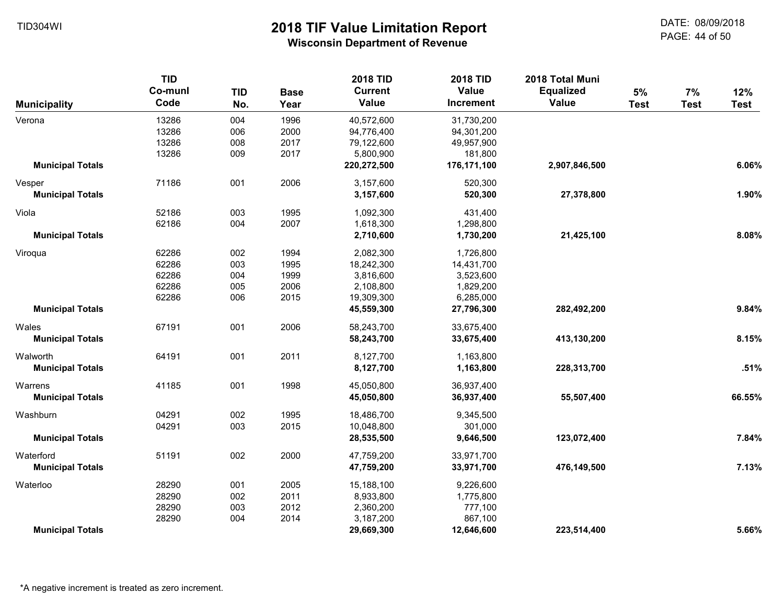#### **2018 TIF Value Limitation Report**  TID304WI DATE: 08/09/2018

**Wisconsin Department of Revenue** 

PAGE: 44 of 50

|                         | <b>TID</b><br>Co-munl | <b>TID</b> | <b>Base</b> | <b>2018 TID</b><br><b>Current</b> | <b>2018 TID</b><br><b>Value</b> | 2018 Total Muni<br><b>Equalized</b><br>Value | 5%          | 7%          | 12%         |
|-------------------------|-----------------------|------------|-------------|-----------------------------------|---------------------------------|----------------------------------------------|-------------|-------------|-------------|
| <b>Municipality</b>     | Code                  | No.        | Year        | Value                             | <b>Increment</b>                |                                              | <b>Test</b> | <b>Test</b> | <b>Test</b> |
| Verona                  | 13286                 | 004        | 1996        | 40,572,600                        | 31,730,200                      |                                              |             |             |             |
|                         | 13286                 | 006        | 2000        | 94,776,400                        | 94,301,200                      |                                              |             |             |             |
|                         | 13286                 | 008        | 2017        | 79,122,600                        | 49,957,900                      |                                              |             |             |             |
|                         | 13286                 | 009        | 2017        | 5,800,900                         | 181,800                         |                                              |             |             |             |
| <b>Municipal Totals</b> |                       |            |             | 220,272,500                       | 176,171,100                     | 2,907,846,500                                |             |             | 6.06%       |
| Vesper                  | 71186                 | 001        | 2006        | 3,157,600                         | 520,300                         |                                              |             |             |             |
| <b>Municipal Totals</b> |                       |            |             | 3,157,600                         | 520,300                         | 27,378,800                                   |             |             | 1.90%       |
| Viola                   | 52186                 | 003        | 1995        | 1,092,300                         | 431,400                         |                                              |             |             |             |
|                         | 62186                 | 004        | 2007        | 1,618,300                         | 1,298,800                       |                                              |             |             |             |
| <b>Municipal Totals</b> |                       |            |             | 2,710,600                         | 1,730,200                       | 21,425,100                                   |             |             | 8.08%       |
| Viroqua                 | 62286                 | 002        | 1994        | 2,082,300                         | 1,726,800                       |                                              |             |             |             |
|                         | 62286                 | 003        | 1995        | 18,242,300                        | 14,431,700                      |                                              |             |             |             |
|                         | 62286                 | 004        | 1999        | 3,816,600                         | 3,523,600                       |                                              |             |             |             |
|                         | 62286                 | 005        | 2006        | 2,108,800                         | 1,829,200                       |                                              |             |             |             |
|                         | 62286                 | 006        | 2015        | 19,309,300                        | 6,285,000                       |                                              |             |             |             |
| <b>Municipal Totals</b> |                       |            |             | 45,559,300                        | 27,796,300                      | 282,492,200                                  |             |             | 9.84%       |
| Wales                   | 67191                 | 001        | 2006        | 58,243,700                        | 33,675,400                      |                                              |             |             |             |
| <b>Municipal Totals</b> |                       |            |             | 58,243,700                        | 33,675,400                      | 413,130,200                                  |             |             | 8.15%       |
| Walworth                | 64191                 | 001        | 2011        | 8,127,700                         | 1,163,800                       |                                              |             |             |             |
| <b>Municipal Totals</b> |                       |            |             | 8,127,700                         | 1,163,800                       | 228,313,700                                  |             |             | .51%        |
| Warrens                 | 41185                 | 001        | 1998        | 45,050,800                        | 36,937,400                      |                                              |             |             |             |
| <b>Municipal Totals</b> |                       |            |             | 45,050,800                        | 36,937,400                      | 55,507,400                                   |             |             | 66.55%      |
| Washburn                | 04291                 | 002        | 1995        | 18,486,700                        | 9,345,500                       |                                              |             |             |             |
|                         | 04291                 | 003        | 2015        | 10,048,800                        | 301,000                         |                                              |             |             |             |
| <b>Municipal Totals</b> |                       |            |             | 28,535,500                        | 9,646,500                       | 123,072,400                                  |             |             | 7.84%       |
| Waterford               | 51191                 | 002        | 2000        | 47,759,200                        | 33,971,700                      |                                              |             |             |             |
| <b>Municipal Totals</b> |                       |            |             | 47,759,200                        | 33,971,700                      | 476,149,500                                  |             |             | 7.13%       |
| Waterloo                | 28290                 | 001        | 2005        | 15,188,100                        | 9,226,600                       |                                              |             |             |             |
|                         | 28290                 | 002        | 2011        | 8,933,800                         | 1,775,800                       |                                              |             |             |             |
|                         | 28290                 | 003        | 2012        | 2,360,200                         | 777,100                         |                                              |             |             |             |
|                         | 28290                 | 004        | 2014        | 3,187,200                         | 867,100                         |                                              |             |             |             |
| <b>Municipal Totals</b> |                       |            |             | 29,669,300                        | 12,646,600                      | 223,514,400                                  |             |             | 5.66%       |
|                         |                       |            |             |                                   |                                 |                                              |             |             |             |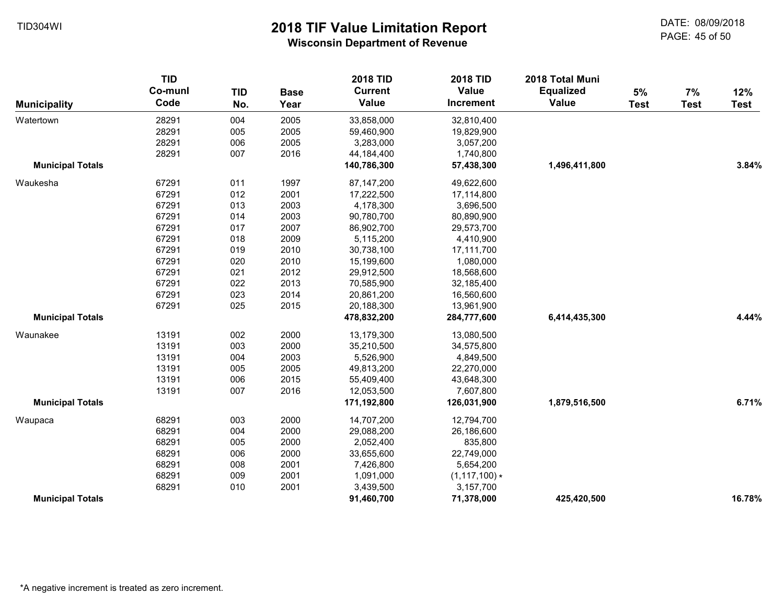**Wisconsin Department of Revenue** 

DATE: 08/09/2018 PAGE: 45 of 50

|                         | <b>TID</b> |            |             | <b>2018 TID</b> | <b>2018 TID</b>  | 2018 Total Muni  |             |             |             |
|-------------------------|------------|------------|-------------|-----------------|------------------|------------------|-------------|-------------|-------------|
|                         | Co-munl    | <b>TID</b> | <b>Base</b> | <b>Current</b>  | Value            | <b>Equalized</b> | 5%          | 7%          | 12%         |
| <b>Municipality</b>     | Code       | No.        | Year        | Value           | <b>Increment</b> | Value            | <b>Test</b> | <b>Test</b> | <b>Test</b> |
| Watertown               | 28291      | 004        | 2005        | 33,858,000      | 32,810,400       |                  |             |             |             |
|                         | 28291      | 005        | 2005        | 59,460,900      | 19,829,900       |                  |             |             |             |
|                         | 28291      | 006        | 2005        | 3,283,000       | 3,057,200        |                  |             |             |             |
|                         | 28291      | 007        | 2016        | 44,184,400      | 1,740,800        |                  |             |             |             |
| <b>Municipal Totals</b> |            |            |             | 140,786,300     | 57,438,300       | 1,496,411,800    |             |             | 3.84%       |
| Waukesha                | 67291      | 011        | 1997        | 87,147,200      | 49,622,600       |                  |             |             |             |
|                         | 67291      | 012        | 2001        | 17,222,500      | 17,114,800       |                  |             |             |             |
|                         | 67291      | 013        | 2003        | 4,178,300       | 3,696,500        |                  |             |             |             |
|                         | 67291      | 014        | 2003        | 90,780,700      | 80,890,900       |                  |             |             |             |
|                         | 67291      | 017        | 2007        | 86,902,700      | 29,573,700       |                  |             |             |             |
|                         | 67291      | 018        | 2009        | 5,115,200       | 4,410,900        |                  |             |             |             |
|                         | 67291      | 019        | 2010        | 30,738,100      | 17,111,700       |                  |             |             |             |
|                         | 67291      | 020        | 2010        | 15,199,600      | 1,080,000        |                  |             |             |             |
|                         | 67291      | 021        | 2012        | 29,912,500      | 18,568,600       |                  |             |             |             |
|                         | 67291      | 022        | 2013        | 70,585,900      | 32,185,400       |                  |             |             |             |
|                         | 67291      | 023        | 2014        | 20,861,200      | 16,560,600       |                  |             |             |             |
|                         | 67291      | 025        | 2015        | 20,188,300      | 13,961,900       |                  |             |             |             |
| <b>Municipal Totals</b> |            |            |             | 478,832,200     | 284,777,600      | 6,414,435,300    |             |             | 4.44%       |
| Waunakee                | 13191      | 002        | 2000        | 13,179,300      | 13,080,500       |                  |             |             |             |
|                         | 13191      | 003        | 2000        | 35,210,500      | 34,575,800       |                  |             |             |             |
|                         | 13191      | 004        | 2003        | 5,526,900       | 4,849,500        |                  |             |             |             |
|                         | 13191      | 005        | 2005        | 49,813,200      | 22,270,000       |                  |             |             |             |
|                         | 13191      | 006        | 2015        | 55,409,400      | 43,648,300       |                  |             |             |             |
|                         | 13191      | 007        | 2016        | 12,053,500      | 7,607,800        |                  |             |             |             |
| <b>Municipal Totals</b> |            |            |             | 171,192,800     | 126,031,900      | 1,879,516,500    |             |             | 6.71%       |
| Waupaca                 | 68291      | 003        | 2000        | 14,707,200      | 12,794,700       |                  |             |             |             |
|                         | 68291      | 004        | 2000        | 29,088,200      | 26,186,600       |                  |             |             |             |
|                         | 68291      | 005        | 2000        | 2,052,400       | 835,800          |                  |             |             |             |
|                         | 68291      | 006        | 2000        | 33,655,600      | 22,749,000       |                  |             |             |             |
|                         | 68291      | 008        | 2001        | 7,426,800       | 5,654,200        |                  |             |             |             |
|                         | 68291      | 009        | 2001        | 1,091,000       | $(1, 117, 100)*$ |                  |             |             |             |
|                         | 68291      | 010        | 2001        | 3,439,500       | 3,157,700        |                  |             |             |             |
| <b>Municipal Totals</b> |            |            |             | 91,460,700      | 71,378,000       | 425,420,500      |             |             | 16.78%      |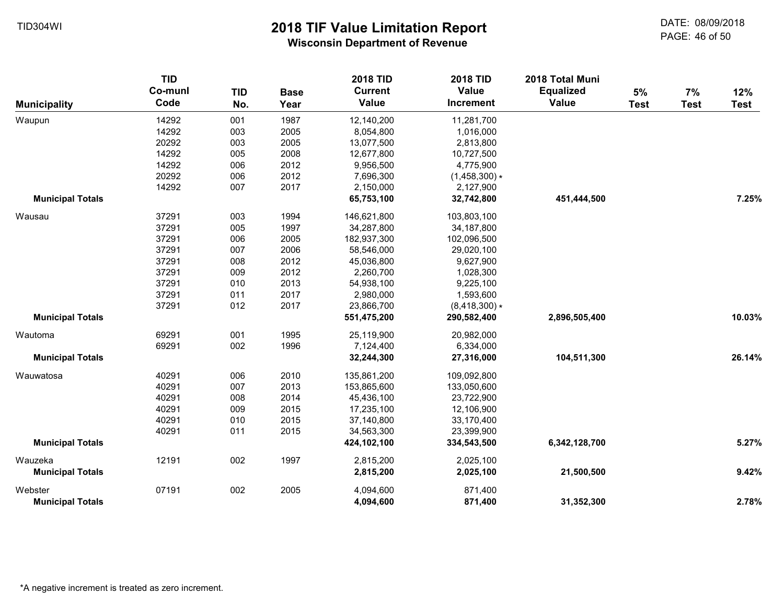**Wisconsin Department of Revenue** 

DATE: 08/09/2018 PAGE: 46 of 50

|                         | <b>TID</b> |            |             | <b>2018 TID</b> | <b>2018 TID</b>  | 2018 Total Muni  |             |             |             |
|-------------------------|------------|------------|-------------|-----------------|------------------|------------------|-------------|-------------|-------------|
|                         | Co-munl    | <b>TID</b> | <b>Base</b> | <b>Current</b>  | Value            | <b>Equalized</b> | 5%          | 7%          | 12%         |
| <b>Municipality</b>     | Code       | No.        | Year        | Value           | <b>Increment</b> | <b>Value</b>     | <b>Test</b> | <b>Test</b> | <b>Test</b> |
| Waupun                  | 14292      | 001        | 1987        | 12,140,200      | 11,281,700       |                  |             |             |             |
|                         | 14292      | 003        | 2005        | 8,054,800       | 1,016,000        |                  |             |             |             |
|                         | 20292      | 003        | 2005        | 13,077,500      | 2,813,800        |                  |             |             |             |
|                         | 14292      | 005        | 2008        | 12,677,800      | 10,727,500       |                  |             |             |             |
|                         | 14292      | 006        | 2012        | 9,956,500       | 4,775,900        |                  |             |             |             |
|                         | 20292      | 006        | 2012        | 7,696,300       | $(1,458,300)*$   |                  |             |             |             |
|                         | 14292      | 007        | 2017        | 2,150,000       | 2,127,900        |                  |             |             |             |
| <b>Municipal Totals</b> |            |            |             | 65,753,100      | 32,742,800       | 451,444,500      |             |             | 7.25%       |
| Wausau                  | 37291      | 003        | 1994        | 146,621,800     | 103,803,100      |                  |             |             |             |
|                         | 37291      | 005        | 1997        | 34,287,800      | 34, 187, 800     |                  |             |             |             |
|                         | 37291      | 006        | 2005        | 182,937,300     | 102,096,500      |                  |             |             |             |
|                         | 37291      | 007        | 2006        | 58,546,000      | 29,020,100       |                  |             |             |             |
|                         | 37291      | 008        | 2012        | 45,036,800      | 9,627,900        |                  |             |             |             |
|                         | 37291      | 009        | 2012        | 2,260,700       | 1,028,300        |                  |             |             |             |
|                         | 37291      | 010        | 2013        | 54,938,100      | 9,225,100        |                  |             |             |             |
|                         | 37291      | 011        | 2017        | 2,980,000       | 1,593,600        |                  |             |             |             |
|                         | 37291      | 012        | 2017        | 23,866,700      | $(8,418,300)*$   |                  |             |             |             |
| <b>Municipal Totals</b> |            |            |             | 551,475,200     | 290,582,400      | 2,896,505,400    |             |             | 10.03%      |
| Wautoma                 | 69291      | 001        | 1995        | 25,119,900      | 20,982,000       |                  |             |             |             |
|                         | 69291      | 002        | 1996        | 7,124,400       | 6,334,000        |                  |             |             |             |
| <b>Municipal Totals</b> |            |            |             | 32,244,300      | 27,316,000       | 104,511,300      |             |             | 26.14%      |
| Wauwatosa               | 40291      | 006        | 2010        | 135,861,200     | 109,092,800      |                  |             |             |             |
|                         | 40291      | 007        | 2013        | 153,865,600     | 133,050,600      |                  |             |             |             |
|                         | 40291      | 008        | 2014        | 45,436,100      | 23,722,900       |                  |             |             |             |
|                         | 40291      | 009        | 2015        | 17,235,100      | 12,106,900       |                  |             |             |             |
|                         | 40291      | 010        | 2015        | 37,140,800      | 33,170,400       |                  |             |             |             |
|                         | 40291      | 011        | 2015        | 34,563,300      | 23,399,900       |                  |             |             |             |
| <b>Municipal Totals</b> |            |            |             | 424,102,100     | 334,543,500      | 6,342,128,700    |             |             | 5.27%       |
| Wauzeka                 | 12191      | 002        | 1997        | 2,815,200       | 2,025,100        |                  |             |             |             |
| <b>Municipal Totals</b> |            |            |             | 2,815,200       | 2,025,100        | 21,500,500       |             |             | 9.42%       |
| Webster                 | 07191      | 002        | 2005        | 4,094,600       | 871,400          |                  |             |             |             |
| <b>Municipal Totals</b> |            |            |             | 4,094,600       | 871,400          | 31,352,300       |             |             | 2.78%       |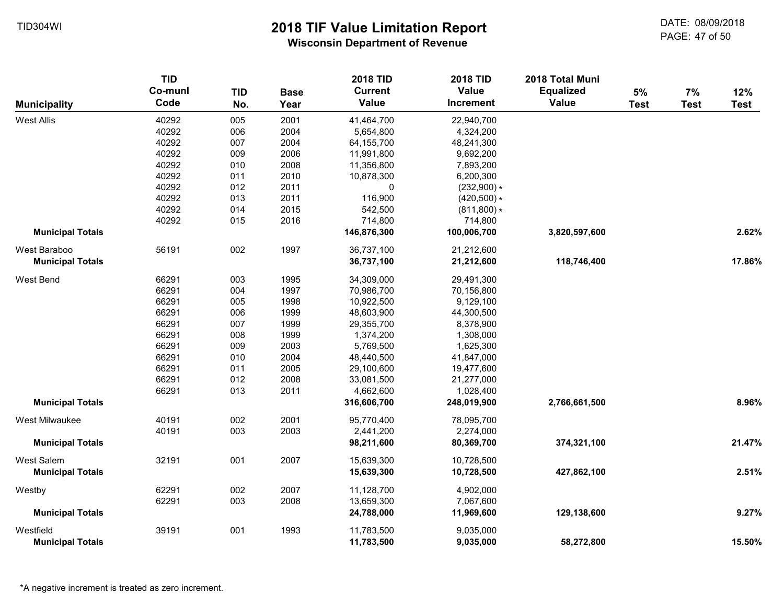**Wisconsin Department of Revenue** 

DATE: 08/09/2018 PAGE: 47 of 50

|                         | TID<br>Co-munl | <b>TID</b> | <b>Base</b> | <b>2018 TID</b><br><b>Current</b> | <b>2018 TID</b><br>Value | 2018 Total Muni<br><b>Equalized</b> | 5%          | 7%          | 12%         |
|-------------------------|----------------|------------|-------------|-----------------------------------|--------------------------|-------------------------------------|-------------|-------------|-------------|
| <b>Municipality</b>     | Code           | No.        | Year        | Value                             | <b>Increment</b>         | Value                               | <b>Test</b> | <b>Test</b> | <b>Test</b> |
| <b>West Allis</b>       | 40292          | 005        | 2001        | 41,464,700                        | 22,940,700               |                                     |             |             |             |
|                         | 40292          | 006        | 2004        | 5,654,800                         | 4,324,200                |                                     |             |             |             |
|                         | 40292          | 007        | 2004        | 64,155,700                        | 48,241,300               |                                     |             |             |             |
|                         | 40292          | 009        | 2006        | 11,991,800                        | 9,692,200                |                                     |             |             |             |
|                         | 40292          | 010        | 2008        | 11,356,800                        | 7,893,200                |                                     |             |             |             |
|                         | 40292          | 011        | 2010        | 10,878,300                        | 6,200,300                |                                     |             |             |             |
|                         | 40292          | 012        | 2011        | 0                                 | $(232,900)*$             |                                     |             |             |             |
|                         | 40292          | 013        | 2011        | 116,900                           | $(420,500)*$             |                                     |             |             |             |
|                         | 40292          | 014        | 2015        | 542,500                           | $(811, 800)*$            |                                     |             |             |             |
|                         | 40292          | 015        | 2016        | 714,800                           | 714,800                  |                                     |             |             |             |
| <b>Municipal Totals</b> |                |            |             | 146,876,300                       | 100,006,700              | 3,820,597,600                       |             |             | 2.62%       |
| West Baraboo            | 56191          | 002        | 1997        | 36,737,100                        | 21,212,600               |                                     |             |             |             |
| <b>Municipal Totals</b> |                |            |             | 36,737,100                        | 21,212,600               | 118,746,400                         |             |             | 17.86%      |
| West Bend               | 66291          | 003        | 1995        | 34,309,000                        | 29,491,300               |                                     |             |             |             |
|                         | 66291          | 004        | 1997        | 70,986,700                        | 70,156,800               |                                     |             |             |             |
|                         | 66291          | 005        | 1998        | 10,922,500                        | 9,129,100                |                                     |             |             |             |
|                         | 66291          | 006        | 1999        | 48,603,900                        | 44,300,500               |                                     |             |             |             |
|                         | 66291          | 007        | 1999        | 29,355,700                        | 8,378,900                |                                     |             |             |             |
|                         | 66291          | 008        | 1999        | 1,374,200                         | 1,308,000                |                                     |             |             |             |
|                         | 66291          | 009        | 2003        | 5,769,500                         | 1,625,300                |                                     |             |             |             |
|                         | 66291          | 010        | 2004        | 48,440,500                        | 41,847,000               |                                     |             |             |             |
|                         | 66291          | 011        | 2005        | 29,100,600                        | 19,477,600               |                                     |             |             |             |
|                         | 66291          | 012        | 2008        | 33,081,500                        | 21,277,000               |                                     |             |             |             |
|                         | 66291          | 013        | 2011        | 4,662,600                         | 1,028,400                |                                     |             |             |             |
| <b>Municipal Totals</b> |                |            |             | 316,606,700                       | 248,019,900              | 2,766,661,500                       |             |             | 8.96%       |
| West Milwaukee          | 40191          | 002        | 2001        | 95,770,400                        | 78,095,700               |                                     |             |             |             |
|                         | 40191          | 003        | 2003        | 2,441,200                         | 2,274,000                |                                     |             |             |             |
| <b>Municipal Totals</b> |                |            |             | 98,211,600                        | 80,369,700               | 374,321,100                         |             |             | 21.47%      |
| West Salem              | 32191          | 001        | 2007        | 15,639,300                        | 10,728,500               |                                     |             |             |             |
| <b>Municipal Totals</b> |                |            |             | 15,639,300                        | 10,728,500               | 427,862,100                         |             |             | 2.51%       |
| Westby                  | 62291          | 002        | 2007        | 11,128,700                        | 4,902,000                |                                     |             |             |             |
|                         | 62291          | 003        | 2008        | 13,659,300                        | 7,067,600                |                                     |             |             |             |
| <b>Municipal Totals</b> |                |            |             | 24,788,000                        | 11,969,600               | 129,138,600                         |             |             | 9.27%       |
| Westfield               | 39191          | 001        | 1993        | 11,783,500                        | 9,035,000                |                                     |             |             |             |
| <b>Municipal Totals</b> |                |            |             | 11,783,500                        | 9,035,000                | 58,272,800                          |             |             | 15.50%      |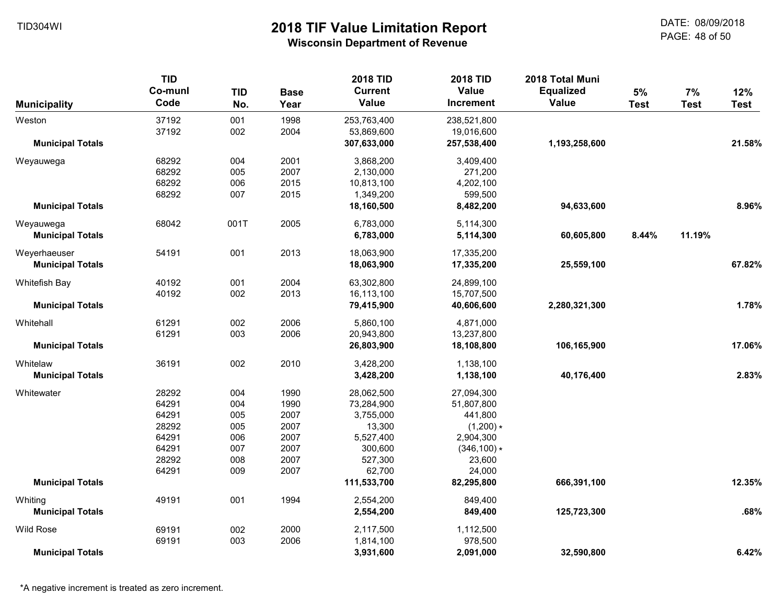**Wisconsin Department of Revenue** 

DATE: 08/09/2018 PAGE: 48 of 50

|                         | <b>TID</b> |            |             | <b>2018 TID</b> | <b>2018 TID</b>  | 2018 Total Muni  |             |             |             |
|-------------------------|------------|------------|-------------|-----------------|------------------|------------------|-------------|-------------|-------------|
|                         | Co-munl    | <b>TID</b> | <b>Base</b> | <b>Current</b>  | Value            | <b>Equalized</b> | 5%          | 7%          | 12%         |
| <b>Municipality</b>     | Code       | No.        | Year        | Value           | <b>Increment</b> | Value            | <b>Test</b> | <b>Test</b> | <b>Test</b> |
| Weston                  | 37192      | 001        | 1998        | 253,763,400     | 238,521,800      |                  |             |             |             |
|                         | 37192      | 002        | 2004        | 53,869,600      | 19,016,600       |                  |             |             |             |
| <b>Municipal Totals</b> |            |            |             | 307,633,000     | 257,538,400      | 1,193,258,600    |             |             | 21.58%      |
| Weyauwega               | 68292      | 004        | 2001        | 3,868,200       | 3,409,400        |                  |             |             |             |
|                         | 68292      | 005        | 2007        | 2,130,000       | 271,200          |                  |             |             |             |
|                         | 68292      | 006        | 2015        | 10,813,100      | 4,202,100        |                  |             |             |             |
|                         | 68292      | 007        | 2015        | 1,349,200       | 599,500          |                  |             |             |             |
| <b>Municipal Totals</b> |            |            |             | 18,160,500      | 8,482,200        | 94,633,600       |             |             | 8.96%       |
| Weyauwega               | 68042      | 001T       | 2005        | 6,783,000       | 5,114,300        |                  |             |             |             |
| <b>Municipal Totals</b> |            |            |             | 6,783,000       | 5,114,300        | 60,605,800       | 8.44%       | 11.19%      |             |
| Weyerhaeuser            | 54191      | 001        | 2013        | 18,063,900      | 17,335,200       |                  |             |             |             |
| <b>Municipal Totals</b> |            |            |             | 18,063,900      | 17,335,200       | 25,559,100       |             |             | 67.82%      |
| Whitefish Bay           | 40192      | 001        | 2004        | 63,302,800      | 24,899,100       |                  |             |             |             |
|                         | 40192      | 002        | 2013        | 16,113,100      | 15,707,500       |                  |             |             |             |
| <b>Municipal Totals</b> |            |            |             | 79,415,900      | 40,606,600       | 2,280,321,300    |             |             | 1.78%       |
| Whitehall               | 61291      | 002        | 2006        | 5,860,100       | 4,871,000        |                  |             |             |             |
|                         | 61291      | 003        | 2006        | 20,943,800      | 13,237,800       |                  |             |             |             |
| <b>Municipal Totals</b> |            |            |             | 26,803,900      | 18,108,800       | 106,165,900      |             |             | 17.06%      |
| Whitelaw                | 36191      | 002        | 2010        | 3,428,200       | 1,138,100        |                  |             |             |             |
| <b>Municipal Totals</b> |            |            |             | 3,428,200       | 1,138,100        | 40,176,400       |             |             | 2.83%       |
| Whitewater              | 28292      | 004        | 1990        | 28,062,500      | 27,094,300       |                  |             |             |             |
|                         | 64291      | 004        | 1990        | 73,284,900      | 51,807,800       |                  |             |             |             |
|                         | 64291      | 005        | 2007        | 3,755,000       | 441,800          |                  |             |             |             |
|                         | 28292      | 005        | 2007        | 13,300          | $(1,200)*$       |                  |             |             |             |
|                         | 64291      | 006        | 2007        | 5,527,400       | 2,904,300        |                  |             |             |             |
|                         | 64291      | 007        | 2007        | 300,600         | $(346, 100)*$    |                  |             |             |             |
|                         | 28292      | 008        | 2007        | 527,300         | 23,600           |                  |             |             |             |
|                         | 64291      | 009        | 2007        | 62,700          | 24,000           |                  |             |             |             |
| <b>Municipal Totals</b> |            |            |             | 111,533,700     | 82,295,800       | 666,391,100      |             |             | 12.35%      |
| Whiting                 | 49191      | 001        | 1994        | 2,554,200       | 849,400          |                  |             |             |             |
| <b>Municipal Totals</b> |            |            |             | 2,554,200       | 849,400          | 125,723,300      |             |             | .68%        |
| Wild Rose               | 69191      | 002        | 2000        | 2,117,500       | 1,112,500        |                  |             |             |             |
|                         | 69191      | 003        | 2006        | 1,814,100       | 978,500          |                  |             |             |             |
| <b>Municipal Totals</b> |            |            |             | 3,931,600       | 2,091,000        | 32,590,800       |             |             | 6.42%       |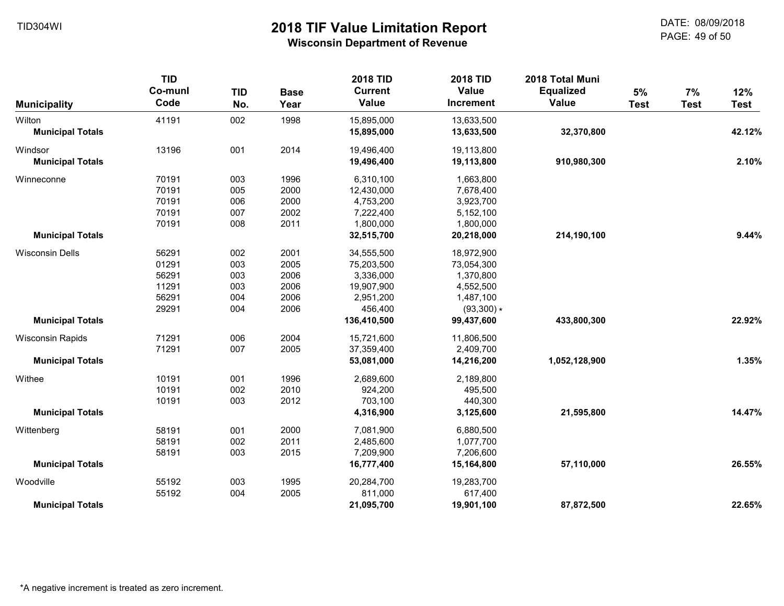**Wisconsin Department of Revenue** 

DATE: 08/09/2018 PAGE: 49 of 50

| <b>Municipality</b>                                | <b>TID</b><br>Co-munl<br>Code                      | <b>TID</b><br>No.                      | <b>Base</b><br>Year                          | <b>2018 TID</b><br><b>Current</b><br>Value                                  | <b>2018 TID</b><br>Value<br><b>Increment</b>                                   | 2018 Total Muni<br><b>Equalized</b><br>Value | 5%<br><b>Test</b> | 7%<br><b>Test</b> | 12%<br><b>Test</b> |
|----------------------------------------------------|----------------------------------------------------|----------------------------------------|----------------------------------------------|-----------------------------------------------------------------------------|--------------------------------------------------------------------------------|----------------------------------------------|-------------------|-------------------|--------------------|
| Wilton<br><b>Municipal Totals</b>                  | 41191                                              | 002                                    | 1998                                         | 15,895,000<br>15,895,000                                                    | 13,633,500<br>13,633,500                                                       | 32,370,800                                   |                   |                   | 42.12%             |
| Windsor<br><b>Municipal Totals</b>                 | 13196                                              | 001                                    | 2014                                         | 19,496,400<br>19,496,400                                                    | 19,113,800<br>19,113,800                                                       | 910,980,300                                  |                   |                   | 2.10%              |
| Winneconne                                         | 70191<br>70191<br>70191<br>70191<br>70191          | 003<br>005<br>006<br>007<br>008        | 1996<br>2000<br>2000<br>2002<br>2011         | 6,310,100<br>12,430,000<br>4,753,200<br>7,222,400<br>1,800,000              | 1,663,800<br>7,678,400<br>3,923,700<br>5,152,100<br>1,800,000                  |                                              |                   |                   |                    |
| <b>Municipal Totals</b>                            |                                                    |                                        |                                              | 32,515,700                                                                  | 20,218,000                                                                     | 214,190,100                                  |                   |                   | 9.44%              |
| <b>Wisconsin Dells</b>                             | 56291<br>01291<br>56291<br>11291<br>56291<br>29291 | 002<br>003<br>003<br>003<br>004<br>004 | 2001<br>2005<br>2006<br>2006<br>2006<br>2006 | 34,555,500<br>75,203,500<br>3,336,000<br>19,907,900<br>2,951,200<br>456,400 | 18,972,900<br>73,054,300<br>1,370,800<br>4,552,500<br>1,487,100<br>$(93,300)*$ |                                              |                   |                   |                    |
| <b>Municipal Totals</b>                            |                                                    |                                        |                                              | 136,410,500                                                                 | 99,437,600                                                                     | 433,800,300                                  |                   |                   | 22.92%             |
| <b>Wisconsin Rapids</b><br><b>Municipal Totals</b> | 71291<br>71291                                     | 006<br>007                             | 2004<br>2005                                 | 15,721,600<br>37,359,400<br>53,081,000                                      | 11,806,500<br>2,409,700<br>14,216,200                                          | 1,052,128,900                                |                   |                   | 1.35%              |
| Withee<br><b>Municipal Totals</b>                  | 10191<br>10191<br>10191                            | 001<br>002<br>003                      | 1996<br>2010<br>2012                         | 2,689,600<br>924,200<br>703,100<br>4,316,900                                | 2,189,800<br>495,500<br>440,300<br>3,125,600                                   | 21,595,800                                   |                   |                   | 14.47%             |
| Wittenberg                                         | 58191<br>58191<br>58191                            | 001<br>002<br>003                      | 2000<br>2011<br>2015                         | 7.081.900<br>2,485,600<br>7,209,900                                         | 6,880,500<br>1,077,700<br>7,206,600                                            |                                              |                   |                   |                    |
| <b>Municipal Totals</b>                            |                                                    |                                        |                                              | 16,777,400                                                                  | 15,164,800                                                                     | 57,110,000                                   |                   |                   | 26.55%             |
| Woodville<br><b>Municipal Totals</b>               | 55192<br>55192                                     | 003<br>004                             | 1995<br>2005                                 | 20,284,700<br>811,000<br>21,095,700                                         | 19,283,700<br>617,400<br>19,901,100                                            | 87,872,500                                   |                   |                   | 22.65%             |
|                                                    |                                                    |                                        |                                              |                                                                             |                                                                                |                                              |                   |                   |                    |